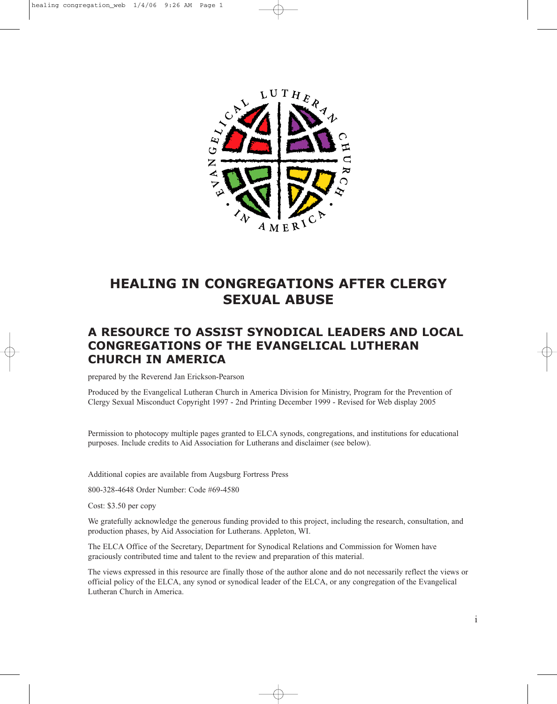

# **HEALING IN CONGREGATIONS AFTER CLERGY SEXUAL ABUSE**

## **A RESOURCE TO ASSIST SYNODICAL LEADERS AND LOCAL CONGREGATIONS OF THE EVANGELICAL LUTHERAN CHURCH IN AMERICA**

prepared by the Reverend Jan Erickson-Pearson

Produced by the Evangelical Lutheran Church in America Division for Ministry, Program for the Prevention of Clergy Sexual Misconduct Copyright 1997 - 2nd Printing December 1999 - Revised for Web display 2005

Permission to photocopy multiple pages granted to ELCA synods, congregations, and institutions for educational purposes. Include credits to Aid Association for Lutherans and disclaimer (see below).

Additional copies are available from Augsburg Fortress Press

800-328-4648 Order Number: Code #69-4580

Cost: \$3.50 per copy

We gratefully acknowledge the generous funding provided to this project, including the research, consultation, and production phases, by Aid Association for Lutherans. Appleton, WI.

The ELCA Office of the Secretary, Department for Synodical Relations and Commission for Women have graciously contributed time and talent to the review and preparation of this material.

The views expressed in this resource are finally those of the author alone and do not necessarily reflect the views or official policy of the ELCA, any synod or synodical leader of the ELCA, or any congregation of the Evangelical Lutheran Church in America.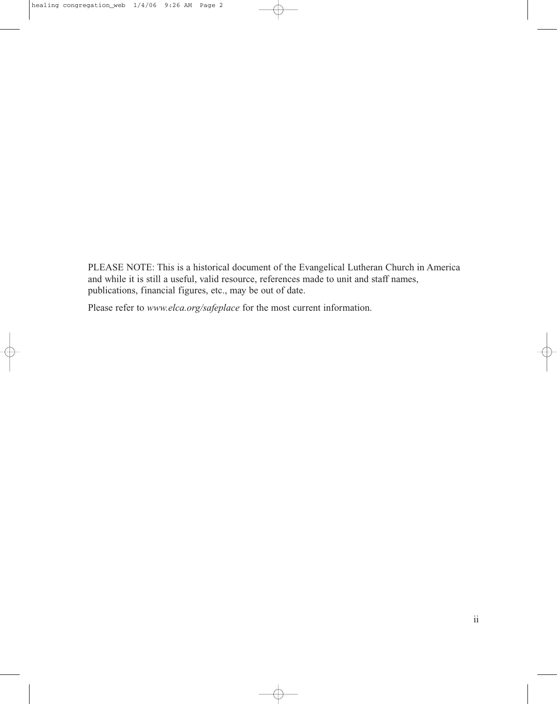PLEASE NOTE: This is a historical document of the Evangelical Lutheran Church in America and while it is still a useful, valid resource, references made to unit and staff names, publications, financial figures, etc., may be out of date.

Please refer to *www.elca.org/safeplace* for the most current information.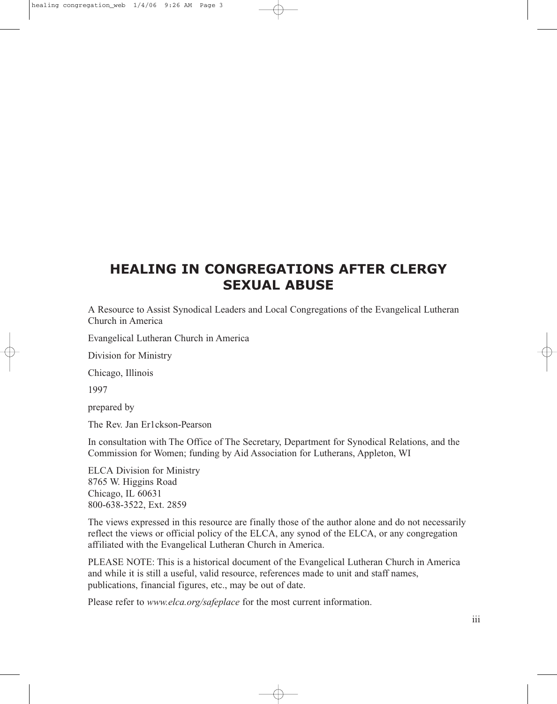# **HEALING IN CONGREGATIONS AFTER CLERGY SEXUAL ABUSE**

A Resource to Assist Synodical Leaders and Local Congregations of the Evangelical Lutheran Church in America

Evangelical Lutheran Church in America

Division for Ministry

Chicago, Illinois

1997

prepared by

The Rev. Jan Er1ckson-Pearson

In consultation with The Office of The Secretary, Department for Synodical Relations, and the Commission for Women; funding by Aid Association for Lutherans, Appleton, WI

ELCA Division for Ministry 8765 W. Higgins Road Chicago, IL 60631 800-638-3522, Ext. 2859

The views expressed in this resource are finally those of the author alone and do not necessarily reflect the views or official policy of the ELCA, any synod of the ELCA, or any congregation affiliated with the Evangelical Lutheran Church in America.

PLEASE NOTE: This is a historical document of the Evangelical Lutheran Church in America and while it is still a useful, valid resource, references made to unit and staff names, publications, financial figures, etc., may be out of date.

Please refer to *www.elca.org/safeplace* for the most current information.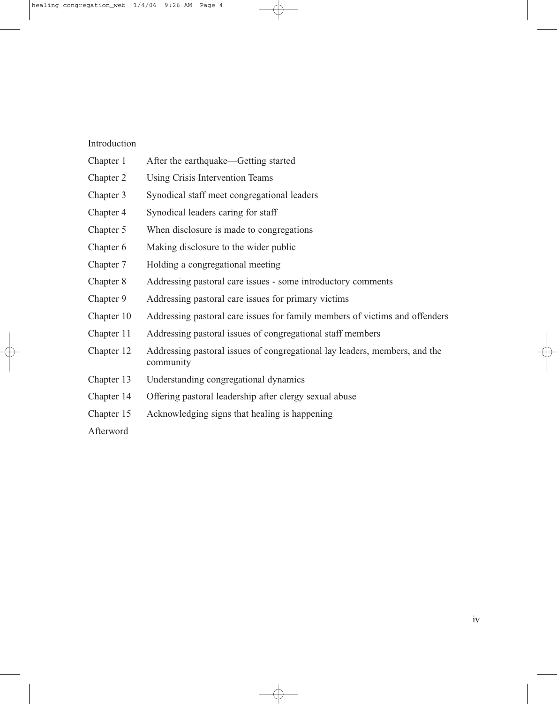#### Introduction

- Chapter 1 After the earthquake—Getting started
- Chapter 2 Using Crisis Intervention Teams
- Chapter 3 Synodical staff meet congregational leaders
- Chapter 4 Synodical leaders caring for staff
- Chapter 5 When disclosure is made to congregations
- Chapter 6 Making disclosure to the wider public
- Chapter 7 Holding a congregational meeting
- Chapter 8 Addressing pastoral care issues some introductory comments
- Chapter 9 Addressing pastoral care issues for primary victims
- Chapter 10 Addressing pastoral care issues for family members of victims and offenders
- Chapter 11 Addressing pastoral issues of congregational staff members
- Chapter 12 Addressing pastoral issues of congregational lay leaders, members, and the community
- Chapter 13 Understanding congregational dynamics
- Chapter 14 Offering pastoral leadership after clergy sexual abuse
- Chapter 15 Acknowledging signs that healing is happening
- Afterword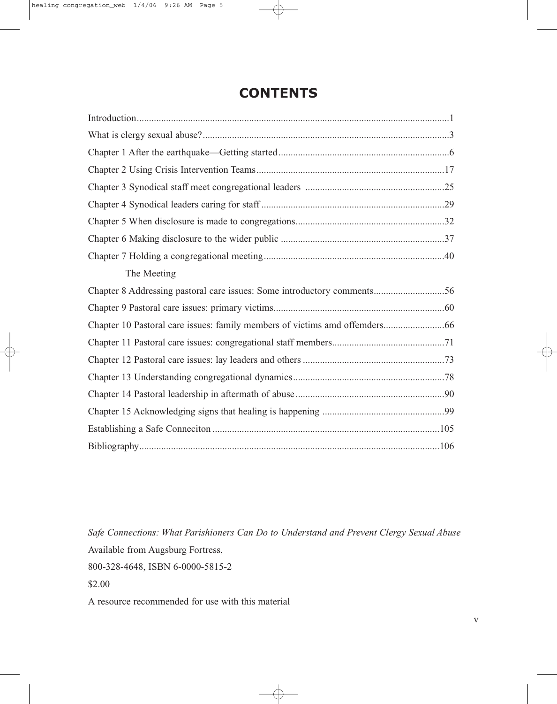# **CONTENTS**

| The Meeting                                                             |
|-------------------------------------------------------------------------|
| Chapter 8 Addressing pastoral care issues: Some introductory comments56 |
|                                                                         |
|                                                                         |
|                                                                         |
|                                                                         |
|                                                                         |
|                                                                         |
|                                                                         |
|                                                                         |
|                                                                         |

*Safe Connections: What Parishioners Can Do to Understand and Prevent Clergy Sexual Abuse* Available from Augsburg Fortress,

800-328-4648, ISBN 6-0000-5815-2

\$2.00

A resource recommended for use with this material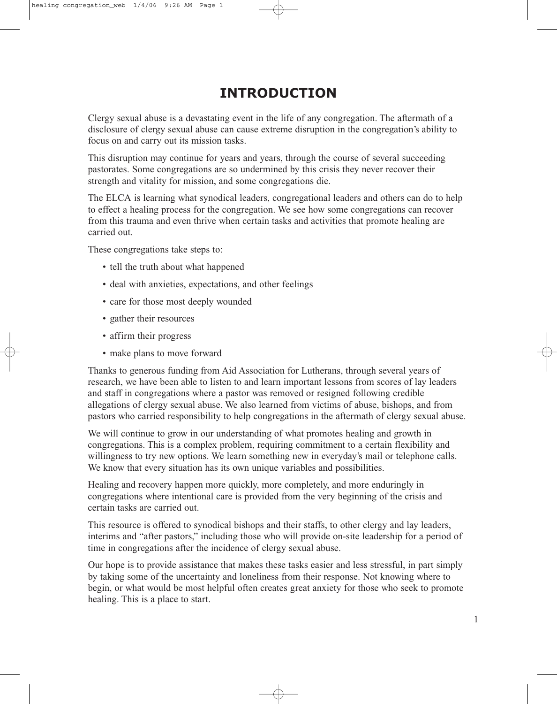# **INTRODUCTION**

Clergy sexual abuse is a devastating event in the life of any congregation. The aftermath of a disclosure of clergy sexual abuse can cause extreme disruption in the congregation's ability to focus on and carry out its mission tasks.

This disruption may continue for years and years, through the course of several succeeding pastorates. Some congregations are so undermined by this crisis they never recover their strength and vitality for mission, and some congregations die.

The ELCA is learning what synodical leaders, congregational leaders and others can do to help to effect a healing process for the congregation. We see how some congregations can recover from this trauma and even thrive when certain tasks and activities that promote healing are carried out.

These congregations take steps to:

- tell the truth about what happened
- deal with anxieties, expectations, and other feelings
- care for those most deeply wounded
- gather their resources
- affirm their progress
- make plans to move forward

Thanks to generous funding from Aid Association for Lutherans, through several years of research, we have been able to listen to and learn important lessons from scores of lay leaders and staff in congregations where a pastor was removed or resigned following credible allegations of clergy sexual abuse. We also learned from victims of abuse, bishops, and from pastors who carried responsibility to help congregations in the aftermath of clergy sexual abuse.

We will continue to grow in our understanding of what promotes healing and growth in congregations. This is a complex problem, requiring commitment to a certain flexibility and willingness to try new options. We learn something new in everyday's mail or telephone calls. We know that every situation has its own unique variables and possibilities.

Healing and recovery happen more quickly, more completely, and more enduringly in congregations where intentional care is provided from the very beginning of the crisis and certain tasks are carried out.

This resource is offered to synodical bishops and their staffs, to other clergy and lay leaders, interims and "after pastors," including those who will provide on-site leadership for a period of time in congregations after the incidence of clergy sexual abuse.

Our hope is to provide assistance that makes these tasks easier and less stressful, in part simply by taking some of the uncertainty and loneliness from their response. Not knowing where to begin, or what would be most helpful often creates great anxiety for those who seek to promote healing. This is a place to start.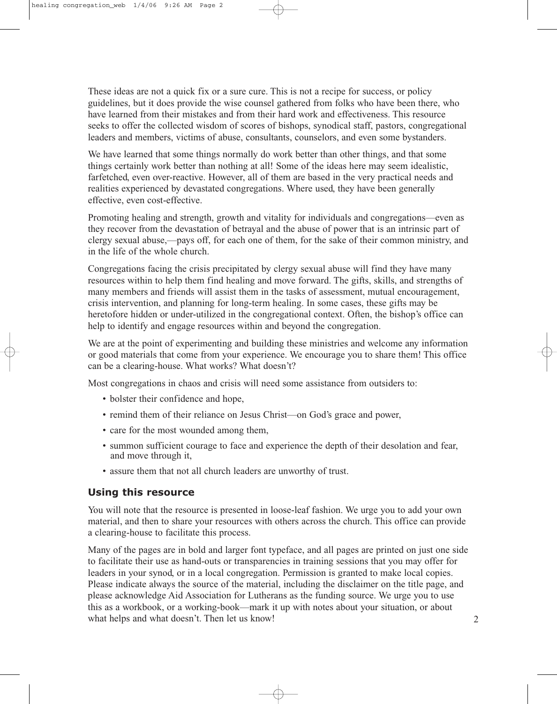These ideas are not a quick fix or a sure cure. This is not a recipe for success, or policy guidelines, but it does provide the wise counsel gathered from folks who have been there, who have learned from their mistakes and from their hard work and effectiveness. This resource seeks to offer the collected wisdom of scores of bishops, synodical staff, pastors, congregational leaders and members, victims of abuse, consultants, counselors, and even some bystanders.

We have learned that some things normally do work better than other things, and that some things certainly work better than nothing at all! Some of the ideas here may seem idealistic, farfetched, even over-reactive. However, all of them are based in the very practical needs and realities experienced by devastated congregations. Where used, they have been generally effective, even cost-effective.

Promoting healing and strength, growth and vitality for individuals and congregations—even as they recover from the devastation of betrayal and the abuse of power that is an intrinsic part of clergy sexual abuse,—pays off, for each one of them, for the sake of their common ministry, and in the life of the whole church.

Congregations facing the crisis precipitated by clergy sexual abuse will find they have many resources within to help them find healing and move forward. The gifts, skills, and strengths of many members and friends will assist them in the tasks of assessment, mutual encouragement, crisis intervention, and planning for long-term healing. In some cases, these gifts may be heretofore hidden or under-utilized in the congregational context. Often, the bishop's office can help to identify and engage resources within and beyond the congregation.

We are at the point of experimenting and building these ministries and welcome any information or good materials that come from your experience. We encourage you to share them! This office can be a clearing-house. What works? What doesn't?

Most congregations in chaos and crisis will need some assistance from outsiders to:

- bolster their confidence and hope,
- remind them of their reliance on Jesus Christ—on God's grace and power,
- care for the most wounded among them,
- summon sufficient courage to face and experience the depth of their desolation and fear, and move through it,
- assure them that not all church leaders are unworthy of trust.

### **Using this resource**

You will note that the resource is presented in loose-leaf fashion. We urge you to add your own material, and then to share your resources with others across the church. This office can provide a clearing-house to facilitate this process.

Many of the pages are in bold and larger font typeface, and all pages are printed on just one side to facilitate their use as hand-outs or transparencies in training sessions that you may offer for leaders in your synod, or in a local congregation. Permission is granted to make local copies. Please indicate always the source of the material, including the disclaimer on the title page, and please acknowledge Aid Association for Lutherans as the funding source. We urge you to use this as a workbook, or a working-book—mark it up with notes about your situation, or about what helps and what doesn't. Then let us know!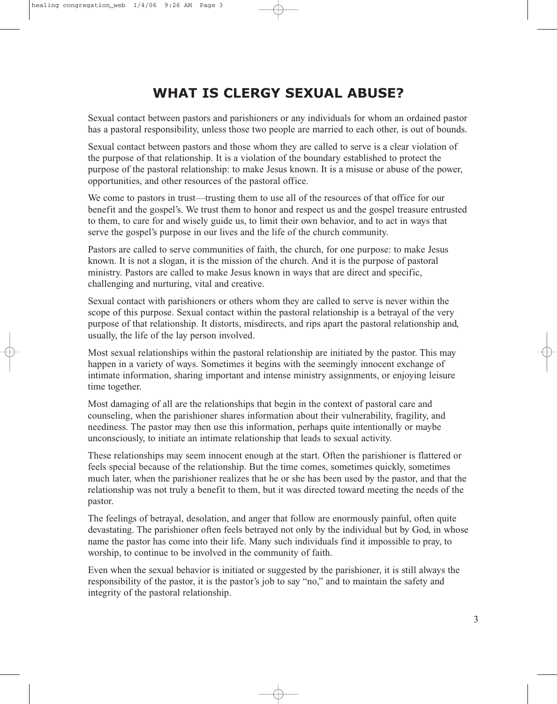# **WHAT IS CLERGY SEXUAL ABUSE?**

Sexual contact between pastors and parishioners or any individuals for whom an ordained pastor has a pastoral responsibility, unless those two people are married to each other, is out of bounds.

Sexual contact between pastors and those whom they are called to serve is a clear violation of the purpose of that relationship. It is a violation of the boundary established to protect the purpose of the pastoral relationship: to make Jesus known. It is a misuse or abuse of the power, opportunities, and other resources of the pastoral office.

We come to pastors in trust—trusting them to use all of the resources of that office for our benefit and the gospel's. We trust them to honor and respect us and the gospel treasure entrusted to them, to care for and wisely guide us, to limit their own behavior, and to act in ways that serve the gospel's purpose in our lives and the life of the church community.

Pastors are called to serve communities of faith, the church, for one purpose: to make Jesus known. It is not a slogan, it is the mission of the church. And it is the purpose of pastoral ministry. Pastors are called to make Jesus known in ways that are direct and specific, challenging and nurturing, vital and creative.

Sexual contact with parishioners or others whom they are called to serve is never within the scope of this purpose. Sexual contact within the pastoral relationship is a betrayal of the very purpose of that relationship. It distorts, misdirects, and rips apart the pastoral relationship and, usually, the life of the lay person involved.

Most sexual relationships within the pastoral relationship are initiated by the pastor. This may happen in a variety of ways. Sometimes it begins with the seemingly innocent exchange of intimate information, sharing important and intense ministry assignments, or enjoying leisure time together.

Most damaging of all are the relationships that begin in the context of pastoral care and counseling, when the parishioner shares information about their vulnerability, fragility, and neediness. The pastor may then use this information, perhaps quite intentionally or maybe unconsciously, to initiate an intimate relationship that leads to sexual activity.

These relationships may seem innocent enough at the start. Often the parishioner is flattered or feels special because of the relationship. But the time comes, sometimes quickly, sometimes much later, when the parishioner realizes that he or she has been used by the pastor, and that the relationship was not truly a benefit to them, but it was directed toward meeting the needs of the pastor.

The feelings of betrayal, desolation, and anger that follow are enormously painful, often quite devastating. The parishioner often feels betrayed not only by the individual but by God, in whose name the pastor has come into their life. Many such individuals find it impossible to pray, to worship, to continue to be involved in the community of faith.

Even when the sexual behavior is initiated or suggested by the parishioner, it is still always the responsibility of the pastor, it is the pastor's job to say "no," and to maintain the safety and integrity of the pastoral relationship.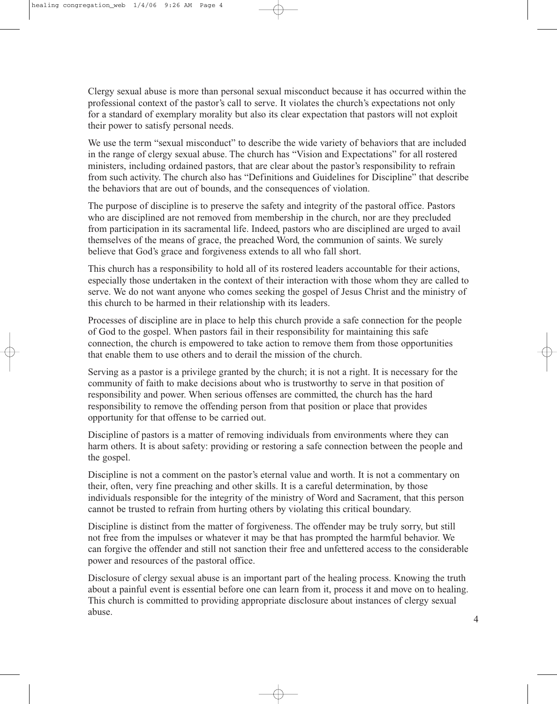Clergy sexual abuse is more than personal sexual misconduct because it has occurred within the professional context of the pastor's call to serve. It violates the church's expectations not only for a standard of exemplary morality but also its clear expectation that pastors will not exploit their power to satisfy personal needs.

We use the term "sexual misconduct" to describe the wide variety of behaviors that are included in the range of clergy sexual abuse. The church has "Vision and Expectations" for all rostered ministers, including ordained pastors, that are clear about the pastor's responsibility to refrain from such activity. The church also has "Definitions and Guidelines for Discipline" that describe the behaviors that are out of bounds, and the consequences of violation.

The purpose of discipline is to preserve the safety and integrity of the pastoral office. Pastors who are disciplined are not removed from membership in the church, nor are they precluded from participation in its sacramental life. Indeed, pastors who are disciplined are urged to avail themselves of the means of grace, the preached Word, the communion of saints. We surely believe that God's grace and forgiveness extends to all who fall short.

This church has a responsibility to hold all of its rostered leaders accountable for their actions, especially those undertaken in the context of their interaction with those whom they are called to serve. We do not want anyone who comes seeking the gospel of Jesus Christ and the ministry of this church to be harmed in their relationship with its leaders.

Processes of discipline are in place to help this church provide a safe connection for the people of God to the gospel. When pastors fail in their responsibility for maintaining this safe connection, the church is empowered to take action to remove them from those opportunities that enable them to use others and to derail the mission of the church.

Serving as a pastor is a privilege granted by the church; it is not a right. It is necessary for the community of faith to make decisions about who is trustworthy to serve in that position of responsibility and power. When serious offenses are committed, the church has the hard responsibility to remove the offending person from that position or place that provides opportunity for that offense to be carried out.

Discipline of pastors is a matter of removing individuals from environments where they can harm others. It is about safety: providing or restoring a safe connection between the people and the gospel.

Discipline is not a comment on the pastor's eternal value and worth. It is not a commentary on their, often, very fine preaching and other skills. It is a careful determination, by those individuals responsible for the integrity of the ministry of Word and Sacrament, that this person cannot be trusted to refrain from hurting others by violating this critical boundary.

Discipline is distinct from the matter of forgiveness. The offender may be truly sorry, but still not free from the impulses or whatever it may be that has prompted the harmful behavior. We can forgive the offender and still not sanction their free and unfettered access to the considerable power and resources of the pastoral office.

Disclosure of clergy sexual abuse is an important part of the healing process. Knowing the truth about a painful event is essential before one can learn from it, process it and move on to healing. This church is committed to providing appropriate disclosure about instances of clergy sexual abuse.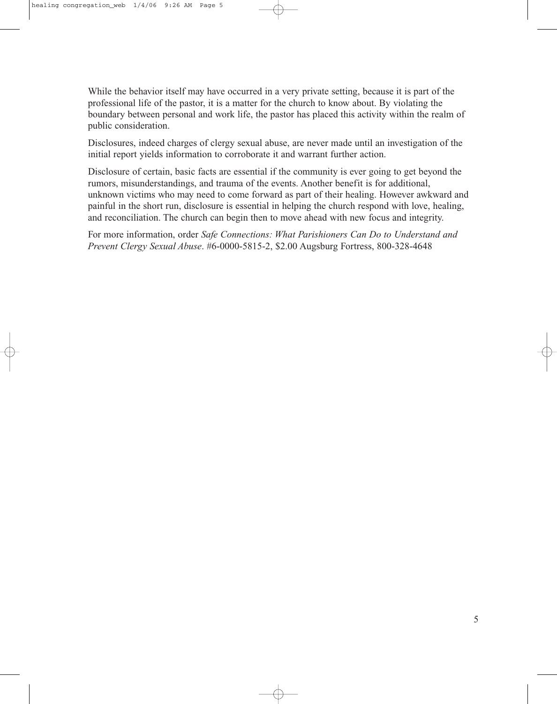While the behavior itself may have occurred in a very private setting, because it is part of the professional life of the pastor, it is a matter for the church to know about. By violating the boundary between personal and work life, the pastor has placed this activity within the realm of public consideration.

Disclosures, indeed charges of clergy sexual abuse, are never made until an investigation of the initial report yields information to corroborate it and warrant further action.

Disclosure of certain, basic facts are essential if the community is ever going to get beyond the rumors, misunderstandings, and trauma of the events. Another benefit is for additional, unknown victims who may need to come forward as part of their healing. However awkward and painful in the short run, disclosure is essential in helping the church respond with love, healing, and reconciliation. The church can begin then to move ahead with new focus and integrity.

For more information, order *Safe Connections: What Parishioners Can Do to Understand and Prevent Clergy Sexual Abuse*. #6-0000-5815-2, \$2.00 Augsburg Fortress, 800-328-4648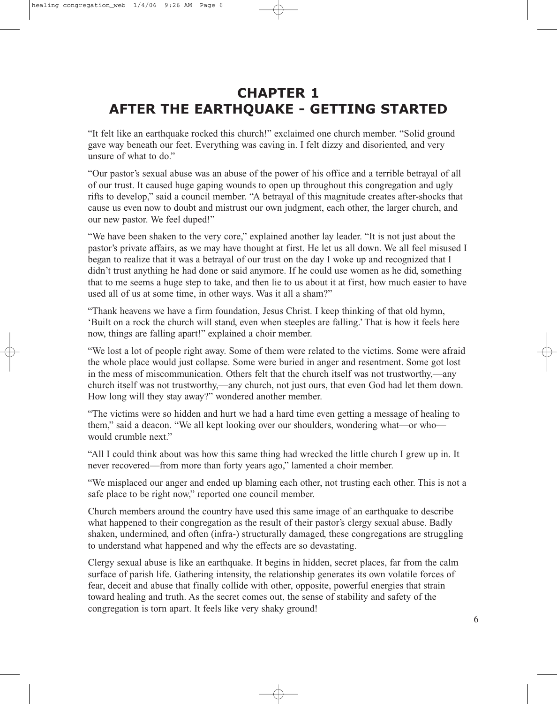# **CHAPTER 1 AFTER THE EARTHQUAKE - GETTING STARTED**

"It felt like an earthquake rocked this church!" exclaimed one church member. "Solid ground gave way beneath our feet. Everything was caving in. I felt dizzy and disoriented, and very unsure of what to do."

"Our pastor's sexual abuse was an abuse of the power of his office and a terrible betrayal of all of our trust. It caused huge gaping wounds to open up throughout this congregation and ugly rifts to develop," said a council member. "A betrayal of this magnitude creates after-shocks that cause us even now to doubt and mistrust our own judgment, each other, the larger church, and our new pastor. We feel duped!"

"We have been shaken to the very core," explained another lay leader. "It is not just about the pastor's private affairs, as we may have thought at first. He let us all down. We all feel misused I began to realize that it was a betrayal of our trust on the day I woke up and recognized that I didn't trust anything he had done or said anymore. If he could use women as he did, something that to me seems a huge step to take, and then lie to us about it at first, how much easier to have used all of us at some time, in other ways. Was it all a sham?"

"Thank heavens we have a firm foundation, Jesus Christ. I keep thinking of that old hymn, 'Built on a rock the church will stand, even when steeples are falling.' That is how it feels here now, things are falling apart!" explained a choir member.

"We lost a lot of people right away. Some of them were related to the victims. Some were afraid the whole place would just collapse. Some were buried in anger and resentment. Some got lost in the mess of miscommunication. Others felt that the church itself was not trustworthy,—any church itself was not trustworthy,—any church, not just ours, that even God had let them down. How long will they stay away?" wondered another member.

"The victims were so hidden and hurt we had a hard time even getting a message of healing to them," said a deacon. "We all kept looking over our shoulders, wondering what—or who would crumble next."

"All I could think about was how this same thing had wrecked the little church I grew up in. It never recovered—from more than forty years ago," lamented a choir member.

"We misplaced our anger and ended up blaming each other, not trusting each other. This is not a safe place to be right now," reported one council member.

Church members around the country have used this same image of an earthquake to describe what happened to their congregation as the result of their pastor's clergy sexual abuse. Badly shaken, undermined, and often (infra-) structurally damaged, these congregations are struggling to understand what happened and why the effects are so devastating.

Clergy sexual abuse is like an earthquake. It begins in hidden, secret places, far from the calm surface of parish life. Gathering intensity, the relationship generates its own volatile forces of fear, deceit and abuse that finally collide with other, opposite, powerful energies that strain toward healing and truth. As the secret comes out, the sense of stability and safety of the congregation is torn apart. It feels like very shaky ground!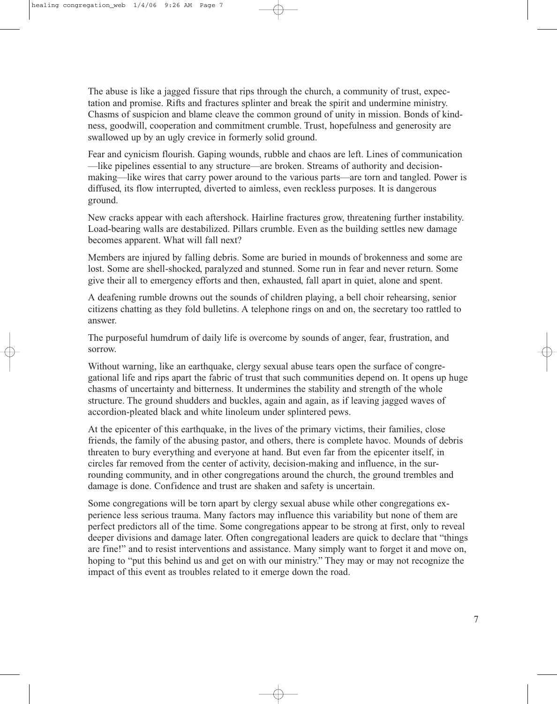The abuse is like a jagged fissure that rips through the church, a community of trust, expectation and promise. Rifts and fractures splinter and break the spirit and undermine ministry. Chasms of suspicion and blame cleave the common ground of unity in mission. Bonds of kindness, goodwill, cooperation and commitment crumble. Trust, hopefulness and generosity are swallowed up by an ugly crevice in formerly solid ground.

Fear and cynicism flourish. Gaping wounds, rubble and chaos are left. Lines of communication —like pipelines essential to any structure—are broken. Streams of authority and decisionmaking—like wires that carry power around to the various parts—are torn and tangled. Power is diffused, its flow interrupted, diverted to aimless, even reckless purposes. It is dangerous ground.

New cracks appear with each aftershock. Hairline fractures grow, threatening further instability. Load-bearing walls are destabilized. Pillars crumble. Even as the building settles new damage becomes apparent. What will fall next?

Members are injured by falling debris. Some are buried in mounds of brokenness and some are lost. Some are shell-shocked, paralyzed and stunned. Some run in fear and never return. Some give their all to emergency efforts and then, exhausted, fall apart in quiet, alone and spent.

A deafening rumble drowns out the sounds of children playing, a bell choir rehearsing, senior citizens chatting as they fold bulletins. A telephone rings on and on, the secretary too rattled to answer.

The purposeful humdrum of daily life is overcome by sounds of anger, fear, frustration, and sorrow.

Without warning, like an earthquake, clergy sexual abuse tears open the surface of congregational life and rips apart the fabric of trust that such communities depend on. It opens up huge chasms of uncertainty and bitterness. It undermines the stability and strength of the whole structure. The ground shudders and buckles, again and again, as if leaving jagged waves of accordion-pleated black and white linoleum under splintered pews.

At the epicenter of this earthquake, in the lives of the primary victims, their families, close friends, the family of the abusing pastor, and others, there is complete havoc. Mounds of debris threaten to bury everything and everyone at hand. But even far from the epicenter itself, in circles far removed from the center of activity, decision-making and influence, in the surrounding community, and in other congregations around the church, the ground trembles and damage is done. Confidence and trust are shaken and safety is uncertain.

Some congregations will be torn apart by clergy sexual abuse while other congregations experience less serious trauma. Many factors may influence this variability but none of them are perfect predictors all of the time. Some congregations appear to be strong at first, only to reveal deeper divisions and damage later. Often congregational leaders are quick to declare that "things are fine!" and to resist interventions and assistance. Many simply want to forget it and move on, hoping to "put this behind us and get on with our ministry." They may or may not recognize the impact of this event as troubles related to it emerge down the road.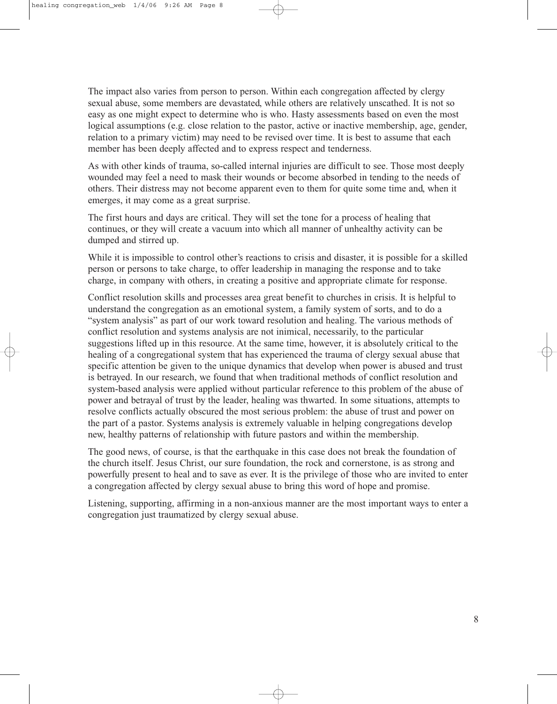The impact also varies from person to person. Within each congregation affected by clergy sexual abuse, some members are devastated, while others are relatively unscathed. It is not so easy as one might expect to determine who is who. Hasty assessments based on even the most logical assumptions (e.g. close relation to the pastor, active or inactive membership, age, gender, relation to a primary victim) may need to be revised over time. It is best to assume that each member has been deeply affected and to express respect and tenderness.

As with other kinds of trauma, so-called internal injuries are difficult to see. Those most deeply wounded may feel a need to mask their wounds or become absorbed in tending to the needs of others. Their distress may not become apparent even to them for quite some time and, when it emerges, it may come as a great surprise.

The first hours and days are critical. They will set the tone for a process of healing that continues, or they will create a vacuum into which all manner of unhealthy activity can be dumped and stirred up.

While it is impossible to control other's reactions to crisis and disaster, it is possible for a skilled person or persons to take charge, to offer leadership in managing the response and to take charge, in company with others, in creating a positive and appropriate climate for response.

Conflict resolution skills and processes area great benefit to churches in crisis. It is helpful to understand the congregation as an emotional system, a family system of sorts, and to do a "system analysis" as part of our work toward resolution and healing. The various methods of conflict resolution and systems analysis are not inimical, necessarily, to the particular suggestions lifted up in this resource. At the same time, however, it is absolutely critical to the healing of a congregational system that has experienced the trauma of clergy sexual abuse that specific attention be given to the unique dynamics that develop when power is abused and trust is betrayed. In our research, we found that when traditional methods of conflict resolution and system-based analysis were applied without particular reference to this problem of the abuse of power and betrayal of trust by the leader, healing was thwarted. In some situations, attempts to resolve conflicts actually obscured the most serious problem: the abuse of trust and power on the part of a pastor. Systems analysis is extremely valuable in helping congregations develop new, healthy patterns of relationship with future pastors and within the membership.

The good news, of course, is that the earthquake in this case does not break the foundation of the church itself. Jesus Christ, our sure foundation, the rock and cornerstone, is as strong and powerfully present to heal and to save as ever. It is the privilege of those who are invited to enter a congregation affected by clergy sexual abuse to bring this word of hope and promise.

Listening, supporting, affirming in a non-anxious manner are the most important ways to enter a congregation just traumatized by clergy sexual abuse.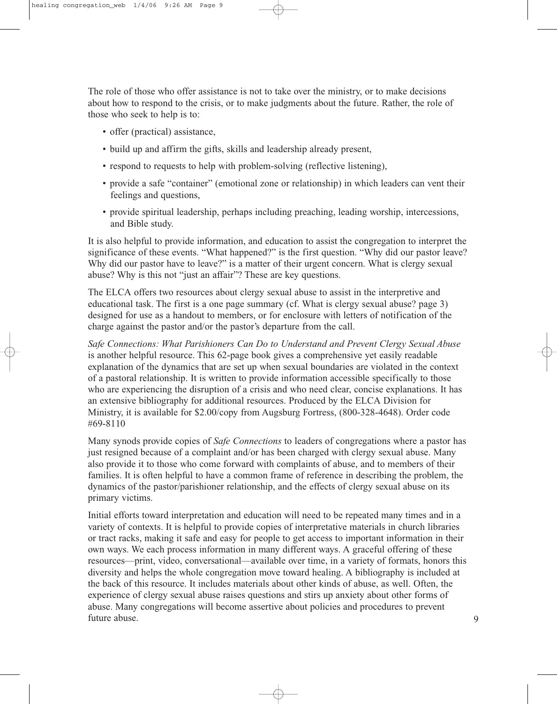The role of those who offer assistance is not to take over the ministry, or to make decisions about how to respond to the crisis, or to make judgments about the future. Rather, the role of those who seek to help is to:

- offer (practical) assistance,
- build up and affirm the gifts, skills and leadership already present,
- respond to requests to help with problem-solving (reflective listening),
- provide a safe "container" (emotional zone or relationship) in which leaders can vent their feelings and questions,
- provide spiritual leadership, perhaps including preaching, leading worship, intercessions, and Bible study.

It is also helpful to provide information, and education to assist the congregation to interpret the significance of these events. "What happened?" is the first question. "Why did our pastor leave? Why did our pastor have to leave?" is a matter of their urgent concern. What is clergy sexual abuse? Why is this not "just an affair"? These are key questions.

The ELCA offers two resources about clergy sexual abuse to assist in the interpretive and educational task. The first is a one page summary (cf. What is clergy sexual abuse? page 3) designed for use as a handout to members, or for enclosure with letters of notification of the charge against the pastor and/or the pastor's departure from the call.

*Safe Connections: What Parishioners Can Do to Understand and Prevent Clergy Sexual Abuse* is another helpful resource. This 62-page book gives a comprehensive yet easily readable explanation of the dynamics that are set up when sexual boundaries are violated in the context of a pastoral relationship. It is written to provide information accessible specifically to those who are experiencing the disruption of a crisis and who need clear, concise explanations. It has an extensive bibliography for additional resources. Produced by the ELCA Division for Ministry, it is available for \$2.00/copy from Augsburg Fortress, (800-328-4648). Order code #69-8110

Many synods provide copies of *Safe Connections* to leaders of congregations where a pastor has just resigned because of a complaint and/or has been charged with clergy sexual abuse. Many also provide it to those who come forward with complaints of abuse, and to members of their families. It is often helpful to have a common frame of reference in describing the problem, the dynamics of the pastor/parishioner relationship, and the effects of clergy sexual abuse on its primary victims.

Initial efforts toward interpretation and education will need to be repeated many times and in a variety of contexts. It is helpful to provide copies of interpretative materials in church libraries or tract racks, making it safe and easy for people to get access to important information in their own ways. We each process information in many different ways. A graceful offering of these resources—print, video, conversational—available over time, in a variety of formats, honors this diversity and helps the whole congregation move toward healing. A bibliography is included at the back of this resource. It includes materials about other kinds of abuse, as well. Often, the experience of clergy sexual abuse raises questions and stirs up anxiety about other forms of abuse. Many congregations will become assertive about policies and procedures to prevent future abuse.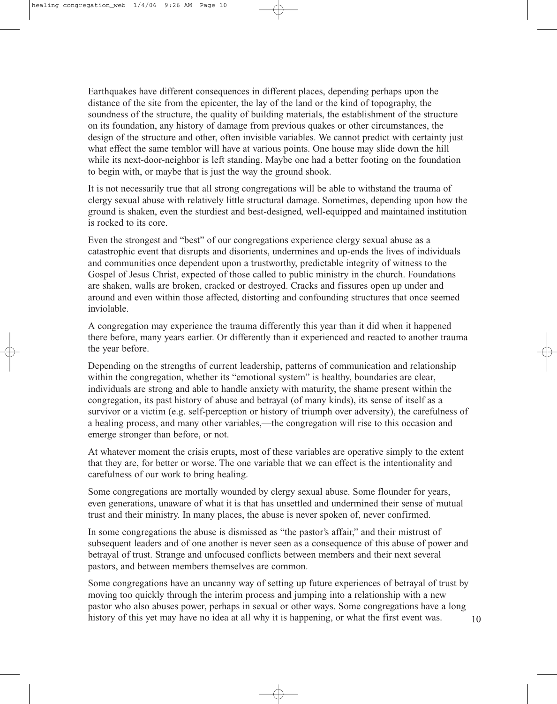Earthquakes have different consequences in different places, depending perhaps upon the distance of the site from the epicenter, the lay of the land or the kind of topography, the soundness of the structure, the quality of building materials, the establishment of the structure on its foundation, any history of damage from previous quakes or other circumstances, the design of the structure and other, often invisible variables. We cannot predict with certainty just what effect the same temblor will have at various points. One house may slide down the hill while its next-door-neighbor is left standing. Maybe one had a better footing on the foundation to begin with, or maybe that is just the way the ground shook.

It is not necessarily true that all strong congregations will be able to withstand the trauma of clergy sexual abuse with relatively little structural damage. Sometimes, depending upon how the ground is shaken, even the sturdiest and best-designed, well-equipped and maintained institution is rocked to its core.

Even the strongest and "best" of our congregations experience clergy sexual abuse as a catastrophic event that disrupts and disorients, undermines and up-ends the lives of individuals and communities once dependent upon a trustworthy, predictable integrity of witness to the Gospel of Jesus Christ, expected of those called to public ministry in the church. Foundations are shaken, walls are broken, cracked or destroyed. Cracks and fissures open up under and around and even within those affected, distorting and confounding structures that once seemed inviolable.

A congregation may experience the trauma differently this year than it did when it happened there before, many years earlier. Or differently than it experienced and reacted to another trauma the year before.

Depending on the strengths of current leadership, patterns of communication and relationship within the congregation, whether its "emotional system" is healthy, boundaries are clear, individuals are strong and able to handle anxiety with maturity, the shame present within the congregation, its past history of abuse and betrayal (of many kinds), its sense of itself as a survivor or a victim (e.g. self-perception or history of triumph over adversity), the carefulness of a healing process, and many other variables,—the congregation will rise to this occasion and emerge stronger than before, or not.

At whatever moment the crisis erupts, most of these variables are operative simply to the extent that they are, for better or worse. The one variable that we can effect is the intentionality and carefulness of our work to bring healing.

Some congregations are mortally wounded by clergy sexual abuse. Some flounder for years, even generations, unaware of what it is that has unsettled and undermined their sense of mutual trust and their ministry. In many places, the abuse is never spoken of, never confirmed.

In some congregations the abuse is dismissed as "the pastor's affair," and their mistrust of subsequent leaders and of one another is never seen as a consequence of this abuse of power and betrayal of trust. Strange and unfocused conflicts between members and their next several pastors, and between members themselves are common.

Some congregations have an uncanny way of setting up future experiences of betrayal of trust by moving too quickly through the interim process and jumping into a relationship with a new pastor who also abuses power, perhaps in sexual or other ways. Some congregations have a long history of this yet may have no idea at all why it is happening, or what the first event was.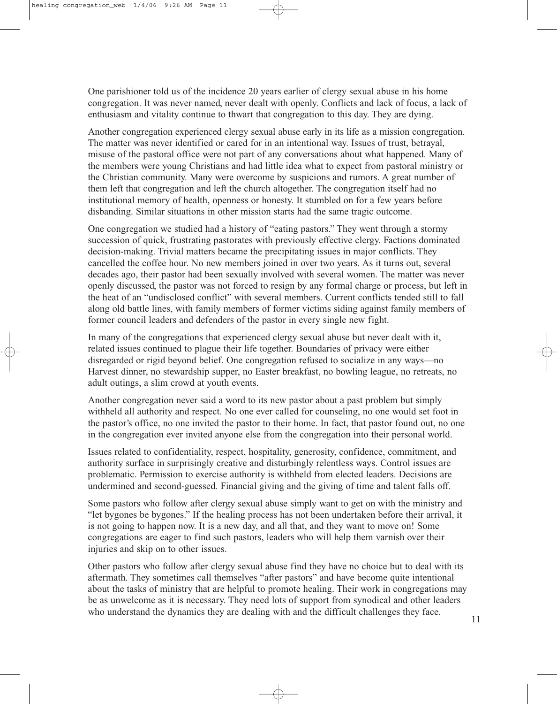One parishioner told us of the incidence 20 years earlier of clergy sexual abuse in his home congregation. It was never named, never dealt with openly. Conflicts and lack of focus, a lack of enthusiasm and vitality continue to thwart that congregation to this day. They are dying.

Another congregation experienced clergy sexual abuse early in its life as a mission congregation. The matter was never identified or cared for in an intentional way. Issues of trust, betrayal, misuse of the pastoral office were not part of any conversations about what happened. Many of the members were young Christians and had little idea what to expect from pastoral ministry or the Christian community. Many were overcome by suspicions and rumors. A great number of them left that congregation and left the church altogether. The congregation itself had no institutional memory of health, openness or honesty. It stumbled on for a few years before disbanding. Similar situations in other mission starts had the same tragic outcome.

One congregation we studied had a history of "eating pastors." They went through a stormy succession of quick, frustrating pastorates with previously effective clergy. Factions dominated decision-making. Trivial matters became the precipitating issues in major conflicts. They cancelled the coffee hour. No new members joined in over two years. As it turns out, several decades ago, their pastor had been sexually involved with several women. The matter was never openly discussed, the pastor was not forced to resign by any formal charge or process, but left in the heat of an "undisclosed conflict" with several members. Current conflicts tended still to fall along old battle lines, with family members of former victims siding against family members of former council leaders and defenders of the pastor in every single new fight.

In many of the congregations that experienced clergy sexual abuse but never dealt with it, related issues continued to plague their life together. Boundaries of privacy were either disregarded or rigid beyond belief. One congregation refused to socialize in any ways—no Harvest dinner, no stewardship supper, no Easter breakfast, no bowling league, no retreats, no adult outings, a slim crowd at youth events.

Another congregation never said a word to its new pastor about a past problem but simply withheld all authority and respect. No one ever called for counseling, no one would set foot in the pastor's office, no one invited the pastor to their home. In fact, that pastor found out, no one in the congregation ever invited anyone else from the congregation into their personal world.

Issues related to confidentiality, respect, hospitality, generosity, confidence, commitment, and authority surface in surprisingly creative and disturbingly relentless ways. Control issues are problematic. Permission to exercise authority is withheld from elected leaders. Decisions are undermined and second-guessed. Financial giving and the giving of time and talent falls off.

Some pastors who follow after clergy sexual abuse simply want to get on with the ministry and "let bygones be bygones." If the healing process has not been undertaken before their arrival, it is not going to happen now. It is a new day, and all that, and they want to move on! Some congregations are eager to find such pastors, leaders who will help them varnish over their injuries and skip on to other issues.

Other pastors who follow after clergy sexual abuse find they have no choice but to deal with its aftermath. They sometimes call themselves "after pastors" and have become quite intentional about the tasks of ministry that are helpful to promote healing. Their work in congregations may be as unwelcome as it is necessary. They need lots of support from synodical and other leaders who understand the dynamics they are dealing with and the difficult challenges they face.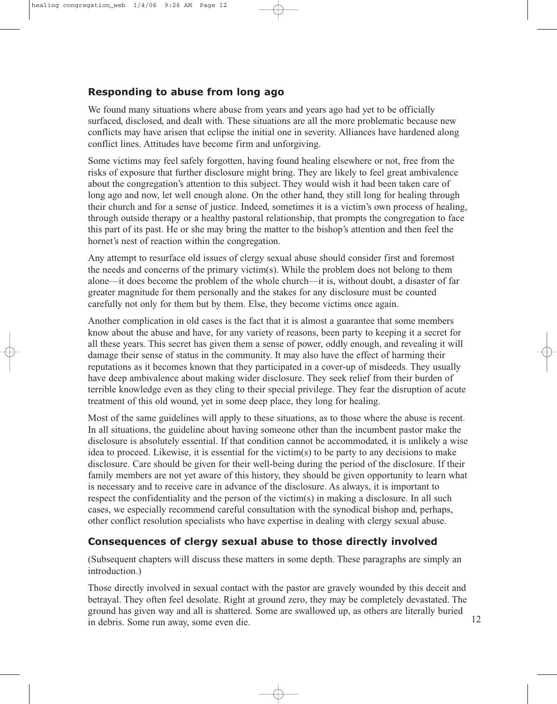## **Responding to abuse from long ago**

We found many situations where abuse from years and years ago had yet to be officially surfaced, disclosed, and dealt with. These situations are all the more problematic because new conflicts may have arisen that eclipse the initial one in severity. Alliances have hardened along conflict lines. Attitudes have become firm and unforgiving.

Some victims may feel safely forgotten, having found healing elsewhere or not, free from the risks of exposure that further disclosure might bring. They are likely to feel great ambivalence about the congregation's attention to this subject. They would wish it had been taken care of long ago and now, let well enough alone. On the other hand, they still long for healing through their church and for a sense of justice. Indeed, sometimes it is a victim's own process of healing, through outside therapy or a healthy pastoral relationship, that prompts the congregation to face this part of its past. He or she may bring the matter to the bishop's attention and then feel the hornet's nest of reaction within the congregation.

Any attempt to resurface old issues of clergy sexual abuse should consider first and foremost the needs and concerns of the primary victim(s). While the problem does not belong to them alone—it does become the problem of the whole church—it is, without doubt, a disaster of far greater magnitude for them personally and the stakes for any disclosure must be counted carefully not only for them but by them. Else, they become victims once again.

Another complication in old cases is the fact that it is almost a guarantee that some members know about the abuse and have, for any variety of reasons, been party to keeping it a secret for all these years. This secret has given them a sense of power, oddly enough, and revealing it will damage their sense of status in the community. It may also have the effect of harming their reputations as it becomes known that they participated in a cover-up of misdeeds. They usually have deep ambivalence about making wider disclosure. They seek relief from their burden of terrible knowledge even as they cling to their special privilege. They fear the disruption of acute treatment of this old wound, yet in some deep place, they long for healing.

Most of the same guidelines will apply to these situations, as to those where the abuse is recent. In all situations, the guideline about having someone other than the incumbent pastor make the disclosure is absolutely essential. If that condition cannot be accommodated, it is unlikely a wise idea to proceed. Likewise, it is essential for the victim(s) to be party to any decisions to make disclosure. Care should be given for their well-being during the period of the disclosure. If their family members are not yet aware of this history, they should be given opportunity to learn what is necessary and to receive care in advance of the disclosure. As always, it is important to respect the confidentiality and the person of the victim(s) in making a disclosure. In all such cases, we especially recommend careful consultation with the synodical bishop and, perhaps, other conflict resolution specialists who have expertise in dealing with clergy sexual abuse.

## **Consequences of clergy sexual abuse to those directly involved**

(Subsequent chapters will discuss these matters in some depth. These paragraphs are simply an introduction.)

Those directly involved in sexual contact with the pastor are gravely wounded by this deceit and betrayal. They often feel desolate. Right at ground zero, they may be completely devastated. The ground has given way and all is shattered. Some are swallowed up, as others are literally buried in debris. Some run away, some even die.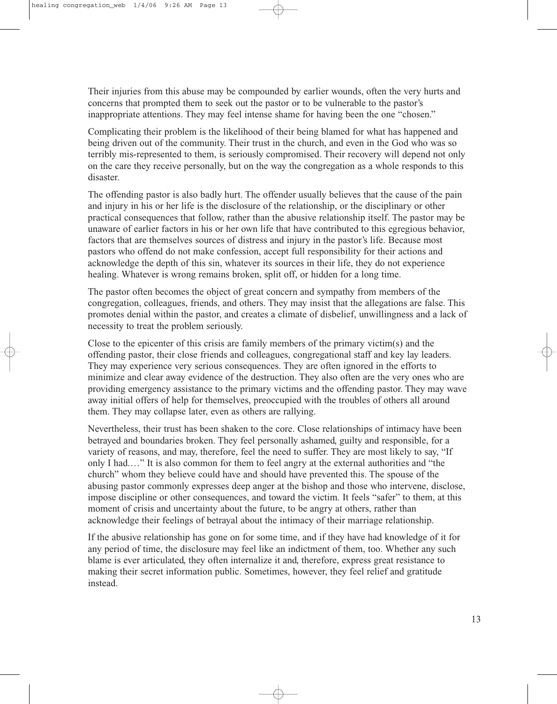Their injuries from this abuse may be compounded by earlier wounds, often the very hurts and concerns that prompted them to seek out the pastor or to be vulnerable to the pastor's inappropriate attentions. They may feel intense shame for having been the one "chosen."

Complicating their problem is the likelihood of their being blamed for what has happened and being driven out of the community. Their trust in the church, and even in the God who was so terribly mis-represented to them, is seriously compromised. Their recovery will depend not only on the care they receive personally, but on the way the congregation as a whole responds to this disaster.

The offending pastor is also badly hurt. The offender usually believes that the cause of the pain and injury in his or her life is the disclosure of the relationship, or the disciplinary or other practical consequences that follow, rather than the abusive relationship itself. The pastor may be unaware of earlier factors in his or her own life that have contributed to this egregious behavior, factors that are themselves sources of distress and injury in the pastor's life. Because most pastors who offend do not make confession, accept full responsibility for their actions and acknowledge the depth of this sin, whatever its sources in their life, they do not experience healing. Whatever is wrong remains broken, split off, or hidden for a long time.

The pastor often becomes the object of great concern and sympathy from members of the congregation, colleagues, friends, and others. They may insist that the allegations are false. This promotes denial within the pastor, and creates a climate of disbelief, unwillingness and a lack of necessity to treat the problem seriously.

Close to the epicenter of this crisis are family members of the primary victim(s) and the offending pastor, their close friends and colleagues, congregational staff and key lay leaders. They may experience very serious consequences. They are often ignored in the efforts to minimize and clear away evidence of the destruction. They also often are the very ones who are providing emergency assistance to the primary victims and the offending pastor. They may wave away initial offers of help for themselves, preoccupied with the troubles of others all around them. They may collapse later, even as others are rallying.

Nevertheless, their trust has been shaken to the core. Close relationships of intimacy have been betrayed and boundaries broken. They feel personally ashamed, guilty and responsible, for a variety of reasons, and may, therefore, feel the need to suffer. They are most likely to say, "If only I had.…" It is also common for them to feel angry at the external authorities and "the church" whom they believe could have and should have prevented this. The spouse of the abusing pastor commonly expresses deep anger at the bishop and those who intervene, disclose, impose discipline or other consequences, and toward the victim. It feels "safer" to them, at this moment of crisis and uncertainty about the future, to be angry at others, rather than acknowledge their feelings of betrayal about the intimacy of their marriage relationship.

If the abusive relationship has gone on for some time, and if they have had knowledge of it for any period of time, the disclosure may feel like an indictment of them, too. Whether any such blame is ever articulated, they often internalize it and, therefore, express great resistance to making their secret information public. Sometimes, however, they feel relief and gratitude instead.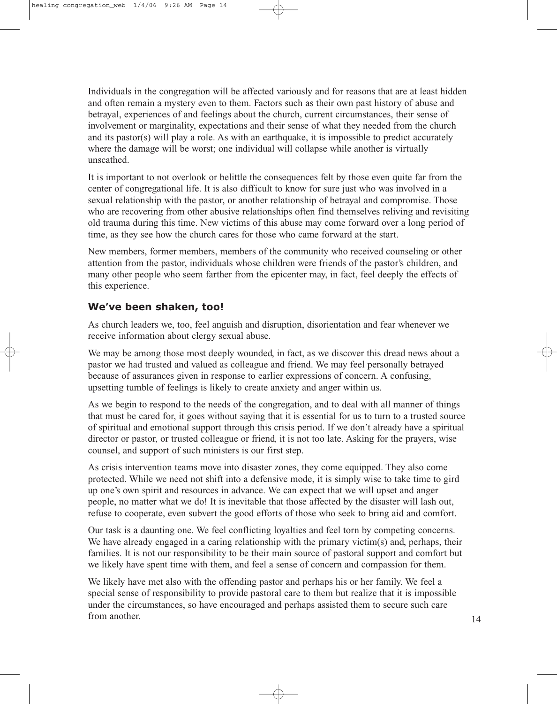Individuals in the congregation will be affected variously and for reasons that are at least hidden and often remain a mystery even to them. Factors such as their own past history of abuse and betrayal, experiences of and feelings about the church, current circumstances, their sense of involvement or marginality, expectations and their sense of what they needed from the church and its pastor(s) will play a role. As with an earthquake, it is impossible to predict accurately where the damage will be worst; one individual will collapse while another is virtually unscathed.

It is important to not overlook or belittle the consequences felt by those even quite far from the center of congregational life. It is also difficult to know for sure just who was involved in a sexual relationship with the pastor, or another relationship of betrayal and compromise. Those who are recovering from other abusive relationships often find themselves reliving and revisiting old trauma during this time. New victims of this abuse may come forward over a long period of time, as they see how the church cares for those who came forward at the start.

New members, former members, members of the community who received counseling or other attention from the pastor, individuals whose children were friends of the pastor's children, and many other people who seem farther from the epicenter may, in fact, feel deeply the effects of this experience.

## **We've been shaken, too!**

As church leaders we, too, feel anguish and disruption, disorientation and fear whenever we receive information about clergy sexual abuse.

We may be among those most deeply wounded, in fact, as we discover this dread news about a pastor we had trusted and valued as colleague and friend. We may feel personally betrayed because of assurances given in response to earlier expressions of concern. A confusing, upsetting tumble of feelings is likely to create anxiety and anger within us.

As we begin to respond to the needs of the congregation, and to deal with all manner of things that must be cared for, it goes without saying that it is essential for us to turn to a trusted source of spiritual and emotional support through this crisis period. If we don't already have a spiritual director or pastor, or trusted colleague or friend, it is not too late. Asking for the prayers, wise counsel, and support of such ministers is our first step.

As crisis intervention teams move into disaster zones, they come equipped. They also come protected. While we need not shift into a defensive mode, it is simply wise to take time to gird up one's own spirit and resources in advance. We can expect that we will upset and anger people, no matter what we do! It is inevitable that those affected by the disaster will lash out, refuse to cooperate, even subvert the good efforts of those who seek to bring aid and comfort.

Our task is a daunting one. We feel conflicting loyalties and feel torn by competing concerns. We have already engaged in a caring relationship with the primary victim(s) and, perhaps, their families. It is not our responsibility to be their main source of pastoral support and comfort but we likely have spent time with them, and feel a sense of concern and compassion for them.

We likely have met also with the offending pastor and perhaps his or her family. We feel a special sense of responsibility to provide pastoral care to them but realize that it is impossible under the circumstances, so have encouraged and perhaps assisted them to secure such care from another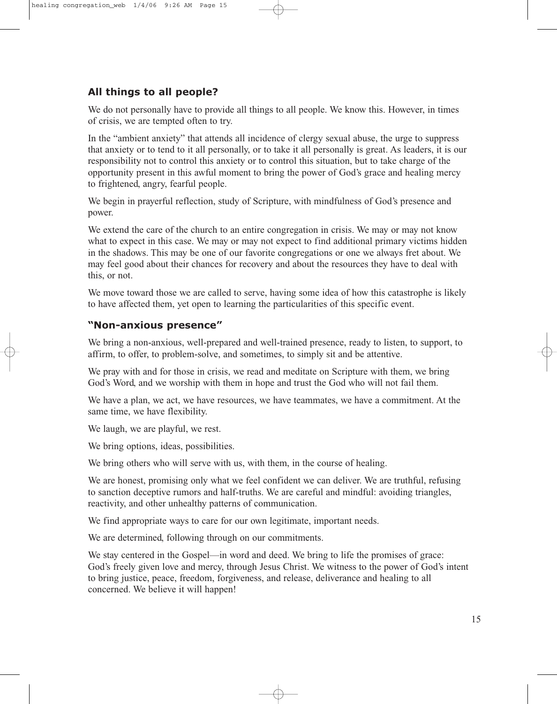## **All things to all people?**

We do not personally have to provide all things to all people. We know this. However, in times of crisis, we are tempted often to try.

In the "ambient anxiety" that attends all incidence of clergy sexual abuse, the urge to suppress that anxiety or to tend to it all personally, or to take it all personally is great. As leaders, it is our responsibility not to control this anxiety or to control this situation, but to take charge of the opportunity present in this awful moment to bring the power of God's grace and healing mercy to frightened, angry, fearful people.

We begin in prayerful reflection, study of Scripture, with mindfulness of God's presence and power.

We extend the care of the church to an entire congregation in crisis. We may or may not know what to expect in this case. We may or may not expect to find additional primary victims hidden in the shadows. This may be one of our favorite congregations or one we always fret about. We may feel good about their chances for recovery and about the resources they have to deal with this, or not.

We move toward those we are called to serve, having some idea of how this catastrophe is likely to have affected them, yet open to learning the particularities of this specific event.

### **"Non-anxious presence"**

We bring a non-anxious, well-prepared and well-trained presence, ready to listen, to support, to affirm, to offer, to problem-solve, and sometimes, to simply sit and be attentive.

We pray with and for those in crisis, we read and meditate on Scripture with them, we bring God's Word, and we worship with them in hope and trust the God who will not fail them.

We have a plan, we act, we have resources, we have teammates, we have a commitment. At the same time, we have flexibility.

We laugh, we are playful, we rest.

We bring options, ideas, possibilities.

We bring others who will serve with us, with them, in the course of healing.

We are honest, promising only what we feel confident we can deliver. We are truthful, refusing to sanction deceptive rumors and half-truths. We are careful and mindful: avoiding triangles, reactivity, and other unhealthy patterns of communication.

We find appropriate ways to care for our own legitimate, important needs.

We are determined, following through on our commitments.

We stay centered in the Gospel—in word and deed. We bring to life the promises of grace: God's freely given love and mercy, through Jesus Christ. We witness to the power of God's intent to bring justice, peace, freedom, forgiveness, and release, deliverance and healing to all concerned. We believe it will happen!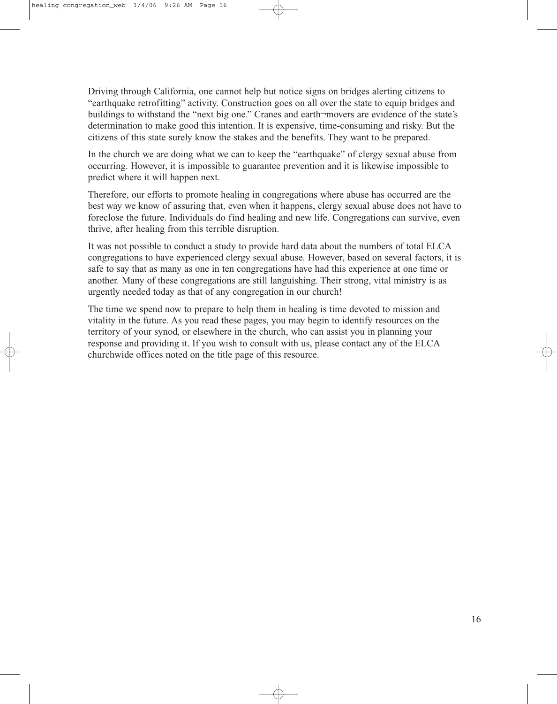Driving through California, one cannot help but notice signs on bridges alerting citizens to "earthquake retrofitting" activity. Construction goes on all over the state to equip bridges and buildings to withstand the "next big one." Cranes and earth-movers are evidence of the state's determination to make good this intention. It is expensive, time-consuming and risky. But the citizens of this state surely know the stakes and the benefits. They want to be prepared.

In the church we are doing what we can to keep the "earthquake" of clergy sexual abuse from occurring. However, it is impossible to guarantee prevention and it is likewise impossible to predict where it will happen next.

Therefore, our efforts to promote healing in congregations where abuse has occurred are the best way we know of assuring that, even when it happens, clergy sexual abuse does not have to foreclose the future. Individuals do find healing and new life. Congregations can survive, even thrive, after healing from this terrible disruption.

It was not possible to conduct a study to provide hard data about the numbers of total ELCA congregations to have experienced clergy sexual abuse. However, based on several factors, it is safe to say that as many as one in ten congregations have had this experience at one time or another. Many of these congregations are still languishing. Their strong, vital ministry is as urgently needed today as that of any congregation in our church!

The time we spend now to prepare to help them in healing is time devoted to mission and vitality in the future. As you read these pages, you may begin to identify resources on the territory of your synod, or elsewhere in the church, who can assist you in planning your response and providing it. If you wish to consult with us, please contact any of the ELCA churchwide offices noted on the title page of this resource.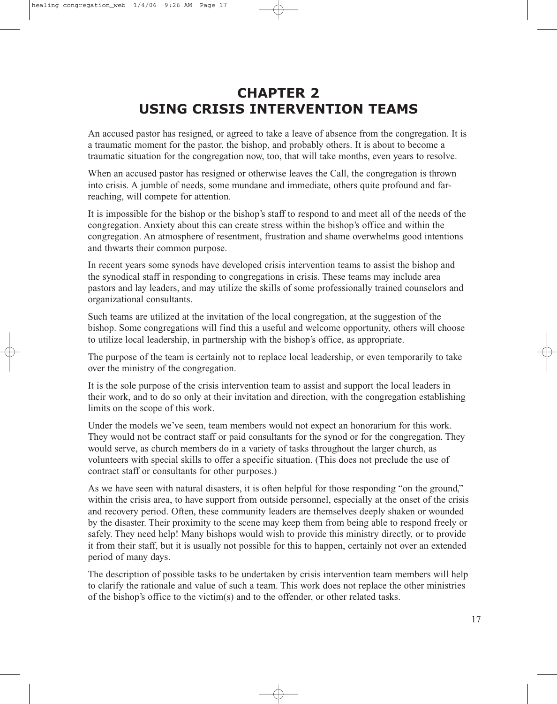# **CHAPTER 2 USING CRISIS INTERVENTION TEAMS**

An accused pastor has resigned, or agreed to take a leave of absence from the congregation. It is a traumatic moment for the pastor, the bishop, and probably others. It is about to become a traumatic situation for the congregation now, too, that will take months, even years to resolve.

When an accused pastor has resigned or otherwise leaves the Call, the congregation is thrown into crisis. A jumble of needs, some mundane and immediate, others quite profound and farreaching, will compete for attention.

It is impossible for the bishop or the bishop's staff to respond to and meet all of the needs of the congregation. Anxiety about this can create stress within the bishop's office and within the congregation. An atmosphere of resentment, frustration and shame overwhelms good intentions and thwarts their common purpose.

In recent years some synods have developed crisis intervention teams to assist the bishop and the synodical staff in responding to congregations in crisis. These teams may include area pastors and lay leaders, and may utilize the skills of some professionally trained counselors and organizational consultants.

Such teams are utilized at the invitation of the local congregation, at the suggestion of the bishop. Some congregations will find this a useful and welcome opportunity, others will choose to utilize local leadership, in partnership with the bishop's office, as appropriate.

The purpose of the team is certainly not to replace local leadership, or even temporarily to take over the ministry of the congregation.

It is the sole purpose of the crisis intervention team to assist and support the local leaders in their work, and to do so only at their invitation and direction, with the congregation establishing limits on the scope of this work.

Under the models we've seen, team members would not expect an honorarium for this work. They would not be contract staff or paid consultants for the synod or for the congregation. They would serve, as church members do in a variety of tasks throughout the larger church, as volunteers with special skills to offer a specific situation. (This does not preclude the use of contract staff or consultants for other purposes.)

As we have seen with natural disasters, it is often helpful for those responding "on the ground," within the crisis area, to have support from outside personnel, especially at the onset of the crisis and recovery period. Often, these community leaders are themselves deeply shaken or wounded by the disaster. Their proximity to the scene may keep them from being able to respond freely or safely. They need help! Many bishops would wish to provide this ministry directly, or to provide it from their staff, but it is usually not possible for this to happen, certainly not over an extended period of many days.

The description of possible tasks to be undertaken by crisis intervention team members will help to clarify the rationale and value of such a team. This work does not replace the other ministries of the bishop's office to the victim(s) and to the offender, or other related tasks.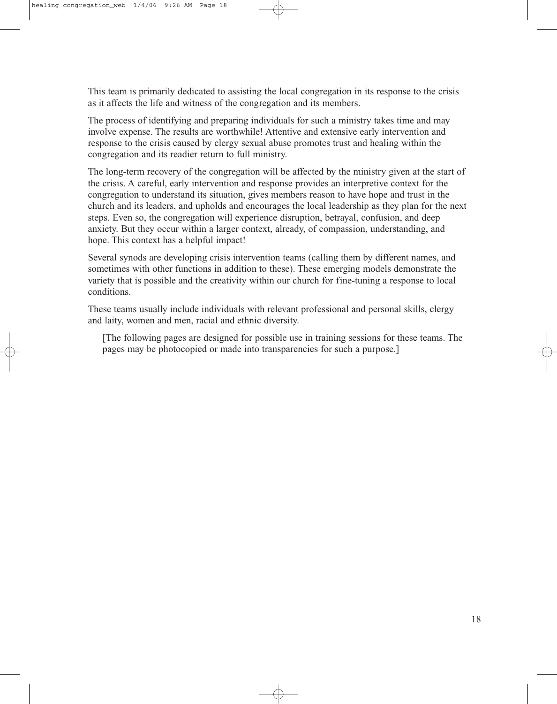This team is primarily dedicated to assisting the local congregation in its response to the crisis as it affects the life and witness of the congregation and its members.

The process of identifying and preparing individuals for such a ministry takes time and may involve expense. The results are worthwhile! Attentive and extensive early intervention and response to the crisis caused by clergy sexual abuse promotes trust and healing within the congregation and its readier return to full ministry.

The long-term recovery of the congregation will be affected by the ministry given at the start of the crisis. A careful, early intervention and response provides an interpretive context for the congregation to understand its situation, gives members reason to have hope and trust in the church and its leaders, and upholds and encourages the local leadership as they plan for the next steps. Even so, the congregation will experience disruption, betrayal, confusion, and deep anxiety. But they occur within a larger context, already, of compassion, understanding, and hope. This context has a helpful impact!

Several synods are developing crisis intervention teams (calling them by different names, and sometimes with other functions in addition to these). These emerging models demonstrate the variety that is possible and the creativity within our church for fine-tuning a response to local conditions.

These teams usually include individuals with relevant professional and personal skills, clergy and laity, women and men, racial and ethnic diversity.

[The following pages are designed for possible use in training sessions for these teams. The pages may be photocopied or made into transparencies for such a purpose.]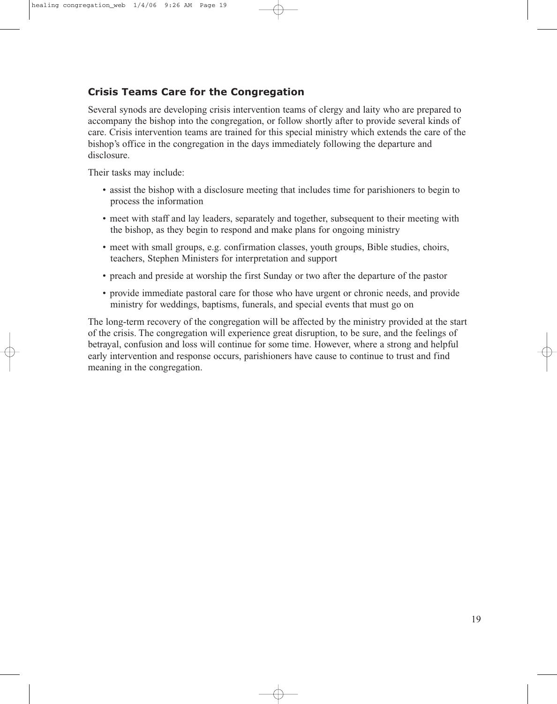## **Crisis Teams Care for the Congregation**

Several synods are developing crisis intervention teams of clergy and laity who are prepared to accompany the bishop into the congregation, or follow shortly after to provide several kinds of care. Crisis intervention teams are trained for this special ministry which extends the care of the bishop's office in the congregation in the days immediately following the departure and disclosure.

Their tasks may include:

- assist the bishop with a disclosure meeting that includes time for parishioners to begin to process the information
- meet with staff and lay leaders, separately and together, subsequent to their meeting with the bishop, as they begin to respond and make plans for ongoing ministry
- meet with small groups, e.g. confirmation classes, youth groups, Bible studies, choirs, teachers, Stephen Ministers for interpretation and support
- preach and preside at worship the first Sunday or two after the departure of the pastor
- provide immediate pastoral care for those who have urgent or chronic needs, and provide ministry for weddings, baptisms, funerals, and special events that must go on

The long-term recovery of the congregation will be affected by the ministry provided at the start of the crisis. The congregation will experience great disruption, to be sure, and the feelings of betrayal, confusion and loss will continue for some time. However, where a strong and helpful early intervention and response occurs, parishioners have cause to continue to trust and find meaning in the congregation.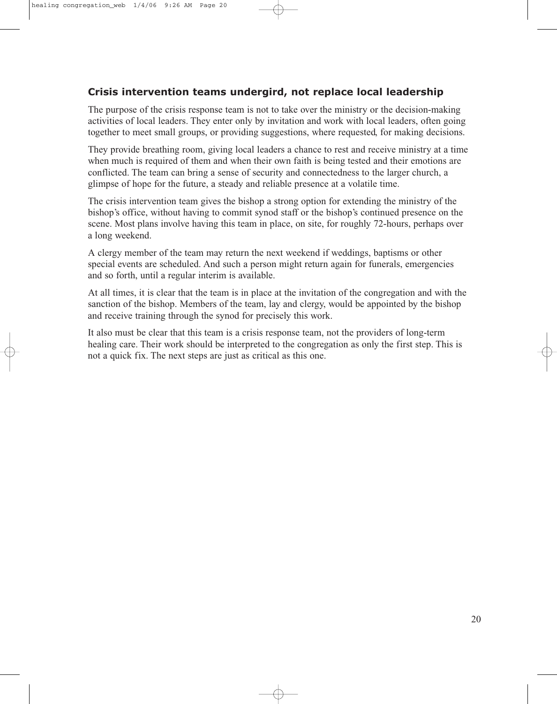## **Crisis intervention teams undergird, not replace local leadership**

The purpose of the crisis response team is not to take over the ministry or the decision-making activities of local leaders. They enter only by invitation and work with local leaders, often going together to meet small groups, or providing suggestions, where requested, for making decisions.

They provide breathing room, giving local leaders a chance to rest and receive ministry at a time when much is required of them and when their own faith is being tested and their emotions are conflicted. The team can bring a sense of security and connectedness to the larger church, a glimpse of hope for the future, a steady and reliable presence at a volatile time.

The crisis intervention team gives the bishop a strong option for extending the ministry of the bishop's office, without having to commit synod staff or the bishop's continued presence on the scene. Most plans involve having this team in place, on site, for roughly 72-hours, perhaps over a long weekend.

A clergy member of the team may return the next weekend if weddings, baptisms or other special events are scheduled. And such a person might return again for funerals, emergencies and so forth, until a regular interim is available.

At all times, it is clear that the team is in place at the invitation of the congregation and with the sanction of the bishop. Members of the team, lay and clergy, would be appointed by the bishop and receive training through the synod for precisely this work.

It also must be clear that this team is a crisis response team, not the providers of long-term healing care. Their work should be interpreted to the congregation as only the first step. This is not a quick fix. The next steps are just as critical as this one.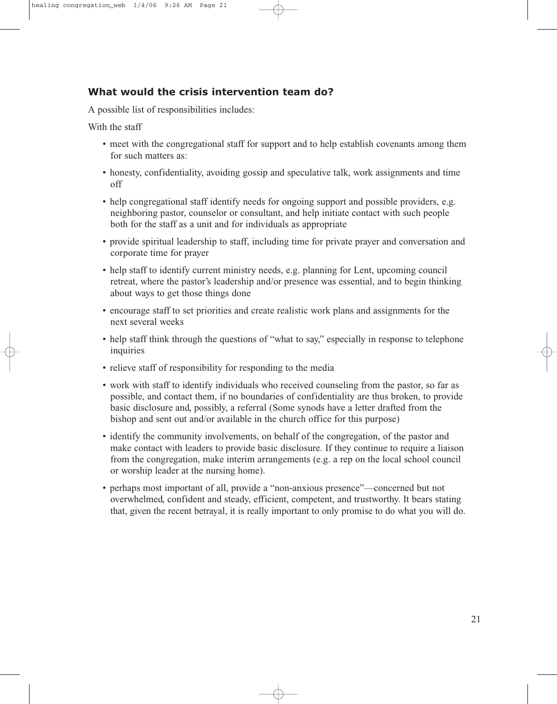## **What would the crisis intervention team do?**

A possible list of responsibilities includes:

With the staff

- meet with the congregational staff for support and to help establish covenants among them for such matters as:
- honesty, confidentiality, avoiding gossip and speculative talk, work assignments and time off
- help congregational staff identify needs for ongoing support and possible providers, e.g. neighboring pastor, counselor or consultant, and help initiate contact with such people both for the staff as a unit and for individuals as appropriate
- provide spiritual leadership to staff, including time for private prayer and conversation and corporate time for prayer
- help staff to identify current ministry needs, e.g. planning for Lent, upcoming council retreat, where the pastor's leadership and/or presence was essential, and to begin thinking about ways to get those things done
- encourage staff to set priorities and create realistic work plans and assignments for the next several weeks
- help staff think through the questions of "what to say," especially in response to telephone inquiries
- relieve staff of responsibility for responding to the media
- work with staff to identify individuals who received counseling from the pastor, so far as possible, and contact them, if no boundaries of confidentiality are thus broken, to provide basic disclosure and, possibly, a referral (Some synods have a letter drafted from the bishop and sent out and/or available in the church office for this purpose)
- identify the community involvements, on behalf of the congregation, of the pastor and make contact with leaders to provide basic disclosure. If they continue to require a liaison from the congregation, make interim arrangements (e.g. a rep on the local school council or worship leader at the nursing home).
- perhaps most important of all, provide a "non-anxious presence"—concerned but not overwhelmed, confident and steady, efficient, competent, and trustworthy. It bears stating that, given the recent betrayal, it is really important to only promise to do what you will do.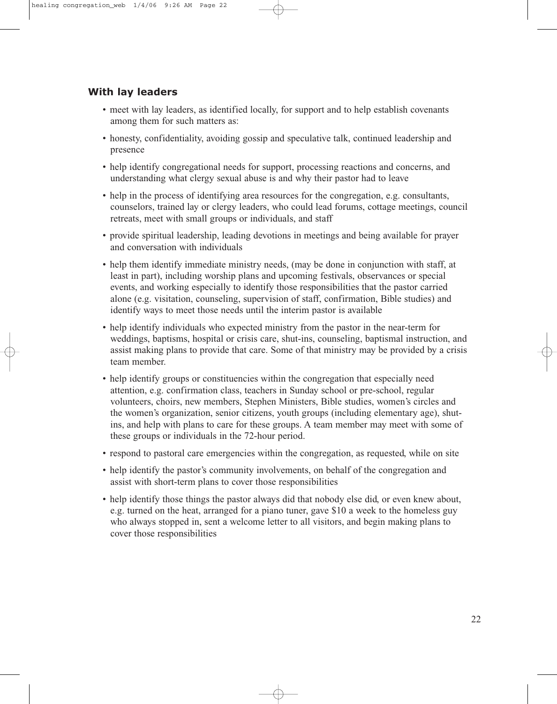### **With lay leaders**

- meet with lay leaders, as identified locally, for support and to help establish covenants among them for such matters as:
- honesty, confidentiality, avoiding gossip and speculative talk, continued leadership and presence
- help identify congregational needs for support, processing reactions and concerns, and understanding what clergy sexual abuse is and why their pastor had to leave
- help in the process of identifying area resources for the congregation, e.g. consultants, counselors, trained lay or clergy leaders, who could lead forums, cottage meetings, council retreats, meet with small groups or individuals, and staff
- provide spiritual leadership, leading devotions in meetings and being available for prayer and conversation with individuals
- help them identify immediate ministry needs, (may be done in conjunction with staff, at least in part), including worship plans and upcoming festivals, observances or special events, and working especially to identify those responsibilities that the pastor carried alone (e.g. visitation, counseling, supervision of staff, confirmation, Bible studies) and identify ways to meet those needs until the interim pastor is available
- help identify individuals who expected ministry from the pastor in the near-term for weddings, baptisms, hospital or crisis care, shut-ins, counseling, baptismal instruction, and assist making plans to provide that care. Some of that ministry may be provided by a crisis team member.
- help identify groups or constituencies within the congregation that especially need attention, e.g. confirmation class, teachers in Sunday school or pre-school, regular volunteers, choirs, new members, Stephen Ministers, Bible studies, women's circles and the women's organization, senior citizens, youth groups (including elementary age), shutins, and help with plans to care for these groups. A team member may meet with some of these groups or individuals in the 72-hour period.
- respond to pastoral care emergencies within the congregation, as requested, while on site
- help identify the pastor's community involvements, on behalf of the congregation and assist with short-term plans to cover those responsibilities
- help identify those things the pastor always did that nobody else did, or even knew about, e.g. turned on the heat, arranged for a piano tuner, gave \$10 a week to the homeless guy who always stopped in, sent a welcome letter to all visitors, and begin making plans to cover those responsibilities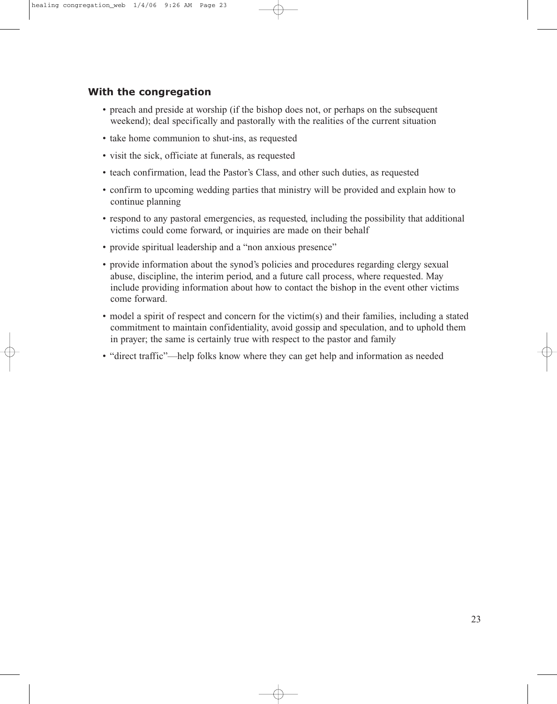### **With the congregation**

- preach and preside at worship (if the bishop does not, or perhaps on the subsequent weekend); deal specifically and pastorally with the realities of the current situation
- take home communion to shut-ins, as requested
- visit the sick, officiate at funerals, as requested
- teach confirmation, lead the Pastor's Class, and other such duties, as requested
- confirm to upcoming wedding parties that ministry will be provided and explain how to continue planning
- respond to any pastoral emergencies, as requested, including the possibility that additional victims could come forward, or inquiries are made on their behalf
- provide spiritual leadership and a "non anxious presence"
- provide information about the synod's policies and procedures regarding clergy sexual abuse, discipline, the interim period, and a future call process, where requested. May include providing information about how to contact the bishop in the event other victims come forward.
- model a spirit of respect and concern for the victim(s) and their families, including a stated commitment to maintain confidentiality, avoid gossip and speculation, and to uphold them in prayer; the same is certainly true with respect to the pastor and family
- "direct traffic"—help folks know where they can get help and information as needed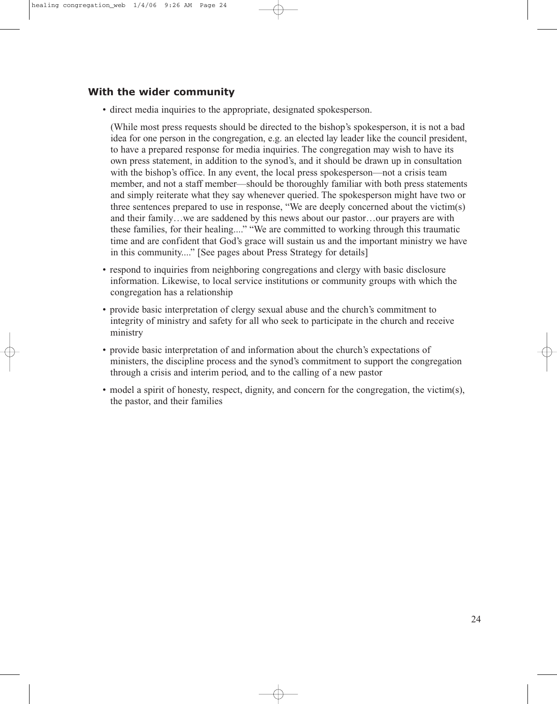### **With the wider community**

• direct media inquiries to the appropriate, designated spokesperson.

(While most press requests should be directed to the bishop's spokesperson, it is not a bad idea for one person in the congregation, e.g. an elected lay leader like the council president, to have a prepared response for media inquiries. The congregation may wish to have its own press statement, in addition to the synod's, and it should be drawn up in consultation with the bishop's office. In any event, the local press spokesperson—not a crisis team member, and not a staff member—should be thoroughly familiar with both press statements and simply reiterate what they say whenever queried. The spokesperson might have two or three sentences prepared to use in response, "We are deeply concerned about the victim(s) and their family…we are saddened by this news about our pastor…our prayers are with these families, for their healing...." "We are committed to working through this traumatic time and are confident that God's grace will sustain us and the important ministry we have in this community...." [See pages about Press Strategy for details]

- respond to inquiries from neighboring congregations and clergy with basic disclosure information. Likewise, to local service institutions or community groups with which the congregation has a relationship
- provide basic interpretation of clergy sexual abuse and the church's commitment to integrity of ministry and safety for all who seek to participate in the church and receive ministry
- provide basic interpretation of and information about the church's expectations of ministers, the discipline process and the synod's commitment to support the congregation through a crisis and interim period, and to the calling of a new pastor
- model a spirit of honesty, respect, dignity, and concern for the congregation, the victim(s), the pastor, and their families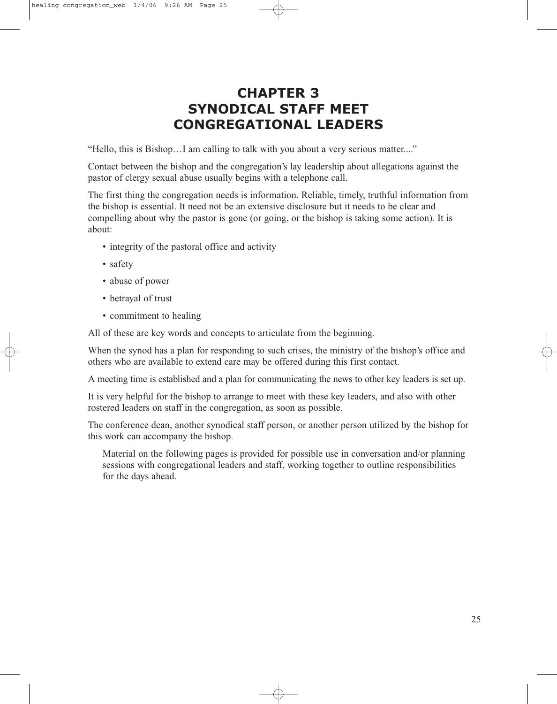# **CHAPTER 3 SYNODICAL STAFF MEET CONGREGATIONAL LEADERS**

"Hello, this is Bishop…I am calling to talk with you about a very serious matter...."

Contact between the bishop and the congregation's lay leadership about allegations against the pastor of clergy sexual abuse usually begins with a telephone call.

The first thing the congregation needs is information. Reliable, timely, truthful information from the bishop is essential. It need not be an extensive disclosure but it needs to be clear and compelling about why the pastor is gone (or going, or the bishop is taking some action). It is about:

- integrity of the pastoral office and activity
- safety
- abuse of power
- betrayal of trust
- commitment to healing

All of these are key words and concepts to articulate from the beginning.

When the synod has a plan for responding to such crises, the ministry of the bishop's office and others who are available to extend care may be offered during this first contact.

A meeting time is established and a plan for communicating the news to other key leaders is set up.

It is very helpful for the bishop to arrange to meet with these key leaders, and also with other rostered leaders on staff in the congregation, as soon as possible.

The conference dean, another synodical staff person, or another person utilized by the bishop for this work can accompany the bishop.

Material on the following pages is provided for possible use in conversation and/or planning sessions with congregational leaders and staff, working together to outline responsibilities for the days ahead.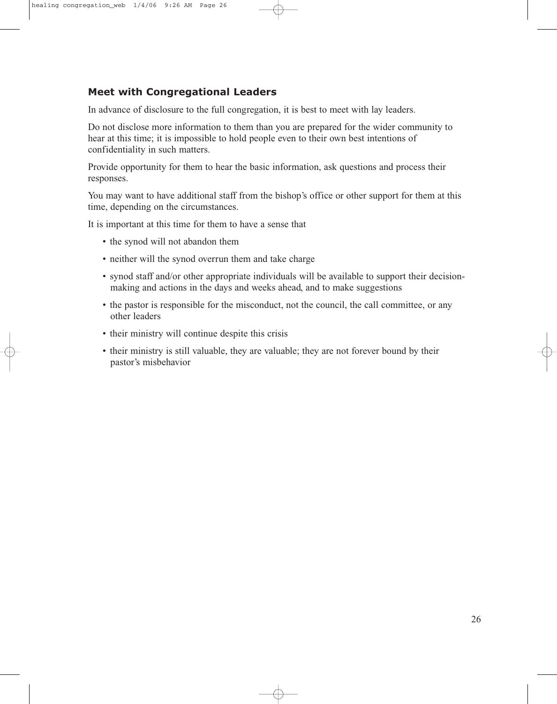## **Meet with Congregational Leaders**

In advance of disclosure to the full congregation, it is best to meet with lay leaders.

Do not disclose more information to them than you are prepared for the wider community to hear at this time; it is impossible to hold people even to their own best intentions of confidentiality in such matters.

Provide opportunity for them to hear the basic information, ask questions and process their responses.

You may want to have additional staff from the bishop's office or other support for them at this time, depending on the circumstances.

It is important at this time for them to have a sense that

- the synod will not abandon them
- neither will the synod overrun them and take charge
- synod staff and/or other appropriate individuals will be available to support their decisionmaking and actions in the days and weeks ahead, and to make suggestions
- the pastor is responsible for the misconduct, not the council, the call committee, or any other leaders
- their ministry will continue despite this crisis
- their ministry is still valuable, they are valuable; they are not forever bound by their pastor's misbehavior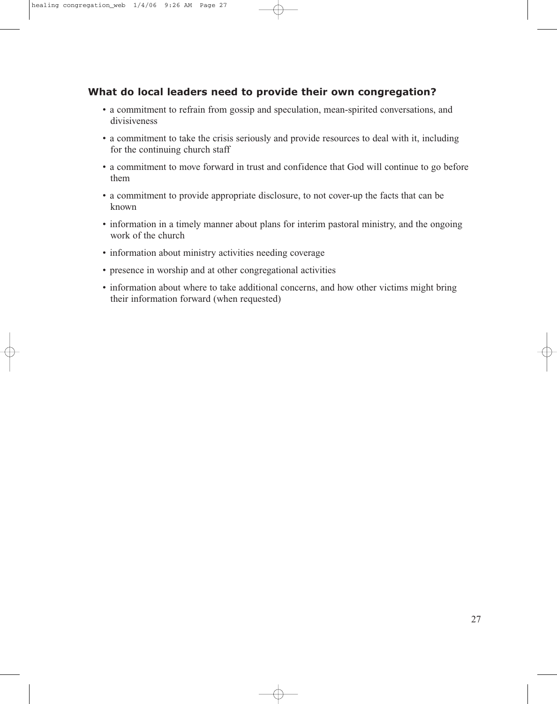### **What do local leaders need to provide their own congregation?**

- a commitment to refrain from gossip and speculation, mean-spirited conversations, and divisiveness
- a commitment to take the crisis seriously and provide resources to deal with it, including for the continuing church staff
- a commitment to move forward in trust and confidence that God will continue to go before them
- a commitment to provide appropriate disclosure, to not cover-up the facts that can be known
- information in a timely manner about plans for interim pastoral ministry, and the ongoing work of the church
- information about ministry activities needing coverage
- presence in worship and at other congregational activities
- information about where to take additional concerns, and how other victims might bring their information forward (when requested)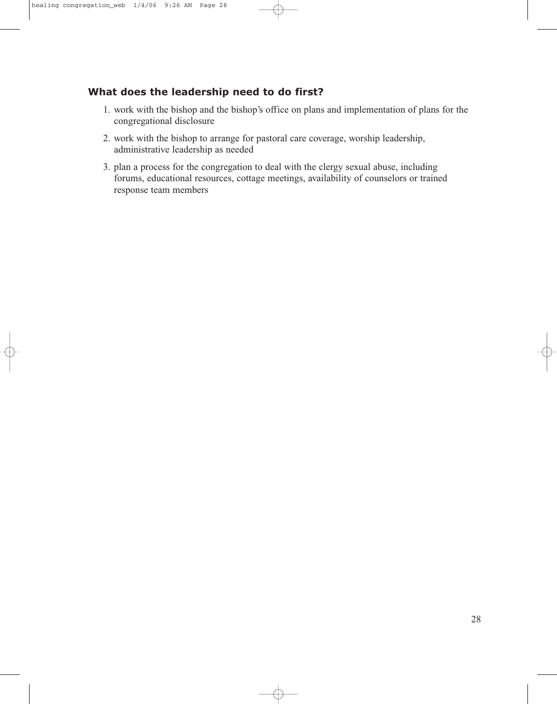## **What does the leadership need to do first?**

- 1. work with the bishop and the bishop's office on plans and implementation of plans for the congregational disclosure
- 2. work with the bishop to arrange for pastoral care coverage, worship leadership, administrative leadership as needed
- 3. plan a process for the congregation to deal with the clergy sexual abuse, including forums, educational resources, cottage meetings, availability of counselors or trained response team members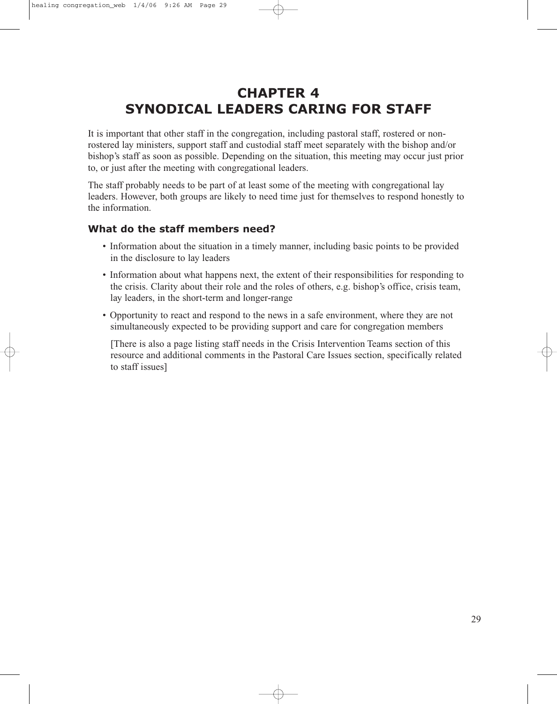# **CHAPTER 4 SYNODICAL LEADERS CARING FOR STAFF**

It is important that other staff in the congregation, including pastoral staff, rostered or nonrostered lay ministers, support staff and custodial staff meet separately with the bishop and/or bishop's staff as soon as possible. Depending on the situation, this meeting may occur just prior to, or just after the meeting with congregational leaders.

The staff probably needs to be part of at least some of the meeting with congregational lay leaders. However, both groups are likely to need time just for themselves to respond honestly to the information.

### **What do the staff members need?**

- Information about the situation in a timely manner, including basic points to be provided in the disclosure to lay leaders
- Information about what happens next, the extent of their responsibilities for responding to the crisis. Clarity about their role and the roles of others, e.g. bishop's office, crisis team, lay leaders, in the short-term and longer-range
- Opportunity to react and respond to the news in a safe environment, where they are not simultaneously expected to be providing support and care for congregation members

[There is also a page listing staff needs in the Crisis Intervention Teams section of this resource and additional comments in the Pastoral Care Issues section, specifically related to staff issues]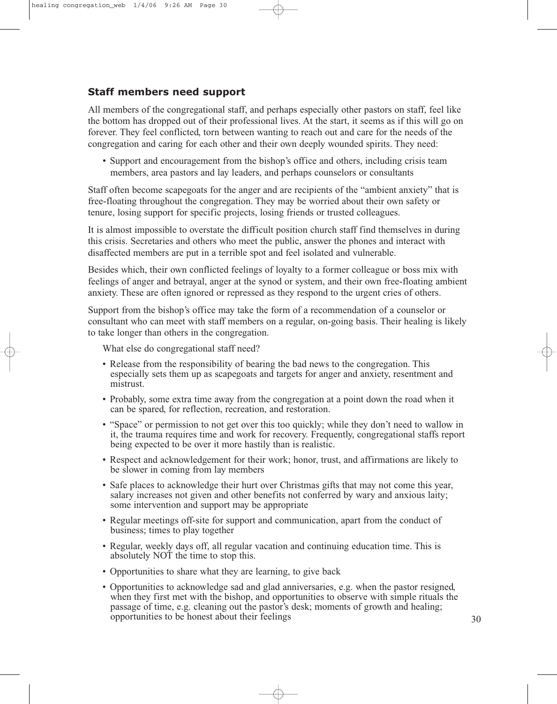## **Staff members need support**

All members of the congregational staff, and perhaps especially other pastors on staff, feel like the bottom has dropped out of their professional lives. At the start, it seems as if this will go on forever. They feel conflicted, torn between wanting to reach out and care for the needs of the congregation and caring for each other and their own deeply wounded spirits. They need:

• Support and encouragement from the bishop's office and others, including crisis team members, area pastors and lay leaders, and perhaps counselors or consultants

Staff often become scapegoats for the anger and are recipients of the "ambient anxiety" that is free-floating throughout the congregation. They may be worried about their own safety or tenure, losing support for specific projects, losing friends or trusted colleagues.

It is almost impossible to overstate the difficult position church staff find themselves in during this crisis. Secretaries and others who meet the public, answer the phones and interact with disaffected members are put in a terrible spot and feel isolated and vulnerable.

Besides which, their own conflicted feelings of loyalty to a former colleague or boss mix with feelings of anger and betrayal, anger at the synod or system, and their own free-floating ambient anxiety. These are often ignored or repressed as they respond to the urgent cries of others.

Support from the bishop's office may take the form of a recommendation of a counselor or consultant who can meet with staff members on a regular, on-going basis. Their healing is likely to take longer than others in the congregation.

What else do congregational staff need?

- Release from the responsibility of bearing the bad news to the congregation. This especially sets them up as scapegoats and targets for anger and anxiety, resentment and mistrust.
- Probably, some extra time away from the congregation at a point down the road when it can be spared, for reflection, recreation, and restoration.
- "Space" or permission to not get over this too quickly; while they don't need to wallow in it, the trauma requires time and work for recovery. Frequently, congregational staffs report being expected to be over it more hastily than is realistic.
- Respect and acknowledgement for their work; honor, trust, and affirmations are likely to be slower in coming from lay members
- Safe places to acknowledge their hurt over Christmas gifts that may not come this year, salary increases not given and other benefits not conferred by wary and anxious laity; some intervention and support may be appropriate
- Regular meetings off-site for support and communication, apart from the conduct of business; times to play together
- Regular, weekly days off, all regular vacation and continuing education time. This is absolutely NOT the time to stop this.
- Opportunities to share what they are learning, to give back
- Opportunities to acknowledge sad and glad anniversaries, e.g. when the pastor resigned, when they first met with the bishop, and opportunities to observe with simple rituals the passage of time, e.g. cleaning out the pastor's desk; moments of growth and healing; opportunities to be honest about their feelings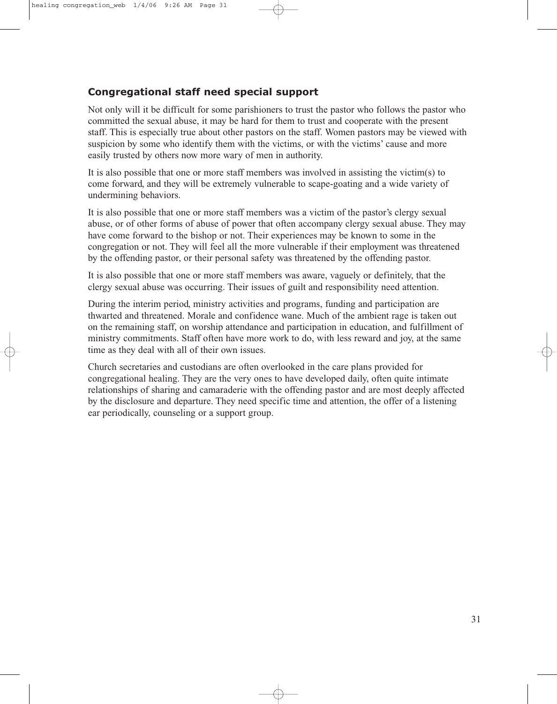## **Congregational staff need special support**

Not only will it be difficult for some parishioners to trust the pastor who follows the pastor who committed the sexual abuse, it may be hard for them to trust and cooperate with the present staff. This is especially true about other pastors on the staff. Women pastors may be viewed with suspicion by some who identify them with the victims, or with the victims' cause and more easily trusted by others now more wary of men in authority.

It is also possible that one or more staff members was involved in assisting the victim(s) to come forward, and they will be extremely vulnerable to scape-goating and a wide variety of undermining behaviors.

It is also possible that one or more staff members was a victim of the pastor's clergy sexual abuse, or of other forms of abuse of power that often accompany clergy sexual abuse. They may have come forward to the bishop or not. Their experiences may be known to some in the congregation or not. They will feel all the more vulnerable if their employment was threatened by the offending pastor, or their personal safety was threatened by the offending pastor.

It is also possible that one or more staff members was aware, vaguely or definitely, that the clergy sexual abuse was occurring. Their issues of guilt and responsibility need attention.

During the interim period, ministry activities and programs, funding and participation are thwarted and threatened. Morale and confidence wane. Much of the ambient rage is taken out on the remaining staff, on worship attendance and participation in education, and fulfillment of ministry commitments. Staff often have more work to do, with less reward and joy, at the same time as they deal with all of their own issues.

Church secretaries and custodians are often overlooked in the care plans provided for congregational healing. They are the very ones to have developed daily, often quite intimate relationships of sharing and camaraderie with the offending pastor and are most deeply affected by the disclosure and departure. They need specific time and attention, the offer of a listening ear periodically, counseling or a support group.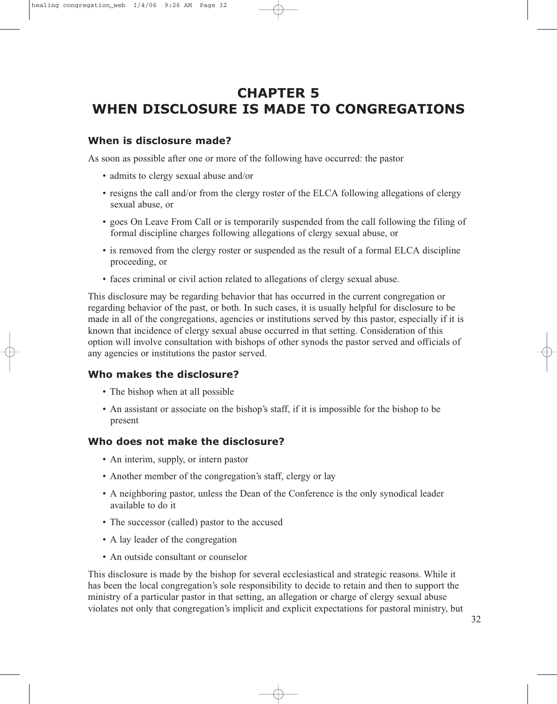# **CHAPTER 5 WHEN DISCLOSURE IS MADE TO CONGREGATIONS**

## **When is disclosure made?**

As soon as possible after one or more of the following have occurred: the pastor

- admits to clergy sexual abuse and/or
- resigns the call and/or from the clergy roster of the ELCA following allegations of clergy sexual abuse, or
- goes On Leave From Call or is temporarily suspended from the call following the filing of formal discipline charges following allegations of clergy sexual abuse, or
- is removed from the clergy roster or suspended as the result of a formal ELCA discipline proceeding, or
- faces criminal or civil action related to allegations of clergy sexual abuse.

This disclosure may be regarding behavior that has occurred in the current congregation or regarding behavior of the past, or both. In such cases, it is usually helpful for disclosure to be made in all of the congregations, agencies or institutions served by this pastor, especially if it is known that incidence of clergy sexual abuse occurred in that setting. Consideration of this option will involve consultation with bishops of other synods the pastor served and officials of any agencies or institutions the pastor served.

## **Who makes the disclosure?**

- The bishop when at all possible
- An assistant or associate on the bishop's staff, if it is impossible for the bishop to be present

### **Who does not make the disclosure?**

- An interim, supply, or intern pastor
- Another member of the congregation's staff, clergy or lay
- A neighboring pastor, unless the Dean of the Conference is the only synodical leader available to do it
- The successor (called) pastor to the accused
- A lay leader of the congregation
- An outside consultant or counselor

This disclosure is made by the bishop for several ecclesiastical and strategic reasons. While it has been the local congregation's sole responsibility to decide to retain and then to support the ministry of a particular pastor in that setting, an allegation or charge of clergy sexual abuse violates not only that congregation's implicit and explicit expectations for pastoral ministry, but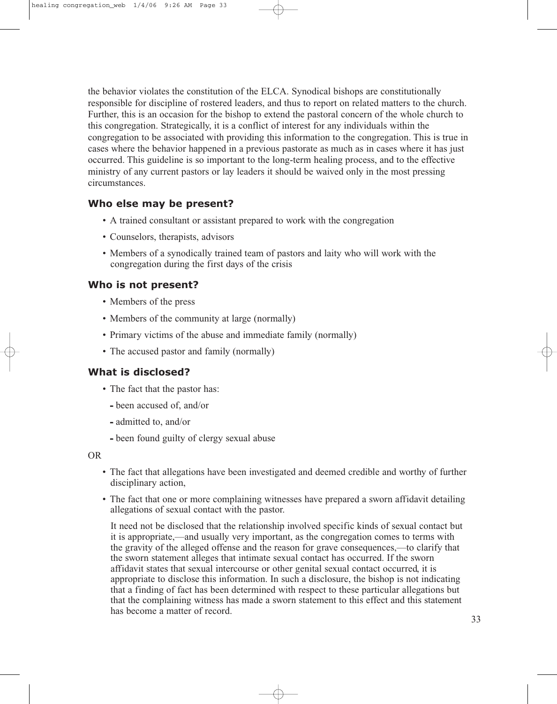the behavior violates the constitution of the ELCA. Synodical bishops are constitutionally responsible for discipline of rostered leaders, and thus to report on related matters to the church. Further, this is an occasion for the bishop to extend the pastoral concern of the whole church to this congregation. Strategically, it is a conflict of interest for any individuals within the congregation to be associated with providing this information to the congregation. This is true in cases where the behavior happened in a previous pastorate as much as in cases where it has just occurred. This guideline is so important to the long-term healing process, and to the effective ministry of any current pastors or lay leaders it should be waived only in the most pressing circumstances.

### **Who else may be present?**

- A trained consultant or assistant prepared to work with the congregation
- Counselors, therapists, advisors
- Members of a synodically trained team of pastors and laity who will work with the congregation during the first days of the crisis

#### **Who is not present?**

- Members of the press
- Members of the community at large (normally)
- Primary victims of the abuse and immediate family (normally)
- The accused pastor and family (normally)

#### **What is disclosed?**

- The fact that the pastor has:
	- **-** been accused of, and/or
	- **-** admitted to, and/or
	- **-** been found guilty of clergy sexual abuse

OR

- The fact that allegations have been investigated and deemed credible and worthy of further disciplinary action,
- The fact that one or more complaining witnesses have prepared a sworn affidavit detailing allegations of sexual contact with the pastor.

It need not be disclosed that the relationship involved specific kinds of sexual contact but it is appropriate,—and usually very important, as the congregation comes to terms with the gravity of the alleged offense and the reason for grave consequences,—to clarify that the sworn statement alleges that intimate sexual contact has occurred. If the sworn affidavit states that sexual intercourse or other genital sexual contact occurred, it is appropriate to disclose this information. In such a disclosure, the bishop is not indicating that a finding of fact has been determined with respect to these particular allegations but that the complaining witness has made a sworn statement to this effect and this statement has become a matter of record.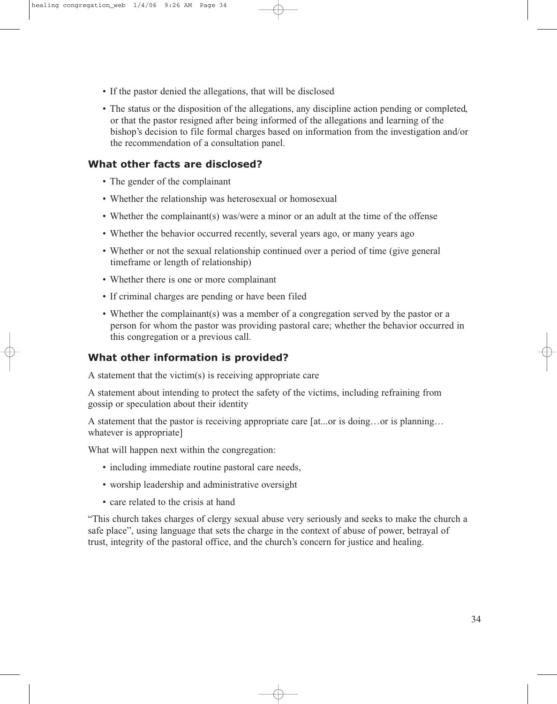- If the pastor denied the allegations, that will be disclosed
- The status or the disposition of the allegations, any discipline action pending or completed, or that the pastor resigned after being informed of the allegations and learning of the bishop's decision to file formal charges based on information from the investigation and/or the recommendation of a consultation panel.

### **What other facts are disclosed?**

- The gender of the complainant
- Whether the relationship was heterosexual or homosexual
- Whether the complainant(s) was/were a minor or an adult at the time of the offense
- Whether the behavior occurred recently, several years ago, or many years ago
- Whether or not the sexual relationship continued over a period of time (give general timeframe or length of relationship)
- Whether there is one or more complainant
- If criminal charges are pending or have been filed
- Whether the complainant(s) was a member of a congregation served by the pastor or a person for whom the pastor was providing pastoral care; whether the behavior occurred in this congregation or a previous call.

## **What other information is provided?**

A statement that the victim(s) is receiving appropriate care

A statement about intending to protect the safety of the victims, including refraining from gossip or speculation about their identity

A statement that the pastor is receiving appropriate care [at...or is doing…or is planning… whatever is appropriate]

What will happen next within the congregation:

- including immediate routine pastoral care needs,
- worship leadership and administrative oversight
- care related to the crisis at hand

"This church takes charges of clergy sexual abuse very seriously and seeks to make the church a safe place", using language that sets the charge in the context of abuse of power, betrayal of trust, integrity of the pastoral office, and the church's concern for justice and healing.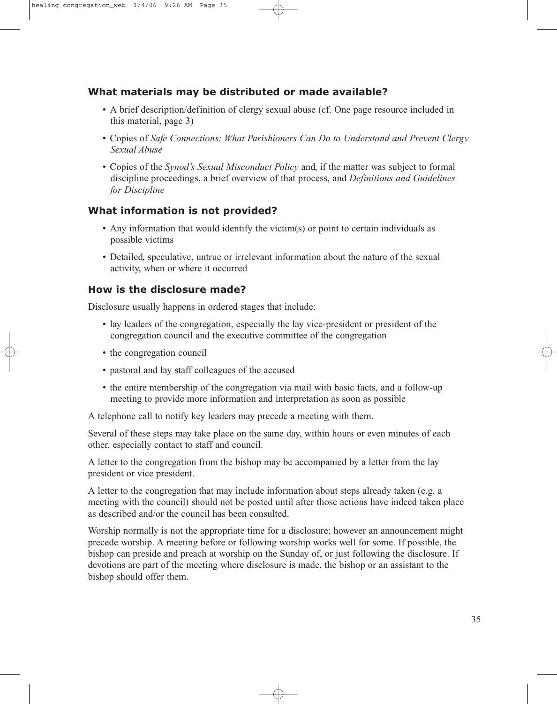## **What materials may be distributed or made available?**

- A brief description/definition of clergy sexual abuse (cf. One page resource included in this material, page 3)
- Copies of *Safe Connections: What Parishioners Can Do to Understand and Prevent Clergy Sexual Abuse*
- Copies of the *Synod's Sexual Misconduct Policy* and, if the matter was subject to formal discipline proceedings, a brief overview of that process, and *Definitions and Guidelines for Discipline*

## **What information is not provided?**

- Any information that would identify the victim(s) or point to certain individuals as possible victims
- Detailed, speculative, untrue or irrelevant information about the nature of the sexual activity, when or where it occurred

### **How is the disclosure made?**

Disclosure usually happens in ordered stages that include:

- lay leaders of the congregation, especially the lay vice-president or president of the congregation council and the executive committee of the congregation
- the congregation council
- pastoral and lay staff colleagues of the accused
- the entire membership of the congregation via mail with basic facts, and a follow-up meeting to provide more information and interpretation as soon as possible

A telephone call to notify key leaders may precede a meeting with them.

Several of these steps may take place on the same day, within hours or even minutes of each other, especially contact to staff and council.

A letter to the congregation from the bishop may be accompanied by a letter from the lay president or vice president.

A letter to the congregation that may include information about steps already taken (e.g. a meeting with the council) should not be posted until after those actions have indeed taken place as described and/or the council has been consulted.

Worship normally is not the appropriate time for a disclosure; however an announcement might precede worship. A meeting before or following worship works well for some. If possible, the bishop can preside and preach at worship on the Sunday of, or just following the disclosure. If devotions are part of the meeting where disclosure is made, the bishop or an assistant to the bishop should offer them.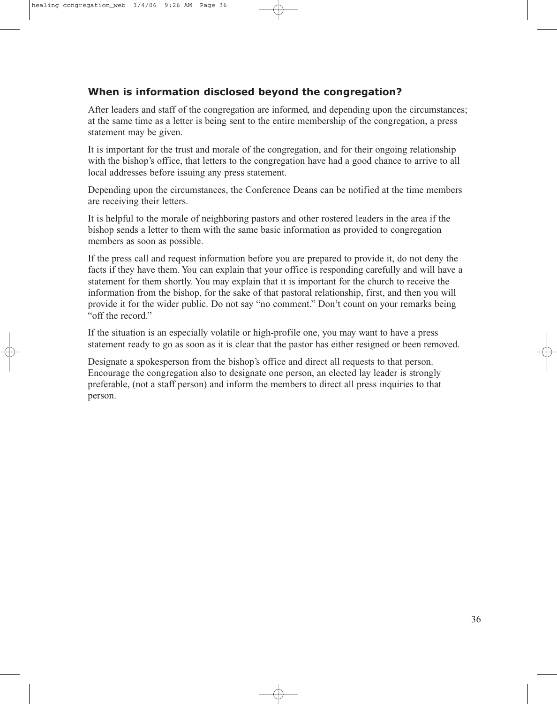## **When is information disclosed beyond the congregation?**

After leaders and staff of the congregation are informed, and depending upon the circumstances; at the same time as a letter is being sent to the entire membership of the congregation, a press statement may be given.

It is important for the trust and morale of the congregation, and for their ongoing relationship with the bishop's office, that letters to the congregation have had a good chance to arrive to all local addresses before issuing any press statement.

Depending upon the circumstances, the Conference Deans can be notified at the time members are receiving their letters.

It is helpful to the morale of neighboring pastors and other rostered leaders in the area if the bishop sends a letter to them with the same basic information as provided to congregation members as soon as possible.

If the press call and request information before you are prepared to provide it, do not deny the facts if they have them. You can explain that your office is responding carefully and will have a statement for them shortly. You may explain that it is important for the church to receive the information from the bishop, for the sake of that pastoral relationship, first, and then you will provide it for the wider public. Do not say "no comment." Don't count on your remarks being "off the record."

If the situation is an especially volatile or high-profile one, you may want to have a press statement ready to go as soon as it is clear that the pastor has either resigned or been removed.

Designate a spokesperson from the bishop's office and direct all requests to that person. Encourage the congregation also to designate one person, an elected lay leader is strongly preferable, (not a staff person) and inform the members to direct all press inquiries to that person.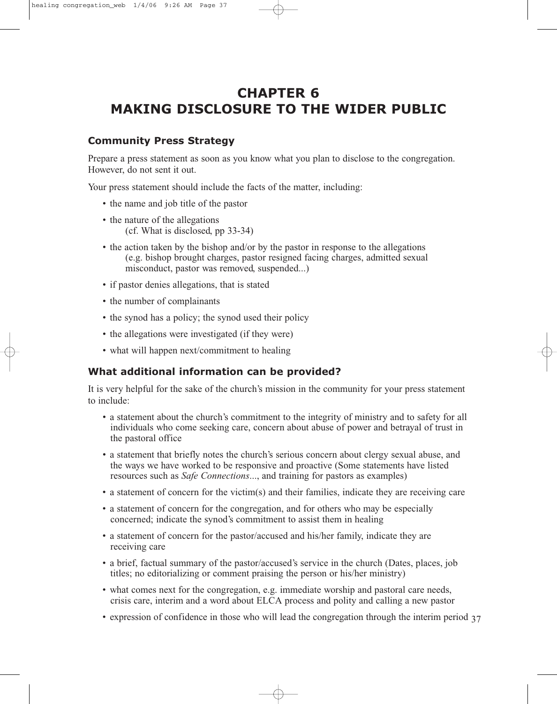# **CHAPTER 6 MAKING DISCLOSURE TO THE WIDER PUBLIC**

### **Community Press Strategy**

Prepare a press statement as soon as you know what you plan to disclose to the congregation. However, do not sent it out.

Your press statement should include the facts of the matter, including:

- the name and job title of the pastor
- the nature of the allegations (cf. What is disclosed, pp 33-34)
- the action taken by the bishop and/or by the pastor in response to the allegations (e.g. bishop brought charges, pastor resigned facing charges, admitted sexual misconduct, pastor was removed, suspended...)
- if pastor denies allegations, that is stated
- the number of complainants
- the synod has a policy; the synod used their policy
- the allegations were investigated (if they were)
- what will happen next/commitment to healing

## **What additional information can be provided?**

It is very helpful for the sake of the church's mission in the community for your press statement to include:

- a statement about the church's commitment to the integrity of ministry and to safety for all individuals who come seeking care, concern about abuse of power and betrayal of trust in the pastoral office
- a statement that briefly notes the church's serious concern about clergy sexual abuse, and the ways we have worked to be responsive and proactive (Some statements have listed resources such as *Safe Connections*..., and training for pastors as examples)
- a statement of concern for the victim(s) and their families, indicate they are receiving care
- a statement of concern for the congregation, and for others who may be especially concerned; indicate the synod's commitment to assist them in healing
- a statement of concern for the pastor/accused and his/her family, indicate they are receiving care
- a brief, factual summary of the pastor/accused's service in the church (Dates, places, job titles; no editorializing or comment praising the person or his/her ministry)
- what comes next for the congregation, e.g. immediate worship and pastoral care needs, crisis care, interim and a word about ELCA process and polity and calling a new pastor
- expression of confidence in those who will lead the congregation through the interim period 37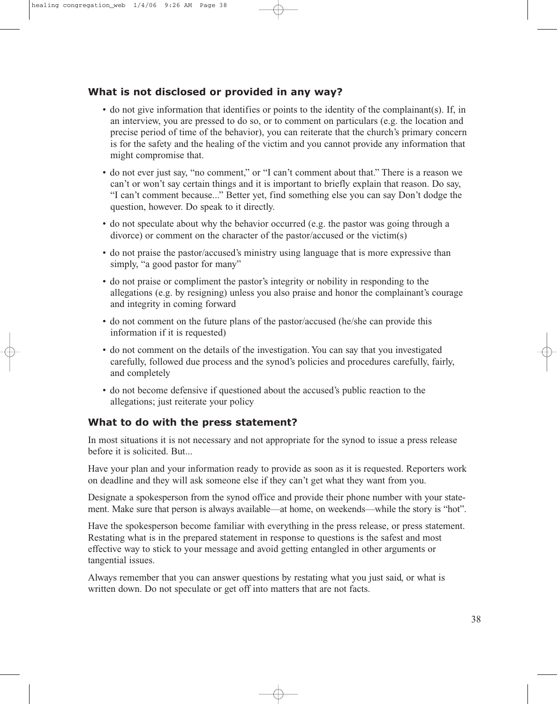## **What is not disclosed or provided in any way?**

- do not give information that identifies or points to the identity of the complainant(s). If, in an interview, you are pressed to do so, or to comment on particulars (e.g. the location and precise period of time of the behavior), you can reiterate that the church's primary concern is for the safety and the healing of the victim and you cannot provide any information that might compromise that.
- do not ever just say, "no comment," or "I can't comment about that." There is a reason we can't or won't say certain things and it is important to briefly explain that reason. Do say, "I can't comment because..." Better yet, find something else you can say Don't dodge the question, however. Do speak to it directly.
- do not speculate about why the behavior occurred (e.g. the pastor was going through a divorce) or comment on the character of the pastor/accused or the victim(s)
- do not praise the pastor/accused's ministry using language that is more expressive than simply, "a good pastor for many"
- do not praise or compliment the pastor's integrity or nobility in responding to the allegations (e.g. by resigning) unless you also praise and honor the complainant's courage and integrity in coming forward
- do not comment on the future plans of the pastor/accused (he/she can provide this information if it is requested)
- do not comment on the details of the investigation. You can say that you investigated carefully, followed due process and the synod's policies and procedures carefully, fairly, and completely
- do not become defensive if questioned about the accused's public reaction to the allegations; just reiterate your policy

## **What to do with the press statement?**

In most situations it is not necessary and not appropriate for the synod to issue a press release before it is solicited. But...

Have your plan and your information ready to provide as soon as it is requested. Reporters work on deadline and they will ask someone else if they can't get what they want from you.

Designate a spokesperson from the synod office and provide their phone number with your statement. Make sure that person is always available—at home, on weekends—while the story is "hot".

Have the spokesperson become familiar with everything in the press release, or press statement. Restating what is in the prepared statement in response to questions is the safest and most effective way to stick to your message and avoid getting entangled in other arguments or tangential issues.

Always remember that you can answer questions by restating what you just said, or what is written down. Do not speculate or get off into matters that are not facts.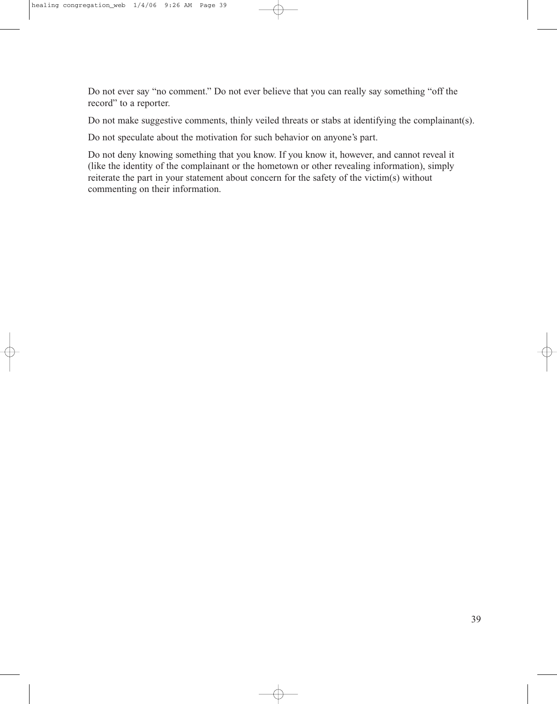Do not ever say "no comment." Do not ever believe that you can really say something "off the record" to a reporter.

Do not make suggestive comments, thinly veiled threats or stabs at identifying the complainant(s).

Do not speculate about the motivation for such behavior on anyone's part.

Do not deny knowing something that you know. If you know it, however, and cannot reveal it (like the identity of the complainant or the hometown or other revealing information), simply reiterate the part in your statement about concern for the safety of the victim(s) without commenting on their information.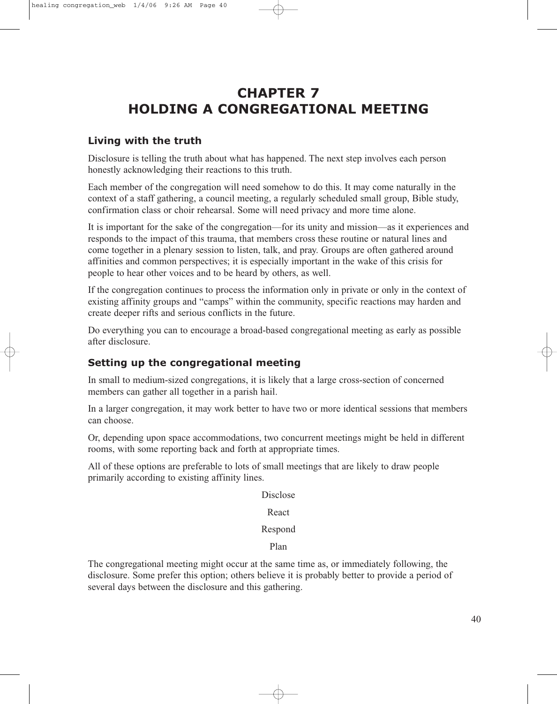# **CHAPTER 7 HOLDING A CONGREGATIONAL MEETING**

### **Living with the truth**

Disclosure is telling the truth about what has happened. The next step involves each person honestly acknowledging their reactions to this truth.

Each member of the congregation will need somehow to do this. It may come naturally in the context of a staff gathering, a council meeting, a regularly scheduled small group, Bible study, confirmation class or choir rehearsal. Some will need privacy and more time alone.

It is important for the sake of the congregation—for its unity and mission—as it experiences and responds to the impact of this trauma, that members cross these routine or natural lines and come together in a plenary session to listen, talk, and pray. Groups are often gathered around affinities and common perspectives; it is especially important in the wake of this crisis for people to hear other voices and to be heard by others, as well.

If the congregation continues to process the information only in private or only in the context of existing affinity groups and "camps" within the community, specific reactions may harden and create deeper rifts and serious conflicts in the future.

Do everything you can to encourage a broad-based congregational meeting as early as possible after disclosure.

## **Setting up the congregational meeting**

In small to medium-sized congregations, it is likely that a large cross-section of concerned members can gather all together in a parish hail.

In a larger congregation, it may work better to have two or more identical sessions that members can choose.

Or, depending upon space accommodations, two concurrent meetings might be held in different rooms, with some reporting back and forth at appropriate times.

All of these options are preferable to lots of small meetings that are likely to draw people primarily according to existing affinity lines.

Disclose

#### React

#### Respond

Plan

The congregational meeting might occur at the same time as, or immediately following, the disclosure. Some prefer this option; others believe it is probably better to provide a period of several days between the disclosure and this gathering.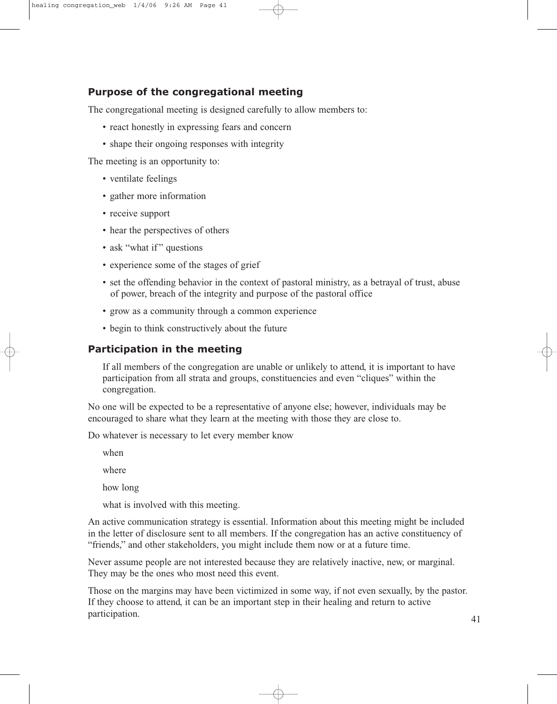## **Purpose of the congregational meeting**

The congregational meeting is designed carefully to allow members to:

- react honestly in expressing fears and concern
- shape their ongoing responses with integrity

The meeting is an opportunity to:

- ventilate feelings
- gather more information
- receive support
- hear the perspectives of others
- ask "what if" questions
- experience some of the stages of grief
- set the offending behavior in the context of pastoral ministry, as a betrayal of trust, abuse of power, breach of the integrity and purpose of the pastoral office
- grow as a community through a common experience
- begin to think constructively about the future

#### **Participation in the meeting**

If all members of the congregation are unable or unlikely to attend, it is important to have participation from all strata and groups, constituencies and even "cliques" within the congregation.

No one will be expected to be a representative of anyone else; however, individuals may be encouraged to share what they learn at the meeting with those they are close to.

Do whatever is necessary to let every member know

when

where

how long

what is involved with this meeting.

An active communication strategy is essential. Information about this meeting might be included in the letter of disclosure sent to all members. If the congregation has an active constituency of "friends," and other stakeholders, you might include them now or at a future time.

Never assume people are not interested because they are relatively inactive, new, or marginal. They may be the ones who most need this event.

Those on the margins may have been victimized in some way, if not even sexually, by the pastor. If they choose to attend, it can be an important step in their healing and return to active participation.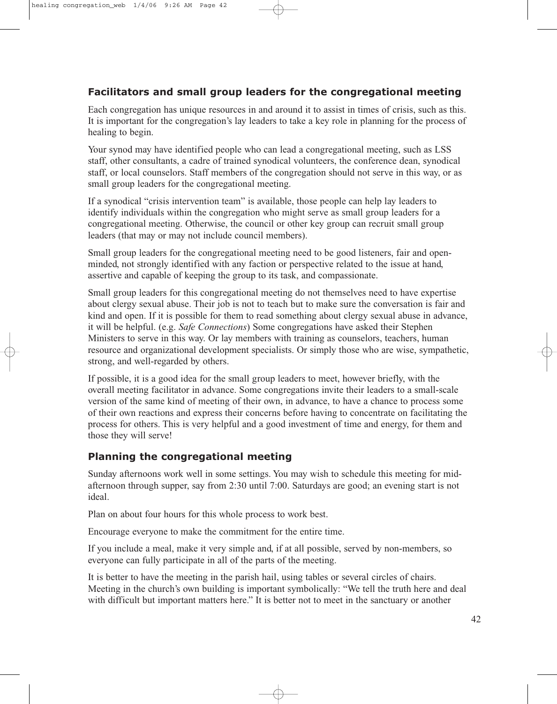## **Facilitators and small group leaders for the congregational meeting**

Each congregation has unique resources in and around it to assist in times of crisis, such as this. It is important for the congregation's lay leaders to take a key role in planning for the process of healing to begin.

Your synod may have identified people who can lead a congregational meeting, such as LSS staff, other consultants, a cadre of trained synodical volunteers, the conference dean, synodical staff, or local counselors. Staff members of the congregation should not serve in this way, or as small group leaders for the congregational meeting.

If a synodical "crisis intervention team" is available, those people can help lay leaders to identify individuals within the congregation who might serve as small group leaders for a congregational meeting. Otherwise, the council or other key group can recruit small group leaders (that may or may not include council members).

Small group leaders for the congregational meeting need to be good listeners, fair and openminded, not strongly identified with any faction or perspective related to the issue at hand, assertive and capable of keeping the group to its task, and compassionate.

Small group leaders for this congregational meeting do not themselves need to have expertise about clergy sexual abuse. Their job is not to teach but to make sure the conversation is fair and kind and open. If it is possible for them to read something about clergy sexual abuse in advance, it will be helpful. (e.g. *Safe Connections*) Some congregations have asked their Stephen Ministers to serve in this way. Or lay members with training as counselors, teachers, human resource and organizational development specialists. Or simply those who are wise, sympathetic, strong, and well-regarded by others.

If possible, it is a good idea for the small group leaders to meet, however briefly, with the overall meeting facilitator in advance. Some congregations invite their leaders to a small-scale version of the same kind of meeting of their own, in advance, to have a chance to process some of their own reactions and express their concerns before having to concentrate on facilitating the process for others. This is very helpful and a good investment of time and energy, for them and those they will serve!

### **Planning the congregational meeting**

Sunday afternoons work well in some settings. You may wish to schedule this meeting for midafternoon through supper, say from 2:30 until 7:00. Saturdays are good; an evening start is not ideal.

Plan on about four hours for this whole process to work best.

Encourage everyone to make the commitment for the entire time.

If you include a meal, make it very simple and, if at all possible, served by non-members, so everyone can fully participate in all of the parts of the meeting.

It is better to have the meeting in the parish hail, using tables or several circles of chairs. Meeting in the church's own building is important symbolically: "We tell the truth here and deal with difficult but important matters here." It is better not to meet in the sanctuary or another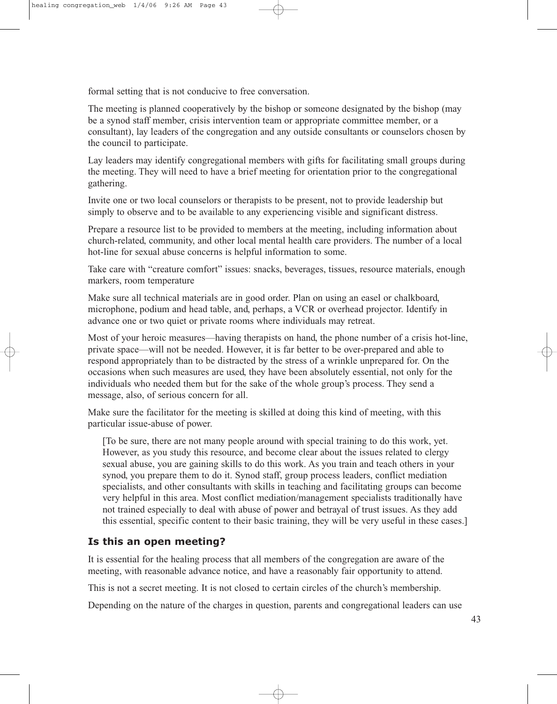formal setting that is not conducive to free conversation.

The meeting is planned cooperatively by the bishop or someone designated by the bishop (may be a synod staff member, crisis intervention team or appropriate committee member, or a consultant), lay leaders of the congregation and any outside consultants or counselors chosen by the council to participate.

Lay leaders may identify congregational members with gifts for facilitating small groups during the meeting. They will need to have a brief meeting for orientation prior to the congregational gathering.

Invite one or two local counselors or therapists to be present, not to provide leadership but simply to observe and to be available to any experiencing visible and significant distress.

Prepare a resource list to be provided to members at the meeting, including information about church-related, community, and other local mental health care providers. The number of a local hot-line for sexual abuse concerns is helpful information to some.

Take care with "creature comfort" issues: snacks, beverages, tissues, resource materials, enough markers, room temperature

Make sure all technical materials are in good order. Plan on using an easel or chalkboard, microphone, podium and head table, and, perhaps, a VCR or overhead projector. Identify in advance one or two quiet or private rooms where individuals may retreat.

Most of your heroic measures—having therapists on hand, the phone number of a crisis hot-line, private space—will not be needed. However, it is far better to be over-prepared and able to respond appropriately than to be distracted by the stress of a wrinkle unprepared for. On the occasions when such measures are used, they have been absolutely essential, not only for the individuals who needed them but for the sake of the whole group's process. They send a message, also, of serious concern for all.

Make sure the facilitator for the meeting is skilled at doing this kind of meeting, with this particular issue-abuse of power.

[To be sure, there are not many people around with special training to do this work, yet. However, as you study this resource, and become clear about the issues related to clergy sexual abuse, you are gaining skills to do this work. As you train and teach others in your synod, you prepare them to do it. Synod staff, group process leaders, conflict mediation specialists, and other consultants with skills in teaching and facilitating groups can become very helpful in this area. Most conflict mediation/management specialists traditionally have not trained especially to deal with abuse of power and betrayal of trust issues. As they add this essential, specific content to their basic training, they will be very useful in these cases.]

## **Is this an open meeting?**

It is essential for the healing process that all members of the congregation are aware of the meeting, with reasonable advance notice, and have a reasonably fair opportunity to attend.

This is not a secret meeting. It is not closed to certain circles of the church's membership.

Depending on the nature of the charges in question, parents and congregational leaders can use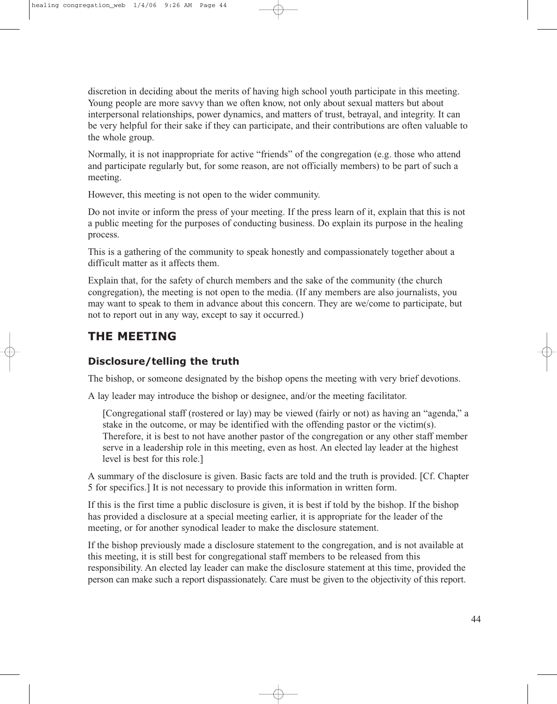discretion in deciding about the merits of having high school youth participate in this meeting. Young people are more savvy than we often know, not only about sexual matters but about interpersonal relationships, power dynamics, and matters of trust, betrayal, and integrity. It can be very helpful for their sake if they can participate, and their contributions are often valuable to the whole group.

Normally, it is not inappropriate for active "friends" of the congregation (e.g. those who attend and participate regularly but, for some reason, are not officially members) to be part of such a meeting.

However, this meeting is not open to the wider community.

Do not invite or inform the press of your meeting. If the press learn of it, explain that this is not a public meeting for the purposes of conducting business. Do explain its purpose in the healing process.

This is a gathering of the community to speak honestly and compassionately together about a difficult matter as it affects them.

Explain that, for the safety of church members and the sake of the community (the church congregation), the meeting is not open to the media. (If any members are also journalists, you may want to speak to them in advance about this concern. They are we/come to participate, but not to report out in any way, except to say it occurred.)

## **THE MEETING**

## **Disclosure/telling the truth**

The bishop, or someone designated by the bishop opens the meeting with very brief devotions.

A lay leader may introduce the bishop or designee, and/or the meeting facilitator.

[Congregational staff (rostered or lay) may be viewed (fairly or not) as having an "agenda," a stake in the outcome, or may be identified with the offending pastor or the victim(s). Therefore, it is best to not have another pastor of the congregation or any other staff member serve in a leadership role in this meeting, even as host. An elected lay leader at the highest level is best for this role.]

A summary of the disclosure is given. Basic facts are told and the truth is provided. [Cf. Chapter 5 for specifics.] It is not necessary to provide this information in written form.

If this is the first time a public disclosure is given, it is best if told by the bishop. If the bishop has provided a disclosure at a special meeting earlier, it is appropriate for the leader of the meeting, or for another synodical leader to make the disclosure statement.

If the bishop previously made a disclosure statement to the congregation, and is not available at this meeting, it is still best for congregational staff members to be released from this responsibility. An elected lay leader can make the disclosure statement at this time, provided the person can make such a report dispassionately. Care must be given to the objectivity of this report.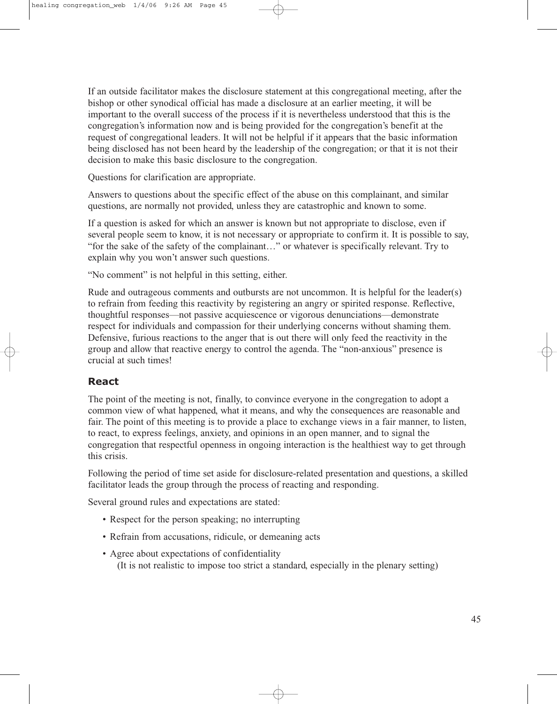If an outside facilitator makes the disclosure statement at this congregational meeting, after the bishop or other synodical official has made a disclosure at an earlier meeting, it will be important to the overall success of the process if it is nevertheless understood that this is the congregation's information now and is being provided for the congregation's benefit at the request of congregational leaders. It will not be helpful if it appears that the basic information being disclosed has not been heard by the leadership of the congregation; or that it is not their decision to make this basic disclosure to the congregation.

Questions for clarification are appropriate.

Answers to questions about the specific effect of the abuse on this complainant, and similar questions, are normally not provided, unless they are catastrophic and known to some.

If a question is asked for which an answer is known but not appropriate to disclose, even if several people seem to know, it is not necessary or appropriate to confirm it. It is possible to say, "for the sake of the safety of the complainant…" or whatever is specifically relevant. Try to explain why you won't answer such questions.

"No comment" is not helpful in this setting, either.

Rude and outrageous comments and outbursts are not uncommon. It is helpful for the leader(s) to refrain from feeding this reactivity by registering an angry or spirited response. Reflective, thoughtful responses—not passive acquiescence or vigorous denunciations—demonstrate respect for individuals and compassion for their underlying concerns without shaming them. Defensive, furious reactions to the anger that is out there will only feed the reactivity in the group and allow that reactive energy to control the agenda. The "non-anxious" presence is crucial at such times!

### **React**

The point of the meeting is not, finally, to convince everyone in the congregation to adopt a common view of what happened, what it means, and why the consequences are reasonable and fair. The point of this meeting is to provide a place to exchange views in a fair manner, to listen, to react, to express feelings, anxiety, and opinions in an open manner, and to signal the congregation that respectful openness in ongoing interaction is the healthiest way to get through this crisis.

Following the period of time set aside for disclosure-related presentation and questions, a skilled facilitator leads the group through the process of reacting and responding.

Several ground rules and expectations are stated:

- Respect for the person speaking; no interrupting
- Refrain from accusations, ridicule, or demeaning acts
- Agree about expectations of confidentiality (It is not realistic to impose too strict a standard, especially in the plenary setting)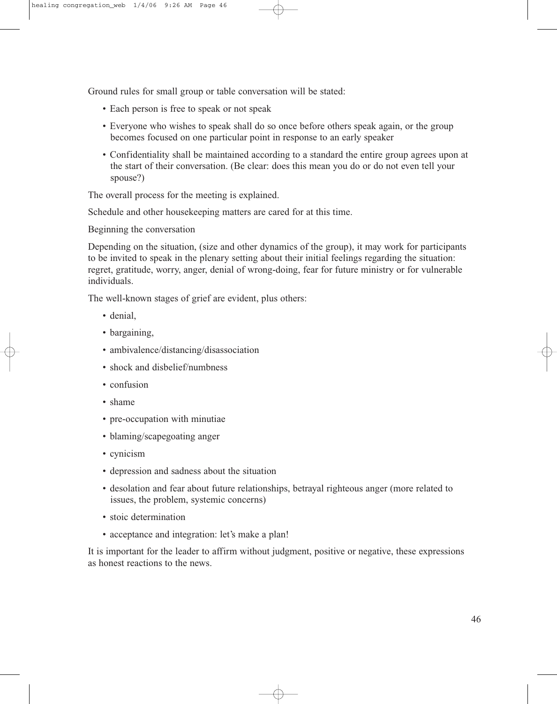Ground rules for small group or table conversation will be stated:

- Each person is free to speak or not speak
- Everyone who wishes to speak shall do so once before others speak again, or the group becomes focused on one particular point in response to an early speaker
- Confidentiality shall be maintained according to a standard the entire group agrees upon at the start of their conversation. (Be clear: does this mean you do or do not even tell your spouse?)

The overall process for the meeting is explained.

Schedule and other housekeeping matters are cared for at this time.

Beginning the conversation

Depending on the situation, (size and other dynamics of the group), it may work for participants to be invited to speak in the plenary setting about their initial feelings regarding the situation: regret, gratitude, worry, anger, denial of wrong-doing, fear for future ministry or for vulnerable individuals.

The well-known stages of grief are evident, plus others:

- denial,
- bargaining,
- ambivalence/distancing/disassociation
- shock and disbelief/numbness
- confusion
- shame
- pre-occupation with minutiae
- blaming/scapegoating anger
- cynicism
- depression and sadness about the situation
- desolation and fear about future relationships, betrayal righteous anger (more related to issues, the problem, systemic concerns)
- stoic determination
- acceptance and integration: let's make a plan!

It is important for the leader to affirm without judgment, positive or negative, these expressions as honest reactions to the news.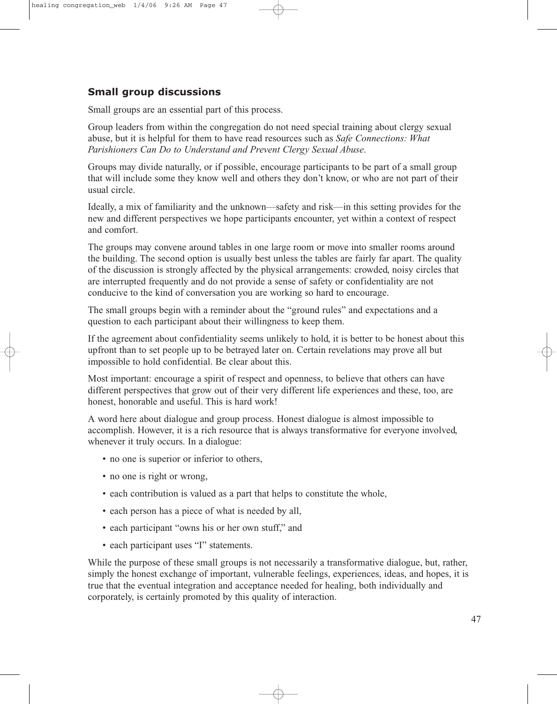## **Small group discussions**

Small groups are an essential part of this process.

Group leaders from within the congregation do not need special training about clergy sexual abuse, but it is helpful for them to have read resources such as *Safe Connections: What Parishioners Can Do to Understand and Prevent Clergy Sexual Abuse*.

Groups may divide naturally, or if possible, encourage participants to be part of a small group that will include some they know well and others they don't know, or who are not part of their usual circle.

Ideally, a mix of familiarity and the unknown—safety and risk—in this setting provides for the new and different perspectives we hope participants encounter, yet within a context of respect and comfort.

The groups may convene around tables in one large room or move into smaller rooms around the building. The second option is usually best unless the tables are fairly far apart. The quality of the discussion is strongly affected by the physical arrangements: crowded, noisy circles that are interrupted frequently and do not provide a sense of safety or confidentiality are not conducive to the kind of conversation you are working so hard to encourage.

The small groups begin with a reminder about the "ground rules" and expectations and a question to each participant about their willingness to keep them.

If the agreement about confidentiality seems unlikely to hold, it is better to be honest about this upfront than to set people up to be betrayed later on. Certain revelations may prove all but impossible to hold confidential. Be clear about this.

Most important: encourage a spirit of respect and openness, to believe that others can have different perspectives that grow out of their very different life experiences and these, too, are honest, honorable and useful. This is hard work!

A word here about dialogue and group process. Honest dialogue is almost impossible to accomplish. However, it is a rich resource that is always transformative for everyone involved, whenever it truly occurs. In a dialogue:

- no one is superior or inferior to others,
- no one is right or wrong,
- each contribution is valued as a part that helps to constitute the whole,
- each person has a piece of what is needed by all,
- each participant "owns his or her own stuff," and
- each participant uses "I" statements.

While the purpose of these small groups is not necessarily a transformative dialogue, but, rather, simply the honest exchange of important, vulnerable feelings, experiences, ideas, and hopes, it is true that the eventual integration and acceptance needed for healing, both individually and corporately, is certainly promoted by this quality of interaction.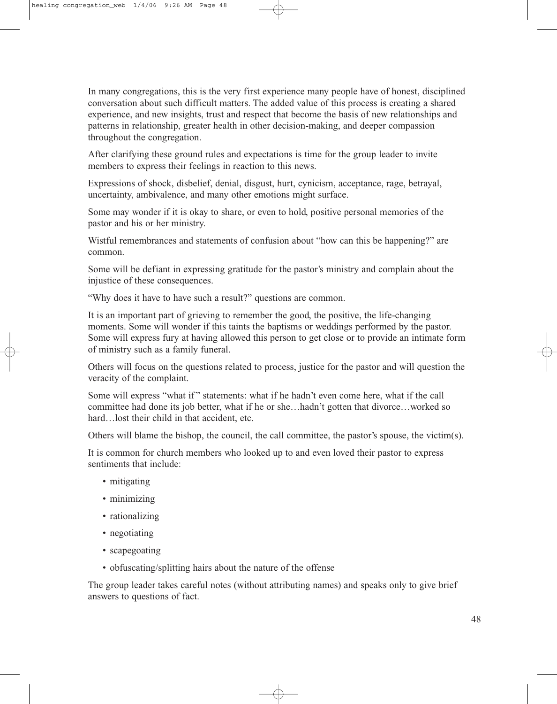In many congregations, this is the very first experience many people have of honest, disciplined conversation about such difficult matters. The added value of this process is creating a shared experience, and new insights, trust and respect that become the basis of new relationships and patterns in relationship, greater health in other decision-making, and deeper compassion throughout the congregation.

After clarifying these ground rules and expectations is time for the group leader to invite members to express their feelings in reaction to this news.

Expressions of shock, disbelief, denial, disgust, hurt, cynicism, acceptance, rage, betrayal, uncertainty, ambivalence, and many other emotions might surface.

Some may wonder if it is okay to share, or even to hold, positive personal memories of the pastor and his or her ministry.

Wistful remembrances and statements of confusion about "how can this be happening?" are common.

Some will be defiant in expressing gratitude for the pastor's ministry and complain about the injustice of these consequences.

"Why does it have to have such a result?" questions are common.

It is an important part of grieving to remember the good, the positive, the life-changing moments. Some will wonder if this taints the baptisms or weddings performed by the pastor. Some will express fury at having allowed this person to get close or to provide an intimate form of ministry such as a family funeral.

Others will focus on the questions related to process, justice for the pastor and will question the veracity of the complaint.

Some will express "what if" statements: what if he hadn't even come here, what if the call committee had done its job better, what if he or she…hadn't gotten that divorce…worked so hard…lost their child in that accident, etc.

Others will blame the bishop, the council, the call committee, the pastor's spouse, the victim(s).

It is common for church members who looked up to and even loved their pastor to express sentiments that include:

- mitigating
- minimizing
- rationalizing
- negotiating
- scapegoating
- obfuscating/splitting hairs about the nature of the offense

The group leader takes careful notes (without attributing names) and speaks only to give brief answers to questions of fact.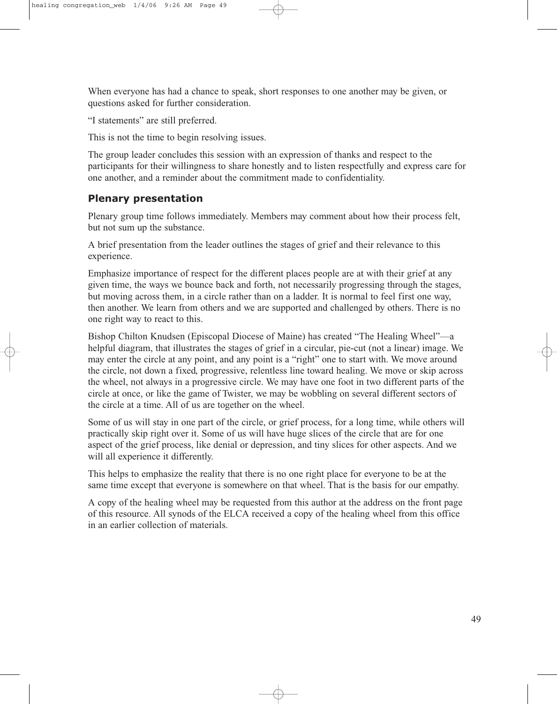When everyone has had a chance to speak, short responses to one another may be given, or questions asked for further consideration.

"I statements" are still preferred.

This is not the time to begin resolving issues.

The group leader concludes this session with an expression of thanks and respect to the participants for their willingness to share honestly and to listen respectfully and express care for one another, and a reminder about the commitment made to confidentiality.

## **Plenary presentation**

Plenary group time follows immediately. Members may comment about how their process felt, but not sum up the substance.

A brief presentation from the leader outlines the stages of grief and their relevance to this experience.

Emphasize importance of respect for the different places people are at with their grief at any given time, the ways we bounce back and forth, not necessarily progressing through the stages, but moving across them, in a circle rather than on a ladder. It is normal to feel first one way, then another. We learn from others and we are supported and challenged by others. There is no one right way to react to this.

Bishop Chilton Knudsen (Episcopal Diocese of Maine) has created "The Healing Wheel"—a helpful diagram, that illustrates the stages of grief in a circular, pie-cut (not a linear) image. We may enter the circle at any point, and any point is a "right" one to start with. We move around the circle, not down a fixed, progressive, relentless line toward healing. We move or skip across the wheel, not always in a progressive circle. We may have one foot in two different parts of the circle at once, or like the game of Twister, we may be wobbling on several different sectors of the circle at a time. All of us are together on the wheel.

Some of us will stay in one part of the circle, or grief process, for a long time, while others will practically skip right over it. Some of us will have huge slices of the circle that are for one aspect of the grief process, like denial or depression, and tiny slices for other aspects. And we will all experience it differently.

This helps to emphasize the reality that there is no one right place for everyone to be at the same time except that everyone is somewhere on that wheel. That is the basis for our empathy.

A copy of the healing wheel may be requested from this author at the address on the front page of this resource. All synods of the ELCA received a copy of the healing wheel from this office in an earlier collection of materials.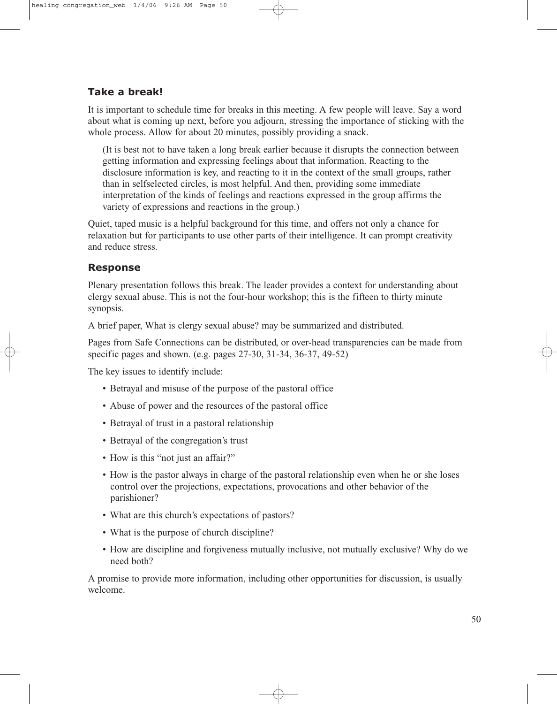## **Take a break!**

It is important to schedule time for breaks in this meeting. A few people will leave. Say a word about what is coming up next, before you adjourn, stressing the importance of sticking with the whole process. Allow for about 20 minutes, possibly providing a snack.

(It is best not to have taken a long break earlier because it disrupts the connection between getting information and expressing feelings about that information. Reacting to the disclosure information is key, and reacting to it in the context of the small groups, rather than in selfselected circles, is most helpful. And then, providing some immediate interpretation of the kinds of feelings and reactions expressed in the group affirms the variety of expressions and reactions in the group.)

Quiet, taped music is a helpful background for this time, and offers not only a chance for relaxation but for participants to use other parts of their intelligence. It can prompt creativity and reduce stress.

## **Response**

Plenary presentation follows this break. The leader provides a context for understanding about clergy sexual abuse. This is not the four-hour workshop; this is the fifteen to thirty minute synopsis.

A brief paper, What is clergy sexual abuse? may be summarized and distributed.

Pages from Safe Connections can be distributed, or over-head transparencies can be made from specific pages and shown. (e.g. pages 27-30, 31-34, 36-37, 49-52)

The key issues to identify include:

- Betrayal and misuse of the purpose of the pastoral office
- Abuse of power and the resources of the pastoral office
- Betrayal of trust in a pastoral relationship
- Betrayal of the congregation's trust
- How is this "not just an affair?"
- How is the pastor always in charge of the pastoral relationship even when he or she loses control over the projections, expectations, provocations and other behavior of the parishioner?
- What are this church's expectations of pastors?
- What is the purpose of church discipline?
- How are discipline and forgiveness mutually inclusive, not mutually exclusive? Why do we need both?

A promise to provide more information, including other opportunities for discussion, is usually welcome.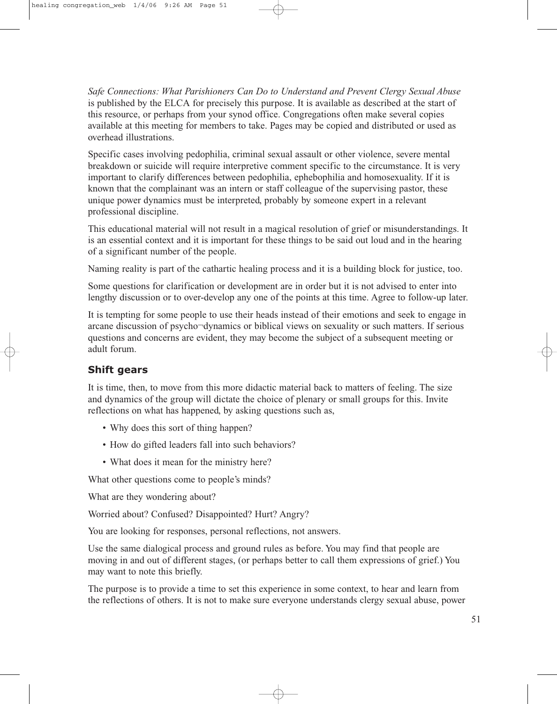*Safe Connections: What Parishioners Can Do to Understand and Prevent Clergy Sexual Abuse* is published by the ELCA for precisely this purpose. It is available as described at the start of this resource, or perhaps from your synod office. Congregations often make several copies available at this meeting for members to take. Pages may be copied and distributed or used as overhead illustrations.

Specific cases involving pedophilia, criminal sexual assault or other violence, severe mental breakdown or suicide will require interpretive comment specific to the circumstance. It is very important to clarify differences between pedophilia, ephebophilia and homosexuality. If it is known that the complainant was an intern or staff colleague of the supervising pastor, these unique power dynamics must be interpreted, probably by someone expert in a relevant professional discipline.

This educational material will not result in a magical resolution of grief or misunderstandings. It is an essential context and it is important for these things to be said out loud and in the hearing of a significant number of the people.

Naming reality is part of the cathartic healing process and it is a building block for justice, too.

Some questions for clarification or development are in order but it is not advised to enter into lengthy discussion or to over-develop any one of the points at this time. Agree to follow-up later.

It is tempting for some people to use their heads instead of their emotions and seek to engage in arcane discussion of psycho¬dynamics or biblical views on sexuality or such matters. If serious questions and concerns are evident, they may become the subject of a subsequent meeting or adult forum.

## **Shift gears**

It is time, then, to move from this more didactic material back to matters of feeling. The size and dynamics of the group will dictate the choice of plenary or small groups for this. Invite reflections on what has happened, by asking questions such as,

- Why does this sort of thing happen?
- How do gifted leaders fall into such behaviors?
- What does it mean for the ministry here?

What other questions come to people's minds?

What are they wondering about?

Worried about? Confused? Disappointed? Hurt? Angry?

You are looking for responses, personal reflections, not answers.

Use the same dialogical process and ground rules as before. You may find that people are moving in and out of different stages, (or perhaps better to call them expressions of grief.) You may want to note this briefly.

The purpose is to provide a time to set this experience in some context, to hear and learn from the reflections of others. It is not to make sure everyone understands clergy sexual abuse, power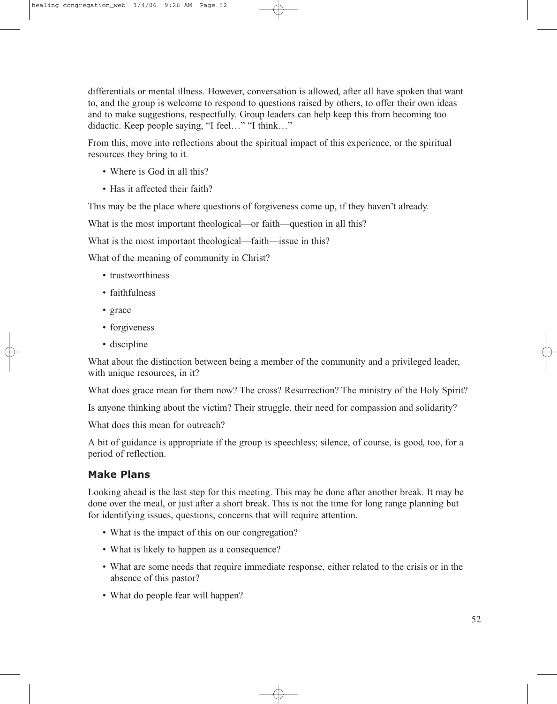differentials or mental illness. However, conversation is allowed, after all have spoken that want to, and the group is welcome to respond to questions raised by others, to offer their own ideas and to make suggestions, respectfully. Group leaders can help keep this from becoming too didactic. Keep people saying, "I feel…" "I think…"

From this, move into reflections about the spiritual impact of this experience, or the spiritual resources they bring to it.

- Where is God in all this?
- Has it affected their faith?

This may be the place where questions of forgiveness come up, if they haven't already.

What is the most important theological—or faith—question in all this?

What is the most important theological—faith—issue in this?

What of the meaning of community in Christ?

- trustworthiness
- faithfulness
- grace
- forgiveness
- discipline

What about the distinction between being a member of the community and a privileged leader, with unique resources, in it?

What does grace mean for them now? The cross? Resurrection? The ministry of the Holy Spirit?

Is anyone thinking about the victim? Their struggle, their need for compassion and solidarity?

What does this mean for outreach?

A bit of guidance is appropriate if the group is speechless; silence, of course, is good, too, for a period of reflection.

### **Make Plans**

Looking ahead is the last step for this meeting. This may be done after another break. It may be done over the meal, or just after a short break. This is not the time for long range planning but for identifying issues, questions, concerns that will require attention.

- What is the impact of this on our congregation?
- What is likely to happen as a consequence?
- What are some needs that require immediate response, either related to the crisis or in the absence of this pastor?
- What do people fear will happen?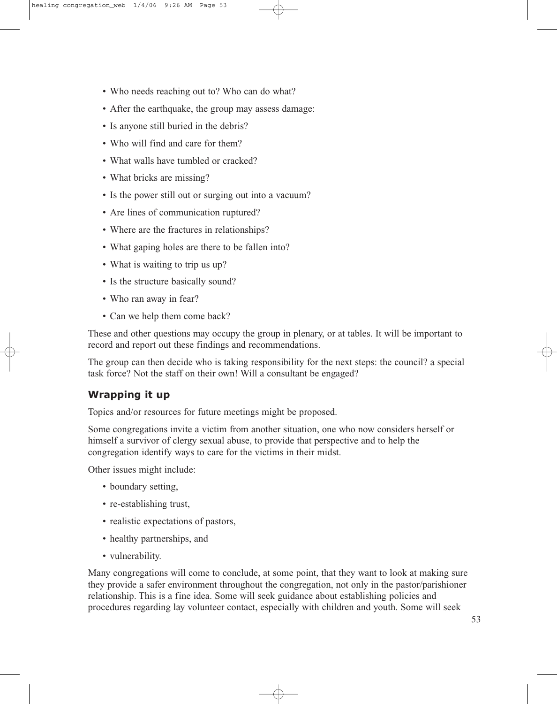- Who needs reaching out to? Who can do what?
- After the earthquake, the group may assess damage:
- Is anyone still buried in the debris?
- Who will find and care for them?
- What walls have tumbled or cracked?
- What bricks are missing?
- Is the power still out or surging out into a vacuum?
- Are lines of communication ruptured?
- Where are the fractures in relationships?
- What gaping holes are there to be fallen into?
- What is waiting to trip us up?
- Is the structure basically sound?
- Who ran away in fear?
- Can we help them come back?

These and other questions may occupy the group in plenary, or at tables. It will be important to record and report out these findings and recommendations.

The group can then decide who is taking responsibility for the next steps: the council? a special task force? Not the staff on their own! Will a consultant be engaged?

## **Wrapping it up**

Topics and/or resources for future meetings might be proposed.

Some congregations invite a victim from another situation, one who now considers herself or himself a survivor of clergy sexual abuse, to provide that perspective and to help the congregation identify ways to care for the victims in their midst.

Other issues might include:

- boundary setting,
- re-establishing trust,
- realistic expectations of pastors,
- healthy partnerships, and
- vulnerability.

Many congregations will come to conclude, at some point, that they want to look at making sure they provide a safer environment throughout the congregation, not only in the pastor/parishioner relationship. This is a fine idea. Some will seek guidance about establishing policies and procedures regarding lay volunteer contact, especially with children and youth. Some will seek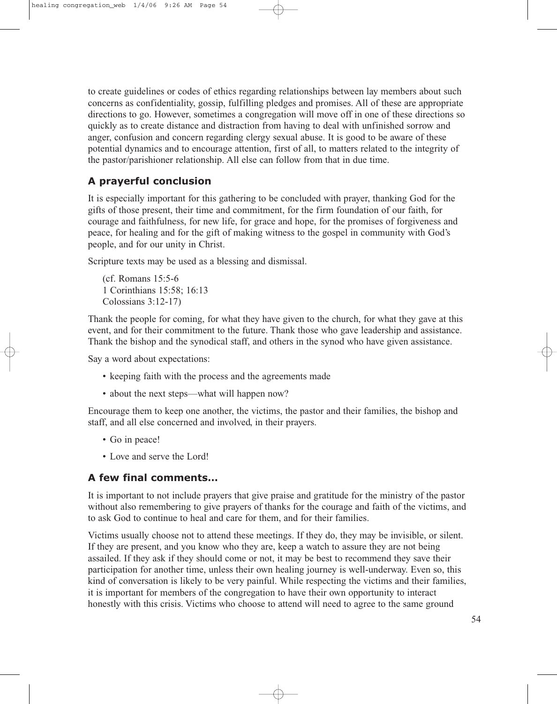to create guidelines or codes of ethics regarding relationships between lay members about such concerns as confidentiality, gossip, fulfilling pledges and promises. All of these are appropriate directions to go. However, sometimes a congregation will move off in one of these directions so quickly as to create distance and distraction from having to deal with unfinished sorrow and anger, confusion and concern regarding clergy sexual abuse. It is good to be aware of these potential dynamics and to encourage attention, first of all, to matters related to the integrity of the pastor/parishioner relationship. All else can follow from that in due time.

## **A prayerful conclusion**

It is especially important for this gathering to be concluded with prayer, thanking God for the gifts of those present, their time and commitment, for the firm foundation of our faith, for courage and faithfulness, for new life, for grace and hope, for the promises of forgiveness and peace, for healing and for the gift of making witness to the gospel in community with God's people, and for our unity in Christ.

Scripture texts may be used as a blessing and dismissal.

(cf. Romans 15:5-6 1 Corinthians 15:58; 16:13 Colossians 3:12-17)

Thank the people for coming, for what they have given to the church, for what they gave at this event, and for their commitment to the future. Thank those who gave leadership and assistance. Thank the bishop and the synodical staff, and others in the synod who have given assistance.

Say a word about expectations:

- keeping faith with the process and the agreements made
- about the next steps—what will happen now?

Encourage them to keep one another, the victims, the pastor and their families, the bishop and staff, and all else concerned and involved, in their prayers.

- Go in peace!
- Love and serve the Lord!

### **A few final comments…**

It is important to not include prayers that give praise and gratitude for the ministry of the pastor without also remembering to give prayers of thanks for the courage and faith of the victims, and to ask God to continue to heal and care for them, and for their families.

Victims usually choose not to attend these meetings. If they do, they may be invisible, or silent. If they are present, and you know who they are, keep a watch to assure they are not being assailed. If they ask if they should come or not, it may be best to recommend they save their participation for another time, unless their own healing journey is well-underway. Even so, this kind of conversation is likely to be very painful. While respecting the victims and their families, it is important for members of the congregation to have their own opportunity to interact honestly with this crisis. Victims who choose to attend will need to agree to the same ground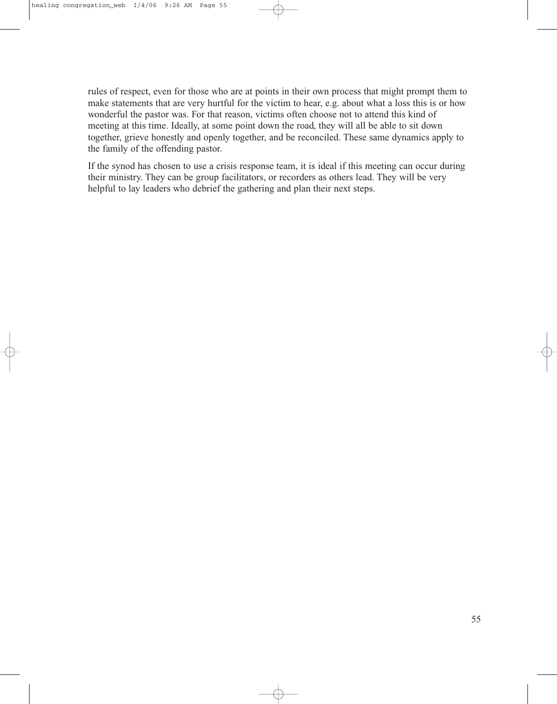rules of respect, even for those who are at points in their own process that might prompt them to make statements that are very hurtful for the victim to hear, e.g. about what a loss this is or how wonderful the pastor was. For that reason, victims often choose not to attend this kind of meeting at this time. Ideally, at some point down the road, they will all be able to sit down together, grieve honestly and openly together, and be reconciled. These same dynamics apply to the family of the offending pastor.

If the synod has chosen to use a crisis response team, it is ideal if this meeting can occur during their ministry. They can be group facilitators, or recorders as others lead. They will be very helpful to lay leaders who debrief the gathering and plan their next steps.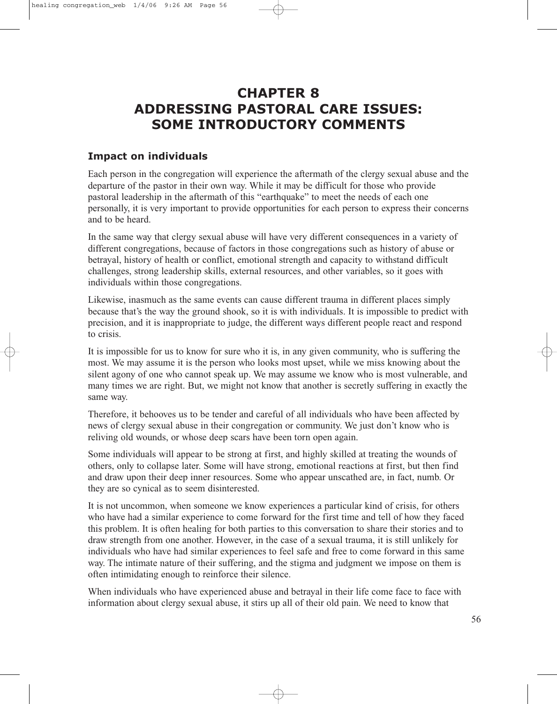# **CHAPTER 8 ADDRESSING PASTORAL CARE ISSUES: SOME INTRODUCTORY COMMENTS**

## **Impact on individuals**

Each person in the congregation will experience the aftermath of the clergy sexual abuse and the departure of the pastor in their own way. While it may be difficult for those who provide pastoral leadership in the aftermath of this "earthquake" to meet the needs of each one personally, it is very important to provide opportunities for each person to express their concerns and to be heard.

In the same way that clergy sexual abuse will have very different consequences in a variety of different congregations, because of factors in those congregations such as history of abuse or betrayal, history of health or conflict, emotional strength and capacity to withstand difficult challenges, strong leadership skills, external resources, and other variables, so it goes with individuals within those congregations.

Likewise, inasmuch as the same events can cause different trauma in different places simply because that's the way the ground shook, so it is with individuals. It is impossible to predict with precision, and it is inappropriate to judge, the different ways different people react and respond to crisis.

It is impossible for us to know for sure who it is, in any given community, who is suffering the most. We may assume it is the person who looks most upset, while we miss knowing about the silent agony of one who cannot speak up. We may assume we know who is most vulnerable, and many times we are right. But, we might not know that another is secretly suffering in exactly the same way.

Therefore, it behooves us to be tender and careful of all individuals who have been affected by news of clergy sexual abuse in their congregation or community. We just don't know who is reliving old wounds, or whose deep scars have been torn open again.

Some individuals will appear to be strong at first, and highly skilled at treating the wounds of others, only to collapse later. Some will have strong, emotional reactions at first, but then find and draw upon their deep inner resources. Some who appear unscathed are, in fact, numb. Or they are so cynical as to seem disinterested.

It is not uncommon, when someone we know experiences a particular kind of crisis, for others who have had a similar experience to come forward for the first time and tell of how they faced this problem. It is often healing for both parties to this conversation to share their stories and to draw strength from one another. However, in the case of a sexual trauma, it is still unlikely for individuals who have had similar experiences to feel safe and free to come forward in this same way. The intimate nature of their suffering, and the stigma and judgment we impose on them is often intimidating enough to reinforce their silence.

When individuals who have experienced abuse and betrayal in their life come face to face with information about clergy sexual abuse, it stirs up all of their old pain. We need to know that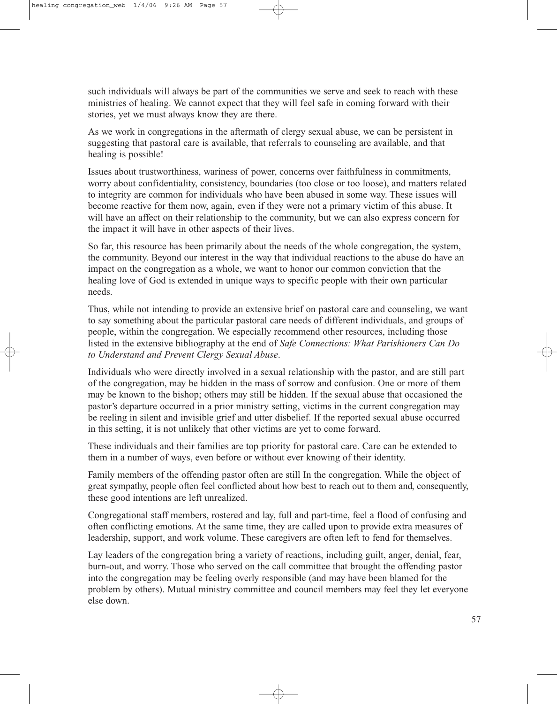such individuals will always be part of the communities we serve and seek to reach with these ministries of healing. We cannot expect that they will feel safe in coming forward with their stories, yet we must always know they are there.

As we work in congregations in the aftermath of clergy sexual abuse, we can be persistent in suggesting that pastoral care is available, that referrals to counseling are available, and that healing is possible!

Issues about trustworthiness, wariness of power, concerns over faithfulness in commitments, worry about confidentiality, consistency, boundaries (too close or too loose), and matters related to integrity are common for individuals who have been abused in some way. These issues will become reactive for them now, again, even if they were not a primary victim of this abuse. It will have an affect on their relationship to the community, but we can also express concern for the impact it will have in other aspects of their lives.

So far, this resource has been primarily about the needs of the whole congregation, the system, the community. Beyond our interest in the way that individual reactions to the abuse do have an impact on the congregation as a whole, we want to honor our common conviction that the healing love of God is extended in unique ways to specific people with their own particular needs.

Thus, while not intending to provide an extensive brief on pastoral care and counseling, we want to say something about the particular pastoral care needs of different individuals, and groups of people, within the congregation. We especially recommend other resources, including those listed in the extensive bibliography at the end of *Safe Connections: What Parishioners Can Do to Understand and Prevent Clergy Sexual Abuse*.

Individuals who were directly involved in a sexual relationship with the pastor, and are still part of the congregation, may be hidden in the mass of sorrow and confusion. One or more of them may be known to the bishop; others may still be hidden. If the sexual abuse that occasioned the pastor's departure occurred in a prior ministry setting, victims in the current congregation may be reeling in silent and invisible grief and utter disbelief. If the reported sexual abuse occurred in this setting, it is not unlikely that other victims are yet to come forward.

These individuals and their families are top priority for pastoral care. Care can be extended to them in a number of ways, even before or without ever knowing of their identity.

Family members of the offending pastor often are still In the congregation. While the object of great sympathy, people often feel conflicted about how best to reach out to them and, consequently, these good intentions are left unrealized.

Congregational staff members, rostered and lay, full and part-time, feel a flood of confusing and often conflicting emotions. At the same time, they are called upon to provide extra measures of leadership, support, and work volume. These caregivers are often left to fend for themselves.

Lay leaders of the congregation bring a variety of reactions, including guilt, anger, denial, fear, burn-out, and worry. Those who served on the call committee that brought the offending pastor into the congregation may be feeling overly responsible (and may have been blamed for the problem by others). Mutual ministry committee and council members may feel they let everyone else down.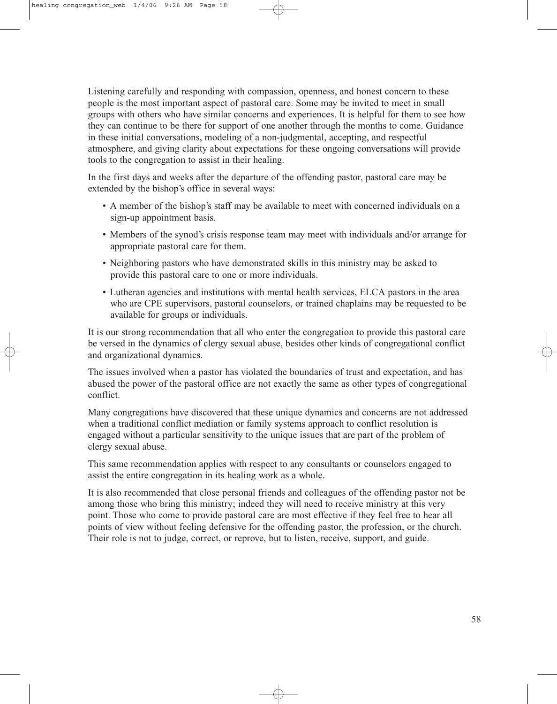Listening carefully and responding with compassion, openness, and honest concern to these people is the most important aspect of pastoral care. Some may be invited to meet in small groups with others who have similar concerns and experiences. It is helpful for them to see how they can continue to be there for support of one another through the months to come. Guidance in these initial conversations, modeling of a non-judgmental, accepting, and respectful atmosphere, and giving clarity about expectations for these ongoing conversations will provide tools to the congregation to assist in their healing.

In the first days and weeks after the departure of the offending pastor, pastoral care may be extended by the bishop's office in several ways:

- A member of the bishop's staff may be available to meet with concerned individuals on a sign-up appointment basis.
- Members of the synod's crisis response team may meet with individuals and/or arrange for appropriate pastoral care for them.
- Neighboring pastors who have demonstrated skills in this ministry may be asked to provide this pastoral care to one or more individuals.
- Lutheran agencies and institutions with mental health services, ELCA pastors in the area who are CPE supervisors, pastoral counselors, or trained chaplains may be requested to be available for groups or individuals.

It is our strong recommendation that all who enter the congregation to provide this pastoral care be versed in the dynamics of clergy sexual abuse, besides other kinds of congregational conflict and organizational dynamics.

The issues involved when a pastor has violated the boundaries of trust and expectation, and has abused the power of the pastoral office are not exactly the same as other types of congregational conflict.

Many congregations have discovered that these unique dynamics and concerns are not addressed when a traditional conflict mediation or family systems approach to conflict resolution is engaged without a particular sensitivity to the unique issues that are part of the problem of clergy sexual abuse.

This same recommendation applies with respect to any consultants or counselors engaged to assist the entire congregation in its healing work as a whole.

It is also recommended that close personal friends and colleagues of the offending pastor not be among those who bring this ministry; indeed they will need to receive ministry at this very point. Those who come to provide pastoral care are most effective if they feel free to hear all points of view without feeling defensive for the offending pastor, the profession, or the church. Their role is not to judge, correct, or reprove, but to listen, receive, support, and guide.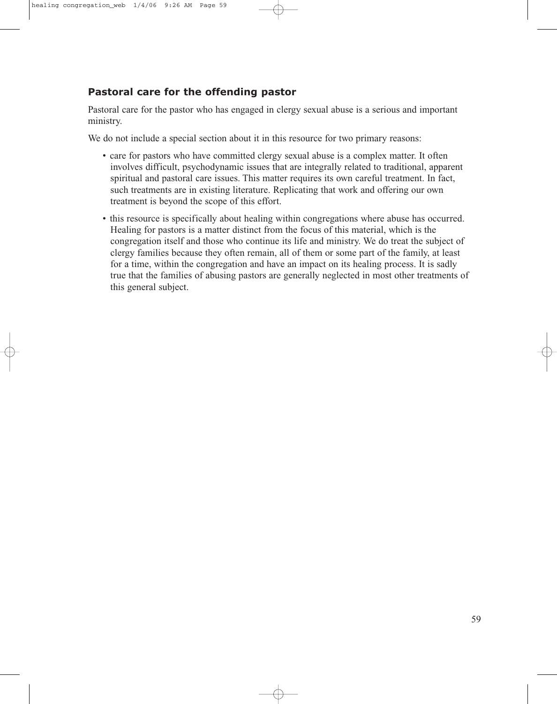## **Pastoral care for the offending pastor**

Pastoral care for the pastor who has engaged in clergy sexual abuse is a serious and important ministry.

We do not include a special section about it in this resource for two primary reasons:

- care for pastors who have committed clergy sexual abuse is a complex matter. It often involves difficult, psychodynamic issues that are integrally related to traditional, apparent spiritual and pastoral care issues. This matter requires its own careful treatment. In fact, such treatments are in existing literature. Replicating that work and offering our own treatment is beyond the scope of this effort.
- this resource is specifically about healing within congregations where abuse has occurred. Healing for pastors is a matter distinct from the focus of this material, which is the congregation itself and those who continue its life and ministry. We do treat the subject of clergy families because they often remain, all of them or some part of the family, at least for a time, within the congregation and have an impact on its healing process. It is sadly true that the families of abusing pastors are generally neglected in most other treatments of this general subject.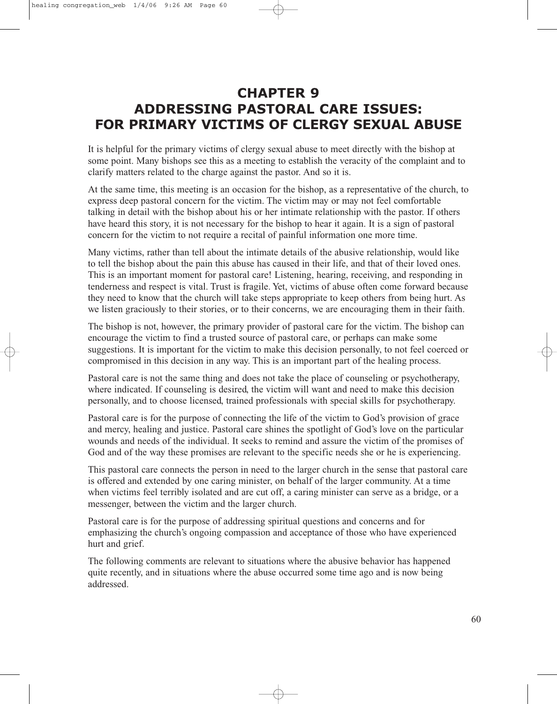# **CHAPTER 9 ADDRESSING PASTORAL CARE ISSUES: FOR PRIMARY VICTIMS OF CLERGY SEXUAL ABUSE**

It is helpful for the primary victims of clergy sexual abuse to meet directly with the bishop at some point. Many bishops see this as a meeting to establish the veracity of the complaint and to clarify matters related to the charge against the pastor. And so it is.

At the same time, this meeting is an occasion for the bishop, as a representative of the church, to express deep pastoral concern for the victim. The victim may or may not feel comfortable talking in detail with the bishop about his or her intimate relationship with the pastor. If others have heard this story, it is not necessary for the bishop to hear it again. It is a sign of pastoral concern for the victim to not require a recital of painful information one more time.

Many victims, rather than tell about the intimate details of the abusive relationship, would like to tell the bishop about the pain this abuse has caused in their life, and that of their loved ones. This is an important moment for pastoral care! Listening, hearing, receiving, and responding in tenderness and respect is vital. Trust is fragile. Yet, victims of abuse often come forward because they need to know that the church will take steps appropriate to keep others from being hurt. As we listen graciously to their stories, or to their concerns, we are encouraging them in their faith.

The bishop is not, however, the primary provider of pastoral care for the victim. The bishop can encourage the victim to find a trusted source of pastoral care, or perhaps can make some suggestions. It is important for the victim to make this decision personally, to not feel coerced or compromised in this decision in any way. This is an important part of the healing process.

Pastoral care is not the same thing and does not take the place of counseling or psychotherapy, where indicated. If counseling is desired, the victim will want and need to make this decision personally, and to choose licensed, trained professionals with special skills for psychotherapy.

Pastoral care is for the purpose of connecting the life of the victim to God's provision of grace and mercy, healing and justice. Pastoral care shines the spotlight of God's love on the particular wounds and needs of the individual. It seeks to remind and assure the victim of the promises of God and of the way these promises are relevant to the specific needs she or he is experiencing.

This pastoral care connects the person in need to the larger church in the sense that pastoral care is offered and extended by one caring minister, on behalf of the larger community. At a time when victims feel terribly isolated and are cut off, a caring minister can serve as a bridge, or a messenger, between the victim and the larger church.

Pastoral care is for the purpose of addressing spiritual questions and concerns and for emphasizing the church's ongoing compassion and acceptance of those who have experienced hurt and grief.

The following comments are relevant to situations where the abusive behavior has happened quite recently, and in situations where the abuse occurred some time ago and is now being addressed.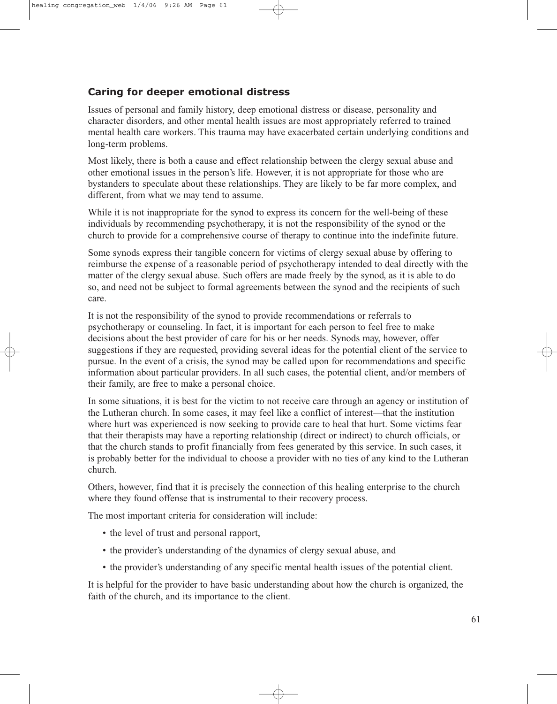## **Caring for deeper emotional distress**

Issues of personal and family history, deep emotional distress or disease, personality and character disorders, and other mental health issues are most appropriately referred to trained mental health care workers. This trauma may have exacerbated certain underlying conditions and long-term problems.

Most likely, there is both a cause and effect relationship between the clergy sexual abuse and other emotional issues in the person's life. However, it is not appropriate for those who are bystanders to speculate about these relationships. They are likely to be far more complex, and different, from what we may tend to assume.

While it is not inappropriate for the synod to express its concern for the well-being of these individuals by recommending psychotherapy, it is not the responsibility of the synod or the church to provide for a comprehensive course of therapy to continue into the indefinite future.

Some synods express their tangible concern for victims of clergy sexual abuse by offering to reimburse the expense of a reasonable period of psychotherapy intended to deal directly with the matter of the clergy sexual abuse. Such offers are made freely by the synod, as it is able to do so, and need not be subject to formal agreements between the synod and the recipients of such care.

It is not the responsibility of the synod to provide recommendations or referrals to psychotherapy or counseling. In fact, it is important for each person to feel free to make decisions about the best provider of care for his or her needs. Synods may, however, offer suggestions if they are requested, providing several ideas for the potential client of the service to pursue. In the event of a crisis, the synod may be called upon for recommendations and specific information about particular providers. In all such cases, the potential client, and/or members of their family, are free to make a personal choice.

In some situations, it is best for the victim to not receive care through an agency or institution of the Lutheran church. In some cases, it may feel like a conflict of interest—that the institution where hurt was experienced is now seeking to provide care to heal that hurt. Some victims fear that their therapists may have a reporting relationship (direct or indirect) to church officials, or that the church stands to profit financially from fees generated by this service. In such cases, it is probably better for the individual to choose a provider with no ties of any kind to the Lutheran church.

Others, however, find that it is precisely the connection of this healing enterprise to the church where they found offense that is instrumental to their recovery process.

The most important criteria for consideration will include:

- the level of trust and personal rapport,
- the provider's understanding of the dynamics of clergy sexual abuse, and
- the provider's understanding of any specific mental health issues of the potential client.

It is helpful for the provider to have basic understanding about how the church is organized, the faith of the church, and its importance to the client.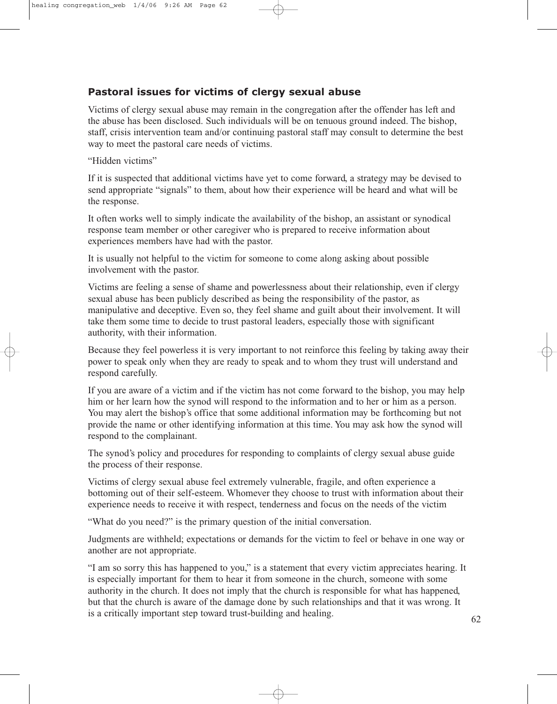## **Pastoral issues for victims of clergy sexual abuse**

Victims of clergy sexual abuse may remain in the congregation after the offender has left and the abuse has been disclosed. Such individuals will be on tenuous ground indeed. The bishop, staff, crisis intervention team and/or continuing pastoral staff may consult to determine the best way to meet the pastoral care needs of victims.

"Hidden victims"

If it is suspected that additional victims have yet to come forward, a strategy may be devised to send appropriate "signals" to them, about how their experience will be heard and what will be the response.

It often works well to simply indicate the availability of the bishop, an assistant or synodical response team member or other caregiver who is prepared to receive information about experiences members have had with the pastor.

It is usually not helpful to the victim for someone to come along asking about possible involvement with the pastor.

Victims are feeling a sense of shame and powerlessness about their relationship, even if clergy sexual abuse has been publicly described as being the responsibility of the pastor, as manipulative and deceptive. Even so, they feel shame and guilt about their involvement. It will take them some time to decide to trust pastoral leaders, especially those with significant authority, with their information.

Because they feel powerless it is very important to not reinforce this feeling by taking away their power to speak only when they are ready to speak and to whom they trust will understand and respond carefully.

If you are aware of a victim and if the victim has not come forward to the bishop, you may help him or her learn how the synod will respond to the information and to her or him as a person. You may alert the bishop's office that some additional information may be forthcoming but not provide the name or other identifying information at this time. You may ask how the synod will respond to the complainant.

The synod's policy and procedures for responding to complaints of clergy sexual abuse guide the process of their response.

Victims of clergy sexual abuse feel extremely vulnerable, fragile, and often experience a bottoming out of their self-esteem. Whomever they choose to trust with information about their experience needs to receive it with respect, tenderness and focus on the needs of the victim

"What do you need?" is the primary question of the initial conversation.

Judgments are withheld; expectations or demands for the victim to feel or behave in one way or another are not appropriate.

"I am so sorry this has happened to you," is a statement that every victim appreciates hearing. It is especially important for them to hear it from someone in the church, someone with some authority in the church. It does not imply that the church is responsible for what has happened, but that the church is aware of the damage done by such relationships and that it was wrong. It is a critically important step toward trust-building and healing.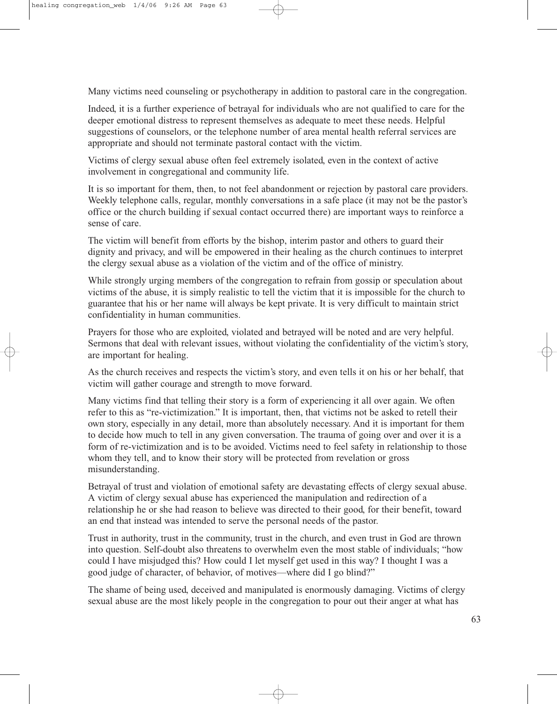Many victims need counseling or psychotherapy in addition to pastoral care in the congregation.

Indeed, it is a further experience of betrayal for individuals who are not qualified to care for the deeper emotional distress to represent themselves as adequate to meet these needs. Helpful suggestions of counselors, or the telephone number of area mental health referral services are appropriate and should not terminate pastoral contact with the victim.

Victims of clergy sexual abuse often feel extremely isolated, even in the context of active involvement in congregational and community life.

It is so important for them, then, to not feel abandonment or rejection by pastoral care providers. Weekly telephone calls, regular, monthly conversations in a safe place (it may not be the pastor's office or the church building if sexual contact occurred there) are important ways to reinforce a sense of care.

The victim will benefit from efforts by the bishop, interim pastor and others to guard their dignity and privacy, and will be empowered in their healing as the church continues to interpret the clergy sexual abuse as a violation of the victim and of the office of ministry.

While strongly urging members of the congregation to refrain from gossip or speculation about victims of the abuse, it is simply realistic to tell the victim that it is impossible for the church to guarantee that his or her name will always be kept private. It is very difficult to maintain strict confidentiality in human communities.

Prayers for those who are exploited, violated and betrayed will be noted and are very helpful. Sermons that deal with relevant issues, without violating the confidentiality of the victim's story, are important for healing.

As the church receives and respects the victim's story, and even tells it on his or her behalf, that victim will gather courage and strength to move forward.

Many victims find that telling their story is a form of experiencing it all over again. We often refer to this as "re-victimization." It is important, then, that victims not be asked to retell their own story, especially in any detail, more than absolutely necessary. And it is important for them to decide how much to tell in any given conversation. The trauma of going over and over it is a form of re-victimization and is to be avoided. Victims need to feel safety in relationship to those whom they tell, and to know their story will be protected from revelation or gross misunderstanding.

Betrayal of trust and violation of emotional safety are devastating effects of clergy sexual abuse. A victim of clergy sexual abuse has experienced the manipulation and redirection of a relationship he or she had reason to believe was directed to their good, for their benefit, toward an end that instead was intended to serve the personal needs of the pastor.

Trust in authority, trust in the community, trust in the church, and even trust in God are thrown into question. Self-doubt also threatens to overwhelm even the most stable of individuals; "how could I have misjudged this? How could I let myself get used in this way? I thought I was a good judge of character, of behavior, of motives—where did I go blind?"

The shame of being used, deceived and manipulated is enormously damaging. Victims of clergy sexual abuse are the most likely people in the congregation to pour out their anger at what has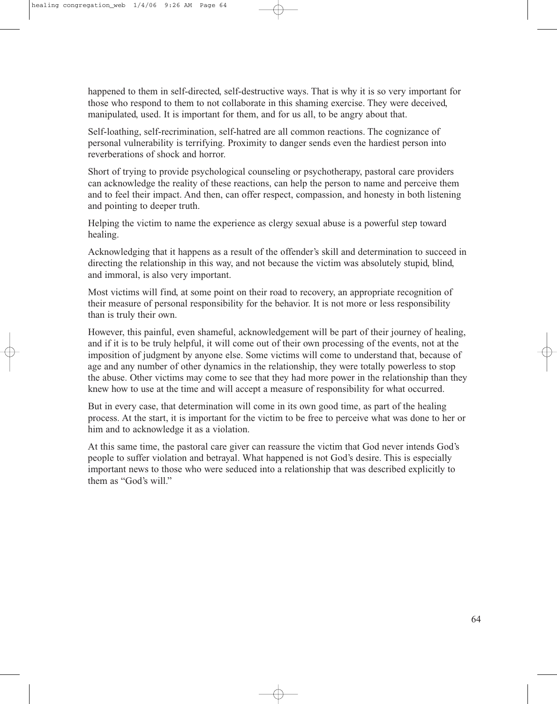happened to them in self-directed, self-destructive ways. That is why it is so very important for those who respond to them to not collaborate in this shaming exercise. They were deceived, manipulated, used. It is important for them, and for us all, to be angry about that.

Self-loathing, self-recrimination, self-hatred are all common reactions. The cognizance of personal vulnerability is terrifying. Proximity to danger sends even the hardiest person into reverberations of shock and horror.

Short of trying to provide psychological counseling or psychotherapy, pastoral care providers can acknowledge the reality of these reactions, can help the person to name and perceive them and to feel their impact. And then, can offer respect, compassion, and honesty in both listening and pointing to deeper truth.

Helping the victim to name the experience as clergy sexual abuse is a powerful step toward healing.

Acknowledging that it happens as a result of the offender's skill and determination to succeed in directing the relationship in this way, and not because the victim was absolutely stupid, blind, and immoral, is also very important.

Most victims will find, at some point on their road to recovery, an appropriate recognition of their measure of personal responsibility for the behavior. It is not more or less responsibility than is truly their own.

However, this painful, even shameful, acknowledgement will be part of their journey of healing, and if it is to be truly helpful, it will come out of their own processing of the events, not at the imposition of judgment by anyone else. Some victims will come to understand that, because of age and any number of other dynamics in the relationship, they were totally powerless to stop the abuse. Other victims may come to see that they had more power in the relationship than they knew how to use at the time and will accept a measure of responsibility for what occurred.

But in every case, that determination will come in its own good time, as part of the healing process. At the start, it is important for the victim to be free to perceive what was done to her or him and to acknowledge it as a violation.

At this same time, the pastoral care giver can reassure the victim that God never intends God's people to suffer violation and betrayal. What happened is not God's desire. This is especially important news to those who were seduced into a relationship that was described explicitly to them as "God's will."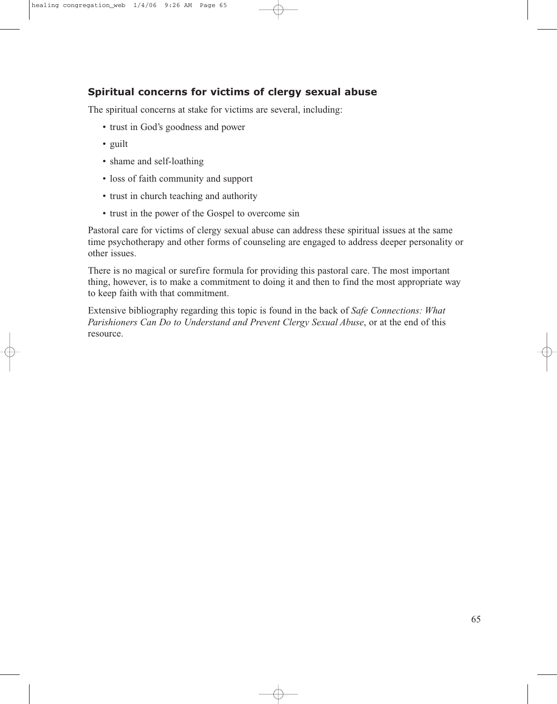## **Spiritual concerns for victims of clergy sexual abuse**

The spiritual concerns at stake for victims are several, including:

- trust in God's goodness and power
- guilt
- shame and self-loathing
- loss of faith community and support
- trust in church teaching and authority
- trust in the power of the Gospel to overcome sin

Pastoral care for victims of clergy sexual abuse can address these spiritual issues at the same time psychotherapy and other forms of counseling are engaged to address deeper personality or other issues.

There is no magical or surefire formula for providing this pastoral care. The most important thing, however, is to make a commitment to doing it and then to find the most appropriate way to keep faith with that commitment.

Extensive bibliography regarding this topic is found in the back of *Safe Connections: What Parishioners Can Do to Understand and Prevent Clergy Sexual Abuse*, or at the end of this resource.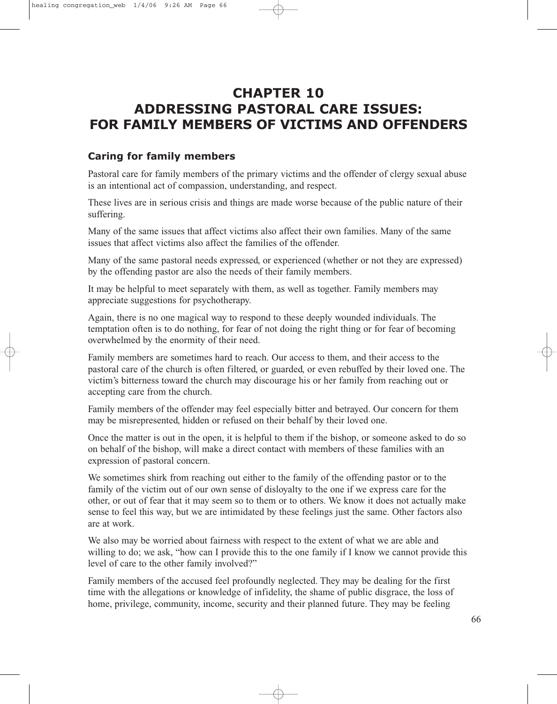# **CHAPTER 10 ADDRESSING PASTORAL CARE ISSUES: FOR FAMILY MEMBERS OF VICTIMS AND OFFENDERS**

## **Caring for family members**

Pastoral care for family members of the primary victims and the offender of clergy sexual abuse is an intentional act of compassion, understanding, and respect.

These lives are in serious crisis and things are made worse because of the public nature of their suffering.

Many of the same issues that affect victims also affect their own families. Many of the same issues that affect victims also affect the families of the offender.

Many of the same pastoral needs expressed, or experienced (whether or not they are expressed) by the offending pastor are also the needs of their family members.

It may be helpful to meet separately with them, as well as together. Family members may appreciate suggestions for psychotherapy.

Again, there is no one magical way to respond to these deeply wounded individuals. The temptation often is to do nothing, for fear of not doing the right thing or for fear of becoming overwhelmed by the enormity of their need.

Family members are sometimes hard to reach. Our access to them, and their access to the pastoral care of the church is often filtered, or guarded, or even rebuffed by their loved one. The victim's bitterness toward the church may discourage his or her family from reaching out or accepting care from the church.

Family members of the offender may feel especially bitter and betrayed. Our concern for them may be misrepresented, hidden or refused on their behalf by their loved one.

Once the matter is out in the open, it is helpful to them if the bishop, or someone asked to do so on behalf of the bishop, will make a direct contact with members of these families with an expression of pastoral concern.

We sometimes shirk from reaching out either to the family of the offending pastor or to the family of the victim out of our own sense of disloyalty to the one if we express care for the other, or out of fear that it may seem so to them or to others. We know it does not actually make sense to feel this way, but we are intimidated by these feelings just the same. Other factors also are at work.

We also may be worried about fairness with respect to the extent of what we are able and willing to do; we ask, "how can I provide this to the one family if I know we cannot provide this level of care to the other family involved?"

Family members of the accused feel profoundly neglected. They may be dealing for the first time with the allegations or knowledge of infidelity, the shame of public disgrace, the loss of home, privilege, community, income, security and their planned future. They may be feeling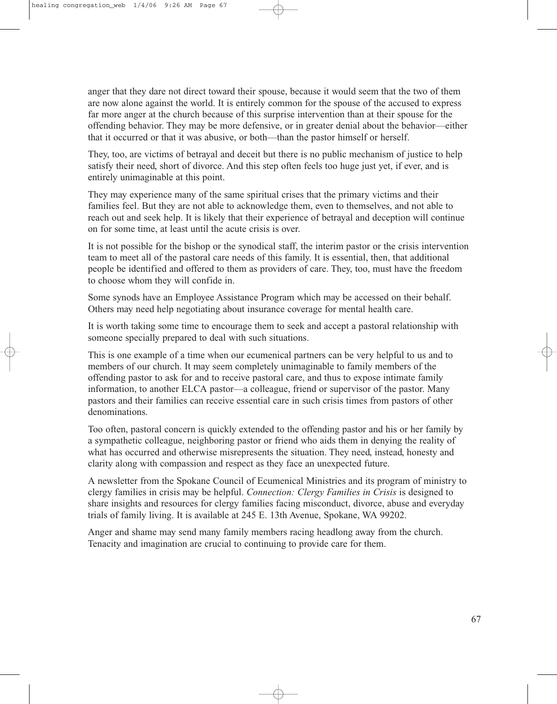anger that they dare not direct toward their spouse, because it would seem that the two of them are now alone against the world. It is entirely common for the spouse of the accused to express far more anger at the church because of this surprise intervention than at their spouse for the offending behavior. They may be more defensive, or in greater denial about the behavior—either that it occurred or that it was abusive, or both—than the pastor himself or herself.

They, too, are victims of betrayal and deceit but there is no public mechanism of justice to help satisfy their need, short of divorce. And this step often feels too huge just yet, if ever, and is entirely unimaginable at this point.

They may experience many of the same spiritual crises that the primary victims and their families feel. But they are not able to acknowledge them, even to themselves, and not able to reach out and seek help. It is likely that their experience of betrayal and deception will continue on for some time, at least until the acute crisis is over.

It is not possible for the bishop or the synodical staff, the interim pastor or the crisis intervention team to meet all of the pastoral care needs of this family. It is essential, then, that additional people be identified and offered to them as providers of care. They, too, must have the freedom to choose whom they will confide in.

Some synods have an Employee Assistance Program which may be accessed on their behalf. Others may need help negotiating about insurance coverage for mental health care.

It is worth taking some time to encourage them to seek and accept a pastoral relationship with someone specially prepared to deal with such situations.

This is one example of a time when our ecumenical partners can be very helpful to us and to members of our church. It may seem completely unimaginable to family members of the offending pastor to ask for and to receive pastoral care, and thus to expose intimate family information, to another ELCA pastor—a colleague, friend or supervisor of the pastor. Many pastors and their families can receive essential care in such crisis times from pastors of other denominations.

Too often, pastoral concern is quickly extended to the offending pastor and his or her family by a sympathetic colleague, neighboring pastor or friend who aids them in denying the reality of what has occurred and otherwise misrepresents the situation. They need, instead, honesty and clarity along with compassion and respect as they face an unexpected future.

A newsletter from the Spokane Council of Ecumenical Ministries and its program of ministry to clergy families in crisis may be helpful. *Connection: Clergy Families in Crisis* is designed to share insights and resources for clergy families facing misconduct, divorce, abuse and everyday trials of family living. It is available at 245 E. 13th Avenue, Spokane, WA 99202.

Anger and shame may send many family members racing headlong away from the church. Tenacity and imagination are crucial to continuing to provide care for them.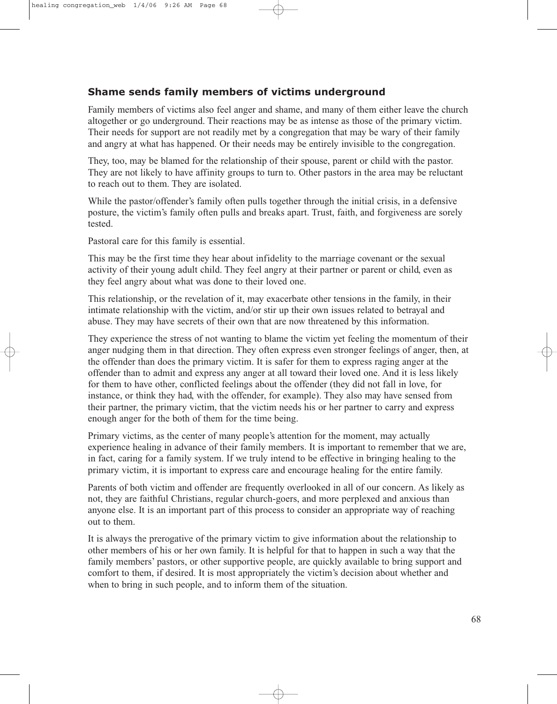### **Shame sends family members of victims underground**

Family members of victims also feel anger and shame, and many of them either leave the church altogether or go underground. Their reactions may be as intense as those of the primary victim. Their needs for support are not readily met by a congregation that may be wary of their family and angry at what has happened. Or their needs may be entirely invisible to the congregation.

They, too, may be blamed for the relationship of their spouse, parent or child with the pastor. They are not likely to have affinity groups to turn to. Other pastors in the area may be reluctant to reach out to them. They are isolated.

While the pastor/offender's family often pulls together through the initial crisis, in a defensive posture, the victim's family often pulls and breaks apart. Trust, faith, and forgiveness are sorely tested.

Pastoral care for this family is essential.

This may be the first time they hear about infidelity to the marriage covenant or the sexual activity of their young adult child. They feel angry at their partner or parent or child, even as they feel angry about what was done to their loved one.

This relationship, or the revelation of it, may exacerbate other tensions in the family, in their intimate relationship with the victim, and/or stir up their own issues related to betrayal and abuse. They may have secrets of their own that are now threatened by this information.

They experience the stress of not wanting to blame the victim yet feeling the momentum of their anger nudging them in that direction. They often express even stronger feelings of anger, then, at the offender than does the primary victim. It is safer for them to express raging anger at the offender than to admit and express any anger at all toward their loved one. And it is less likely for them to have other, conflicted feelings about the offender (they did not fall in love, for instance, or think they had, with the offender, for example). They also may have sensed from their partner, the primary victim, that the victim needs his or her partner to carry and express enough anger for the both of them for the time being.

Primary victims, as the center of many people's attention for the moment, may actually experience healing in advance of their family members. It is important to remember that we are, in fact, caring for a family system. If we truly intend to be effective in bringing healing to the primary victim, it is important to express care and encourage healing for the entire family.

Parents of both victim and offender are frequently overlooked in all of our concern. As likely as not, they are faithful Christians, regular church-goers, and more perplexed and anxious than anyone else. It is an important part of this process to consider an appropriate way of reaching out to them.

It is always the prerogative of the primary victim to give information about the relationship to other members of his or her own family. It is helpful for that to happen in such a way that the family members' pastors, or other supportive people, are quickly available to bring support and comfort to them, if desired. It is most appropriately the victim's decision about whether and when to bring in such people, and to inform them of the situation.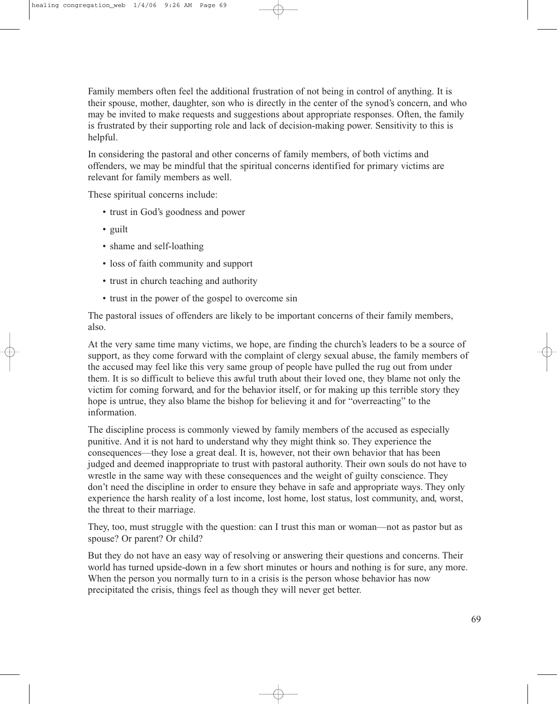Family members often feel the additional frustration of not being in control of anything. It is their spouse, mother, daughter, son who is directly in the center of the synod's concern, and who may be invited to make requests and suggestions about appropriate responses. Often, the family is frustrated by their supporting role and lack of decision-making power. Sensitivity to this is helpful.

In considering the pastoral and other concerns of family members, of both victims and offenders, we may be mindful that the spiritual concerns identified for primary victims are relevant for family members as well.

These spiritual concerns include:

- trust in God's goodness and power
- guilt
- shame and self-loathing
- loss of faith community and support
- trust in church teaching and authority
- trust in the power of the gospel to overcome sin

The pastoral issues of offenders are likely to be important concerns of their family members, also.

At the very same time many victims, we hope, are finding the church's leaders to be a source of support, as they come forward with the complaint of clergy sexual abuse, the family members of the accused may feel like this very same group of people have pulled the rug out from under them. It is so difficult to believe this awful truth about their loved one, they blame not only the victim for coming forward, and for the behavior itself, or for making up this terrible story they hope is untrue, they also blame the bishop for believing it and for "overreacting" to the information.

The discipline process is commonly viewed by family members of the accused as especially punitive. And it is not hard to understand why they might think so. They experience the consequences—they lose a great deal. It is, however, not their own behavior that has been judged and deemed inappropriate to trust with pastoral authority. Their own souls do not have to wrestle in the same way with these consequences and the weight of guilty conscience. They don't need the discipline in order to ensure they behave in safe and appropriate ways. They only experience the harsh reality of a lost income, lost home, lost status, lost community, and, worst, the threat to their marriage.

They, too, must struggle with the question: can I trust this man or woman—not as pastor but as spouse? Or parent? Or child?

But they do not have an easy way of resolving or answering their questions and concerns. Their world has turned upside-down in a few short minutes or hours and nothing is for sure, any more. When the person you normally turn to in a crisis is the person whose behavior has now precipitated the crisis, things feel as though they will never get better.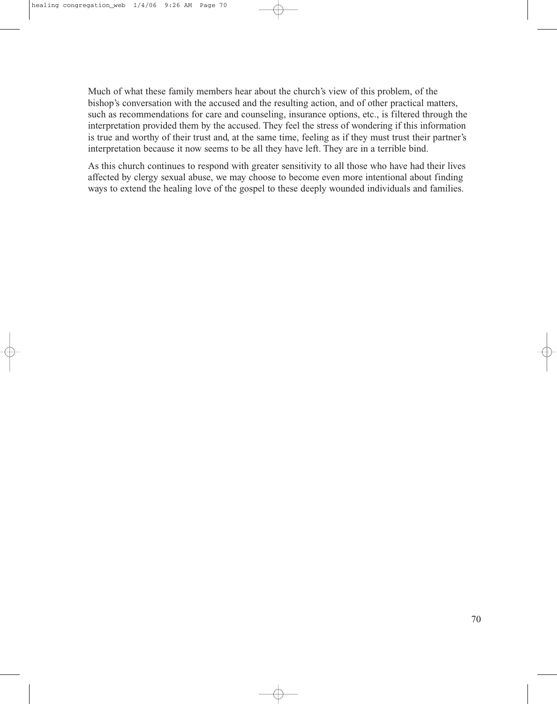Much of what these family members hear about the church's view of this problem, of the bishop's conversation with the accused and the resulting action, and of other practical matters, such as recommendations for care and counseling, insurance options, etc., is filtered through the interpretation provided them by the accused. They feel the stress of wondering if this information is true and worthy of their trust and, at the same time, feeling as if they must trust their partner's interpretation because it now seems to be all they have left. They are in a terrible bind.

As this church continues to respond with greater sensitivity to all those who have had their lives affected by clergy sexual abuse, we may choose to become even more intentional about finding ways to extend the healing love of the gospel to these deeply wounded individuals and families.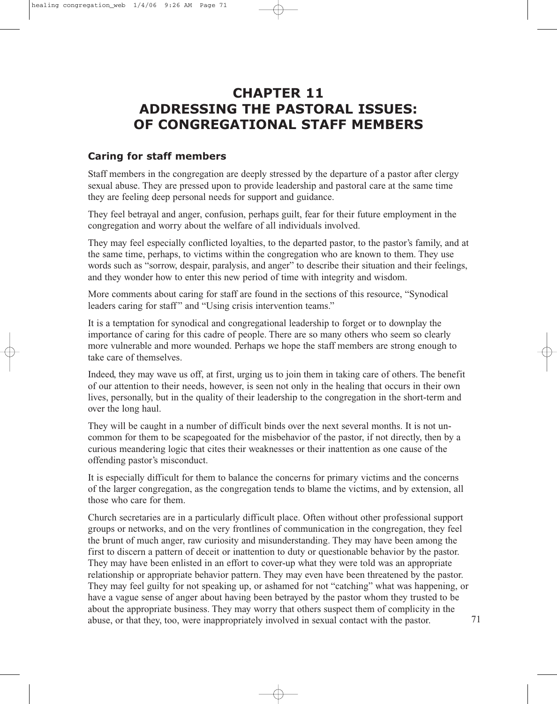# **CHAPTER 11 ADDRESSING THE PASTORAL ISSUES: OF CONGREGATIONAL STAFF MEMBERS**

#### **Caring for staff members**

Staff members in the congregation are deeply stressed by the departure of a pastor after clergy sexual abuse. They are pressed upon to provide leadership and pastoral care at the same time they are feeling deep personal needs for support and guidance.

They feel betrayal and anger, confusion, perhaps guilt, fear for their future employment in the congregation and worry about the welfare of all individuals involved.

They may feel especially conflicted loyalties, to the departed pastor, to the pastor's family, and at the same time, perhaps, to victims within the congregation who are known to them. They use words such as "sorrow, despair, paralysis, and anger" to describe their situation and their feelings, and they wonder how to enter this new period of time with integrity and wisdom.

More comments about caring for staff are found in the sections of this resource, "Synodical leaders caring for staff" and "Using crisis intervention teams."

It is a temptation for synodical and congregational leadership to forget or to downplay the importance of caring for this cadre of people. There are so many others who seem so clearly more vulnerable and more wounded. Perhaps we hope the staff members are strong enough to take care of themselves.

Indeed, they may wave us off, at first, urging us to join them in taking care of others. The benefit of our attention to their needs, however, is seen not only in the healing that occurs in their own lives, personally, but in the quality of their leadership to the congregation in the short-term and over the long haul.

They will be caught in a number of difficult binds over the next several months. It is not uncommon for them to be scapegoated for the misbehavior of the pastor, if not directly, then by a curious meandering logic that cites their weaknesses or their inattention as one cause of the offending pastor's misconduct.

It is especially difficult for them to balance the concerns for primary victims and the concerns of the larger congregation, as the congregation tends to blame the victims, and by extension, all those who care for them.

Church secretaries are in a particularly difficult place. Often without other professional support groups or networks, and on the very frontlines of communication in the congregation, they feel the brunt of much anger, raw curiosity and misunderstanding. They may have been among the first to discern a pattern of deceit or inattention to duty or questionable behavior by the pastor. They may have been enlisted in an effort to cover-up what they were told was an appropriate relationship or appropriate behavior pattern. They may even have been threatened by the pastor. They may feel guilty for not speaking up, or ashamed for not "catching" what was happening, or have a vague sense of anger about having been betrayed by the pastor whom they trusted to be about the appropriate business. They may worry that others suspect them of complicity in the abuse, or that they, too, were inappropriately involved in sexual contact with the pastor.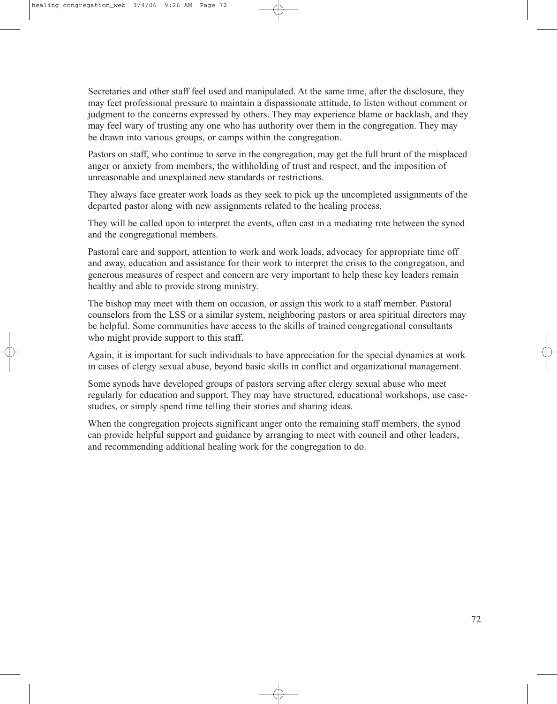Secretaries and other staff feel used and manipulated. At the same time, after the disclosure, they may feet professional pressure to maintain a dispassionate attitude, to listen without comment or judgment to the concerns expressed by others. They may experience blame or backlash, and they may feel wary of trusting any one who has authority over them in the congregation. They may be drawn into various groups, or camps within the congregation.

Pastors on staff, who continue to serve in the congregation, may get the full brunt of the misplaced anger or anxiety from members, the withholding of trust and respect, and the imposition of unreasonable and unexplained new standards or restrictions.

They always face greater work loads as they seek to pick up the uncompleted assignments of the departed pastor along with new assignments related to the healing process.

They will be called upon to interpret the events, often cast in a mediating rote between the synod and the congregational members.

Pastoral care and support, attention to work and work loads, advocacy for appropriate time off and away, education and assistance for their work to interpret the crisis to the congregation, and generous measures of respect and concern are very important to help these key leaders remain healthy and able to provide strong ministry.

The bishop may meet with them on occasion, or assign this work to a staff member. Pastoral counselors from the LSS or a similar system, neighboring pastors or area spiritual directors may be helpful. Some communities have access to the skills of trained congregational consultants who might provide support to this staff.

Again, it is important for such individuals to have appreciation for the special dynamics at work in cases of clergy sexual abuse, beyond basic skills in conflict and organizational management.

Some synods have developed groups of pastors serving after clergy sexual abuse who meet regularly for education and support. They may have structured, educational workshops, use casestudies, or simply spend time telling their stories and sharing ideas.

When the congregation projects significant anger onto the remaining staff members, the synod can provide helpful support and guidance by arranging to meet with council and other leaders, and recommending additional healing work for the congregation to do.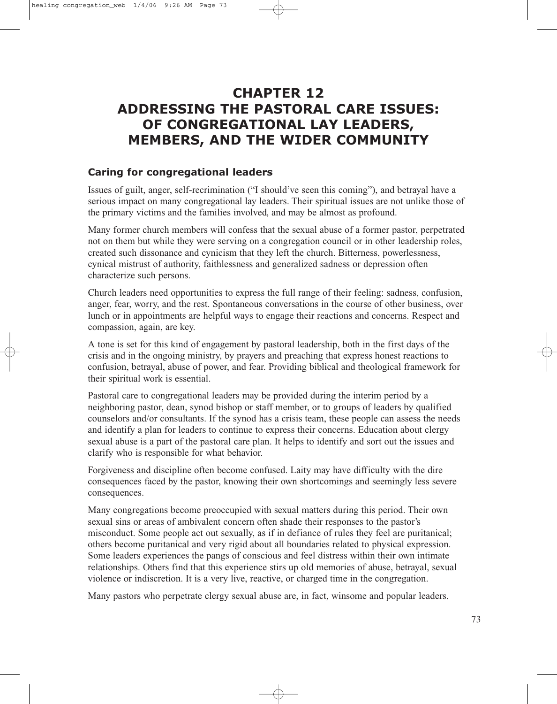# **CHAPTER 12 ADDRESSING THE PASTORAL CARE ISSUES: OF CONGREGATIONAL LAY LEADERS, MEMBERS, AND THE WIDER COMMUNITY**

### **Caring for congregational leaders**

Issues of guilt, anger, self-recrimination ("I should've seen this coming"), and betrayal have a serious impact on many congregational lay leaders. Their spiritual issues are not unlike those of the primary victims and the families involved, and may be almost as profound.

Many former church members will confess that the sexual abuse of a former pastor, perpetrated not on them but while they were serving on a congregation council or in other leadership roles, created such dissonance and cynicism that they left the church. Bitterness, powerlessness, cynical mistrust of authority, faithlessness and generalized sadness or depression often characterize such persons.

Church leaders need opportunities to express the full range of their feeling: sadness, confusion, anger, fear, worry, and the rest. Spontaneous conversations in the course of other business, over lunch or in appointments are helpful ways to engage their reactions and concerns. Respect and compassion, again, are key.

A tone is set for this kind of engagement by pastoral leadership, both in the first days of the crisis and in the ongoing ministry, by prayers and preaching that express honest reactions to confusion, betrayal, abuse of power, and fear. Providing biblical and theological framework for their spiritual work is essential.

Pastoral care to congregational leaders may be provided during the interim period by a neighboring pastor, dean, synod bishop or staff member, or to groups of leaders by qualified counselors and/or consultants. If the synod has a crisis team, these people can assess the needs and identify a plan for leaders to continue to express their concerns. Education about clergy sexual abuse is a part of the pastoral care plan. It helps to identify and sort out the issues and clarify who is responsible for what behavior.

Forgiveness and discipline often become confused. Laity may have difficulty with the dire consequences faced by the pastor, knowing their own shortcomings and seemingly less severe consequences.

Many congregations become preoccupied with sexual matters during this period. Their own sexual sins or areas of ambivalent concern often shade their responses to the pastor's misconduct. Some people act out sexually, as if in defiance of rules they feel are puritanical; others become puritanical and very rigid about all boundaries related to physical expression. Some leaders experiences the pangs of conscious and feel distress within their own intimate relationships. Others find that this experience stirs up old memories of abuse, betrayal, sexual violence or indiscretion. It is a very live, reactive, or charged time in the congregation.

Many pastors who perpetrate clergy sexual abuse are, in fact, winsome and popular leaders.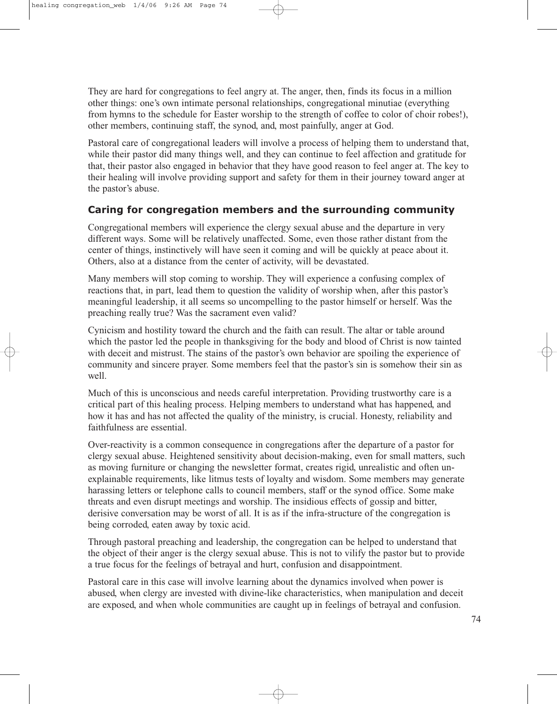They are hard for congregations to feel angry at. The anger, then, finds its focus in a million other things: one's own intimate personal relationships, congregational minutiae (everything from hymns to the schedule for Easter worship to the strength of coffee to color of choir robes!), other members, continuing staff, the synod, and, most painfully, anger at God.

Pastoral care of congregational leaders will involve a process of helping them to understand that, while their pastor did many things well, and they can continue to feel affection and gratitude for that, their pastor also engaged in behavior that they have good reason to feel anger at. The key to their healing will involve providing support and safety for them in their journey toward anger at the pastor's abuse.

#### **Caring for congregation members and the surrounding community**

Congregational members will experience the clergy sexual abuse and the departure in very different ways. Some will be relatively unaffected. Some, even those rather distant from the center of things, instinctively will have seen it coming and will be quickly at peace about it. Others, also at a distance from the center of activity, will be devastated.

Many members will stop coming to worship. They will experience a confusing complex of reactions that, in part, lead them to question the validity of worship when, after this pastor's meaningful leadership, it all seems so uncompelling to the pastor himself or herself. Was the preaching really true? Was the sacrament even valid?

Cynicism and hostility toward the church and the faith can result. The altar or table around which the pastor led the people in thanksgiving for the body and blood of Christ is now tainted with deceit and mistrust. The stains of the pastor's own behavior are spoiling the experience of community and sincere prayer. Some members feel that the pastor's sin is somehow their sin as well.

Much of this is unconscious and needs careful interpretation. Providing trustworthy care is a critical part of this healing process. Helping members to understand what has happened, and how it has and has not affected the quality of the ministry, is crucial. Honesty, reliability and faithfulness are essential.

Over-reactivity is a common consequence in congregations after the departure of a pastor for clergy sexual abuse. Heightened sensitivity about decision-making, even for small matters, such as moving furniture or changing the newsletter format, creates rigid, unrealistic and often unexplainable requirements, like litmus tests of loyalty and wisdom. Some members may generate harassing letters or telephone calls to council members, staff or the synod office. Some make threats and even disrupt meetings and worship. The insidious effects of gossip and bitter, derisive conversation may be worst of all. It is as if the infra-structure of the congregation is being corroded, eaten away by toxic acid.

Through pastoral preaching and leadership, the congregation can be helped to understand that the object of their anger is the clergy sexual abuse. This is not to vilify the pastor but to provide a true focus for the feelings of betrayal and hurt, confusion and disappointment.

Pastoral care in this case will involve learning about the dynamics involved when power is abused, when clergy are invested with divine-like characteristics, when manipulation and deceit are exposed, and when whole communities are caught up in feelings of betrayal and confusion.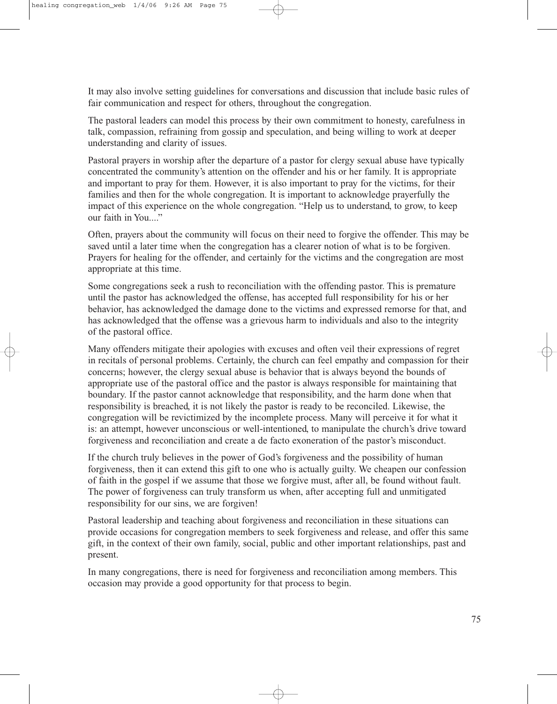It may also involve setting guidelines for conversations and discussion that include basic rules of fair communication and respect for others, throughout the congregation.

The pastoral leaders can model this process by their own commitment to honesty, carefulness in talk, compassion, refraining from gossip and speculation, and being willing to work at deeper understanding and clarity of issues.

Pastoral prayers in worship after the departure of a pastor for clergy sexual abuse have typically concentrated the community's attention on the offender and his or her family. It is appropriate and important to pray for them. However, it is also important to pray for the victims, for their families and then for the whole congregation. It is important to acknowledge prayerfully the impact of this experience on the whole congregation. "Help us to understand, to grow, to keep our faith in You...."

Often, prayers about the community will focus on their need to forgive the offender. This may be saved until a later time when the congregation has a clearer notion of what is to be forgiven. Prayers for healing for the offender, and certainly for the victims and the congregation are most appropriate at this time.

Some congregations seek a rush to reconciliation with the offending pastor. This is premature until the pastor has acknowledged the offense, has accepted full responsibility for his or her behavior, has acknowledged the damage done to the victims and expressed remorse for that, and has acknowledged that the offense was a grievous harm to individuals and also to the integrity of the pastoral office.

Many offenders mitigate their apologies with excuses and often veil their expressions of regret in recitals of personal problems. Certainly, the church can feel empathy and compassion for their concerns; however, the clergy sexual abuse is behavior that is always beyond the bounds of appropriate use of the pastoral office and the pastor is always responsible for maintaining that boundary. If the pastor cannot acknowledge that responsibility, and the harm done when that responsibility is breached, it is not likely the pastor is ready to be reconciled. Likewise, the congregation will be revictimized by the incomplete process. Many will perceive it for what it is: an attempt, however unconscious or well-intentioned, to manipulate the church's drive toward forgiveness and reconciliation and create a de facto exoneration of the pastor's misconduct.

If the church truly believes in the power of God's forgiveness and the possibility of human forgiveness, then it can extend this gift to one who is actually guilty. We cheapen our confession of faith in the gospel if we assume that those we forgive must, after all, be found without fault. The power of forgiveness can truly transform us when, after accepting full and unmitigated responsibility for our sins, we are forgiven!

Pastoral leadership and teaching about forgiveness and reconciliation in these situations can provide occasions for congregation members to seek forgiveness and release, and offer this same gift, in the context of their own family, social, public and other important relationships, past and present.

In many congregations, there is need for forgiveness and reconciliation among members. This occasion may provide a good opportunity for that process to begin.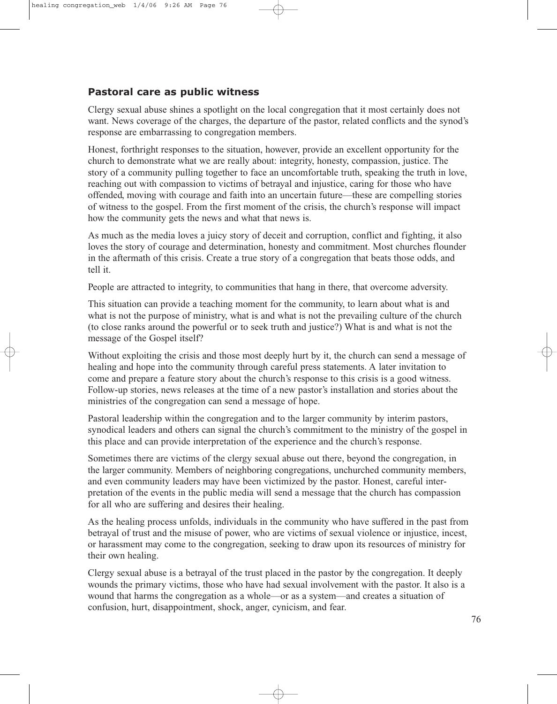### **Pastoral care as public witness**

Clergy sexual abuse shines a spotlight on the local congregation that it most certainly does not want. News coverage of the charges, the departure of the pastor, related conflicts and the synod's response are embarrassing to congregation members.

Honest, forthright responses to the situation, however, provide an excellent opportunity for the church to demonstrate what we are really about: integrity, honesty, compassion, justice. The story of a community pulling together to face an uncomfortable truth, speaking the truth in love, reaching out with compassion to victims of betrayal and injustice, caring for those who have offended, moving with courage and faith into an uncertain future—these are compelling stories of witness to the gospel. From the first moment of the crisis, the church's response will impact how the community gets the news and what that news is.

As much as the media loves a juicy story of deceit and corruption, conflict and fighting, it also loves the story of courage and determination, honesty and commitment. Most churches flounder in the aftermath of this crisis. Create a true story of a congregation that beats those odds, and tell it.

People are attracted to integrity, to communities that hang in there, that overcome adversity.

This situation can provide a teaching moment for the community, to learn about what is and what is not the purpose of ministry, what is and what is not the prevailing culture of the church (to close ranks around the powerful or to seek truth and justice?) What is and what is not the message of the Gospel itself?

Without exploiting the crisis and those most deeply hurt by it, the church can send a message of healing and hope into the community through careful press statements. A later invitation to come and prepare a feature story about the church's response to this crisis is a good witness. Follow-up stories, news releases at the time of a new pastor's installation and stories about the ministries of the congregation can send a message of hope.

Pastoral leadership within the congregation and to the larger community by interim pastors, synodical leaders and others can signal the church's commitment to the ministry of the gospel in this place and can provide interpretation of the experience and the church's response.

Sometimes there are victims of the clergy sexual abuse out there, beyond the congregation, in the larger community. Members of neighboring congregations, unchurched community members, and even community leaders may have been victimized by the pastor. Honest, careful interpretation of the events in the public media will send a message that the church has compassion for all who are suffering and desires their healing.

As the healing process unfolds, individuals in the community who have suffered in the past from betrayal of trust and the misuse of power, who are victims of sexual violence or injustice, incest, or harassment may come to the congregation, seeking to draw upon its resources of ministry for their own healing.

Clergy sexual abuse is a betrayal of the trust placed in the pastor by the congregation. It deeply wounds the primary victims, those who have had sexual involvement with the pastor. It also is a wound that harms the congregation as a whole—or as a system—and creates a situation of confusion, hurt, disappointment, shock, anger, cynicism, and fear.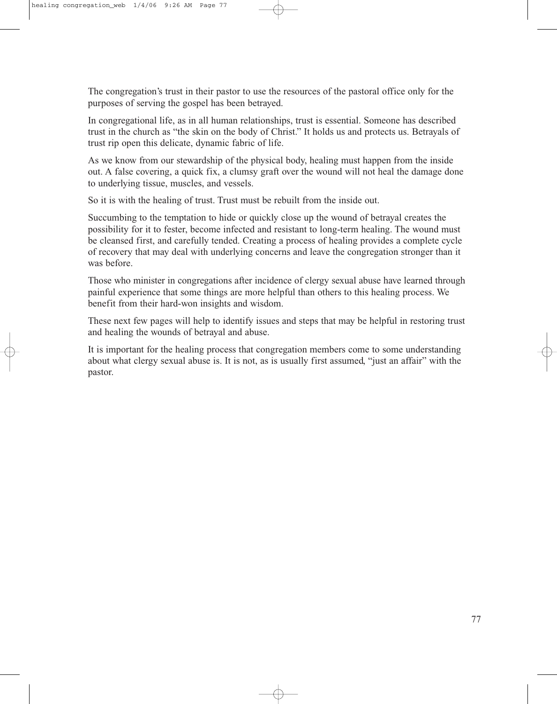The congregation's trust in their pastor to use the resources of the pastoral office only for the purposes of serving the gospel has been betrayed.

In congregational life, as in all human relationships, trust is essential. Someone has described trust in the church as "the skin on the body of Christ." It holds us and protects us. Betrayals of trust rip open this delicate, dynamic fabric of life.

As we know from our stewardship of the physical body, healing must happen from the inside out. A false covering, a quick fix, a clumsy graft over the wound will not heal the damage done to underlying tissue, muscles, and vessels.

So it is with the healing of trust. Trust must be rebuilt from the inside out.

Succumbing to the temptation to hide or quickly close up the wound of betrayal creates the possibility for it to fester, become infected and resistant to long-term healing. The wound must be cleansed first, and carefully tended. Creating a process of healing provides a complete cycle of recovery that may deal with underlying concerns and leave the congregation stronger than it was before.

Those who minister in congregations after incidence of clergy sexual abuse have learned through painful experience that some things are more helpful than others to this healing process. We benefit from their hard-won insights and wisdom.

These next few pages will help to identify issues and steps that may be helpful in restoring trust and healing the wounds of betrayal and abuse.

It is important for the healing process that congregation members come to some understanding about what clergy sexual abuse is. It is not, as is usually first assumed, "just an affair" with the pastor.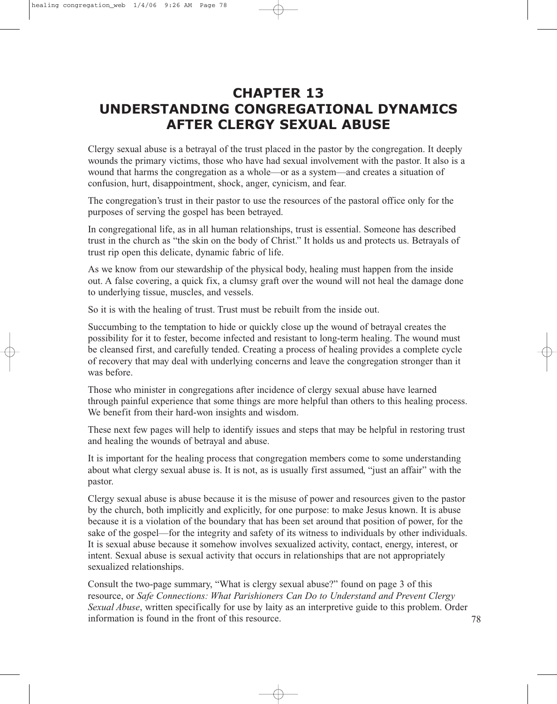# **CHAPTER 13 UNDERSTANDING CONGREGATIONAL DYNAMICS AFTER CLERGY SEXUAL ABUSE**

Clergy sexual abuse is a betrayal of the trust placed in the pastor by the congregation. It deeply wounds the primary victims, those who have had sexual involvement with the pastor. It also is a wound that harms the congregation as a whole—or as a system—and creates a situation of confusion, hurt, disappointment, shock, anger, cynicism, and fear.

The congregation's trust in their pastor to use the resources of the pastoral office only for the purposes of serving the gospel has been betrayed.

In congregational life, as in all human relationships, trust is essential. Someone has described trust in the church as "the skin on the body of Christ." It holds us and protects us. Betrayals of trust rip open this delicate, dynamic fabric of life.

As we know from our stewardship of the physical body, healing must happen from the inside out. A false covering, a quick fix, a clumsy graft over the wound will not heal the damage done to underlying tissue, muscles, and vessels.

So it is with the healing of trust. Trust must be rebuilt from the inside out.

Succumbing to the temptation to hide or quickly close up the wound of betrayal creates the possibility for it to fester, become infected and resistant to long-term healing. The wound must be cleansed first, and carefully tended. Creating a process of healing provides a complete cycle of recovery that may deal with underlying concerns and leave the congregation stronger than it was before.

Those who minister in congregations after incidence of clergy sexual abuse have learned through painful experience that some things are more helpful than others to this healing process. We benefit from their hard-won insights and wisdom.

These next few pages will help to identify issues and steps that may be helpful in restoring trust and healing the wounds of betrayal and abuse.

It is important for the healing process that congregation members come to some understanding about what clergy sexual abuse is. It is not, as is usually first assumed, "just an affair" with the pastor.

Clergy sexual abuse is abuse because it is the misuse of power and resources given to the pastor by the church, both implicitly and explicitly, for one purpose: to make Jesus known. It is abuse because it is a violation of the boundary that has been set around that position of power, for the sake of the gospel—for the integrity and safety of its witness to individuals by other individuals. It is sexual abuse because it somehow involves sexualized activity, contact, energy, interest, or intent. Sexual abuse is sexual activity that occurs in relationships that are not appropriately sexualized relationships.

Consult the two-page summary, "What is clergy sexual abuse?" found on page 3 of this resource, or *Safe Connections: What Parishioners Can Do to Understand and Prevent Clergy Sexual Abuse*, written specifically for use by laity as an interpretive guide to this problem. Order information is found in the front of this resource. 78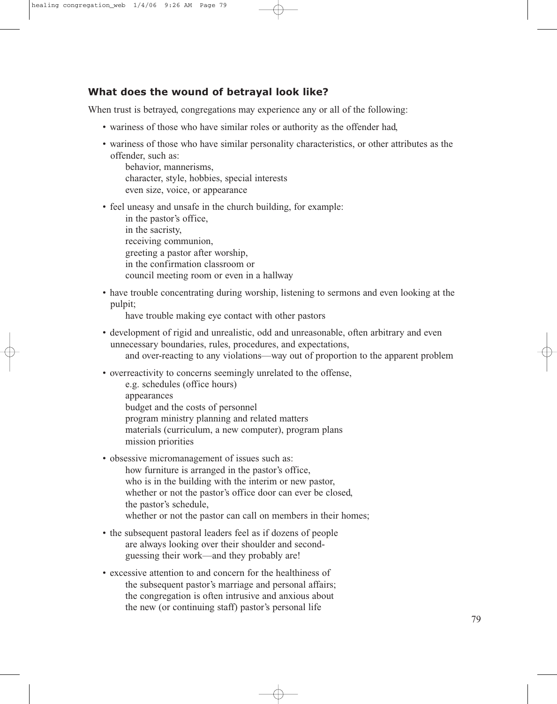#### **What does the wound of betrayal look like?**

When trust is betrayed, congregations may experience any or all of the following:

- wariness of those who have similar roles or authority as the offender had,
- wariness of those who have similar personality characteristics, or other attributes as the offender, such as:

behavior, mannerisms, character, style, hobbies, special interests even size, voice, or appearance

• feel uneasy and unsafe in the church building, for example:

in the pastor's office, in the sacristy, receiving communion, greeting a pastor after worship, in the confirmation classroom or council meeting room or even in a hallway

• have trouble concentrating during worship, listening to sermons and even looking at the pulpit;

have trouble making eye contact with other pastors

- development of rigid and unrealistic, odd and unreasonable, often arbitrary and even unnecessary boundaries, rules, procedures, and expectations, and over-reacting to any violations—way out of proportion to the apparent problem
- overreactivity to concerns seemingly unrelated to the offense,
	- e.g. schedules (office hours) appearances budget and the costs of personnel program ministry planning and related matters materials (curriculum, a new computer), program plans mission priorities
- obsessive micromanagement of issues such as: how furniture is arranged in the pastor's office, who is in the building with the interim or new pastor, whether or not the pastor's office door can ever be closed, the pastor's schedule, whether or not the pastor can call on members in their homes;
- the subsequent pastoral leaders feel as if dozens of people are always looking over their shoulder and secondguessing their work—and they probably are!
- excessive attention to and concern for the healthiness of the subsequent pastor's marriage and personal affairs; the congregation is often intrusive and anxious about the new (or continuing staff) pastor's personal life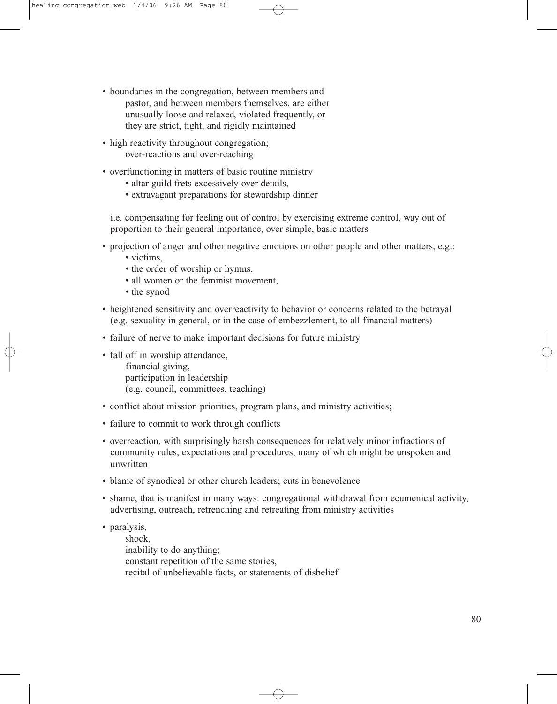- boundaries in the congregation, between members and pastor, and between members themselves, are either unusually loose and relaxed, violated frequently, or they are strict, tight, and rigidly maintained
- high reactivity throughout congregation; over-reactions and over-reaching
- overfunctioning in matters of basic routine ministry
	- altar guild frets excessively over details,
	- extravagant preparations for stewardship dinner

i.e. compensating for feeling out of control by exercising extreme control, way out of proportion to their general importance, over simple, basic matters

- projection of anger and other negative emotions on other people and other matters, e.g.:
	- victims,
	- the order of worship or hymns,
	- all women or the feminist movement,
	- the synod
- heightened sensitivity and overreactivity to behavior or concerns related to the betrayal (e.g. sexuality in general, or in the case of embezzlement, to all financial matters)
- failure of nerve to make important decisions for future ministry
- fall off in worship attendance, financial giving, participation in leadership (e.g. council, committees, teaching)
- conflict about mission priorities, program plans, and ministry activities;
- failure to commit to work through conflicts
- overreaction, with surprisingly harsh consequences for relatively minor infractions of community rules, expectations and procedures, many of which might be unspoken and unwritten
- blame of synodical or other church leaders; cuts in benevolence
- shame, that is manifest in many ways: congregational withdrawal from ecumenical activity, advertising, outreach, retrenching and retreating from ministry activities
- paralysis,

shock, inability to do anything; constant repetition of the same stories, recital of unbelievable facts, or statements of disbelief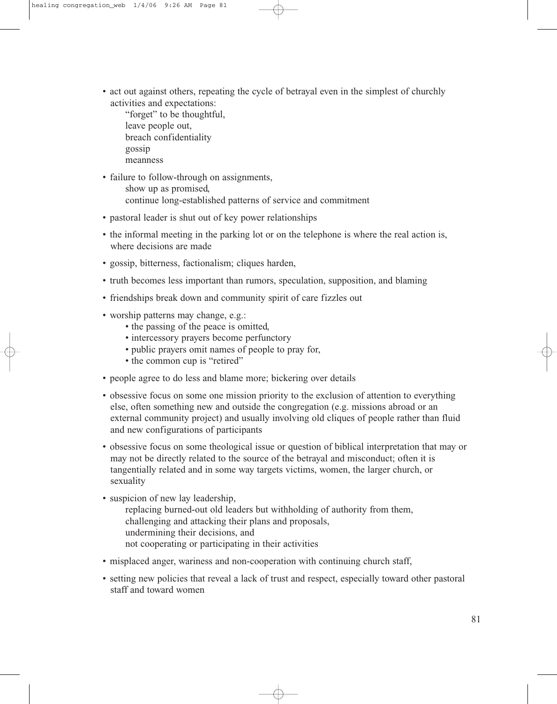- act out against others, repeating the cycle of betrayal even in the simplest of churchly activities and expectations:
	- "forget" to be thoughtful, leave people out, breach confidentiality gossip meanness
- failure to follow-through on assignments,
	- show up as promised, continue long-established patterns of service and commitment
- pastoral leader is shut out of key power relationships
- the informal meeting in the parking lot or on the telephone is where the real action is, where decisions are made
- gossip, bitterness, factionalism; cliques harden,
- truth becomes less important than rumors, speculation, supposition, and blaming
- friendships break down and community spirit of care fizzles out
- worship patterns may change, e.g.:
	- the passing of the peace is omitted,
	- intercessory prayers become perfunctory
	- public prayers omit names of people to pray for,
	- the common cup is "retired"
- people agree to do less and blame more; bickering over details
- obsessive focus on some one mission priority to the exclusion of attention to everything else, often something new and outside the congregation (e.g. missions abroad or an external community project) and usually involving old cliques of people rather than fluid and new configurations of participants
- obsessive focus on some theological issue or question of biblical interpretation that may or may not be directly related to the source of the betrayal and misconduct; often it is tangentially related and in some way targets victims, women, the larger church, or sexuality
- suspicion of new lay leadership,
	- replacing burned-out old leaders but withholding of authority from them, challenging and attacking their plans and proposals, undermining their decisions, and not cooperating or participating in their activities
- misplaced anger, wariness and non-cooperation with continuing church staff,
- setting new policies that reveal a lack of trust and respect, especially toward other pastoral staff and toward women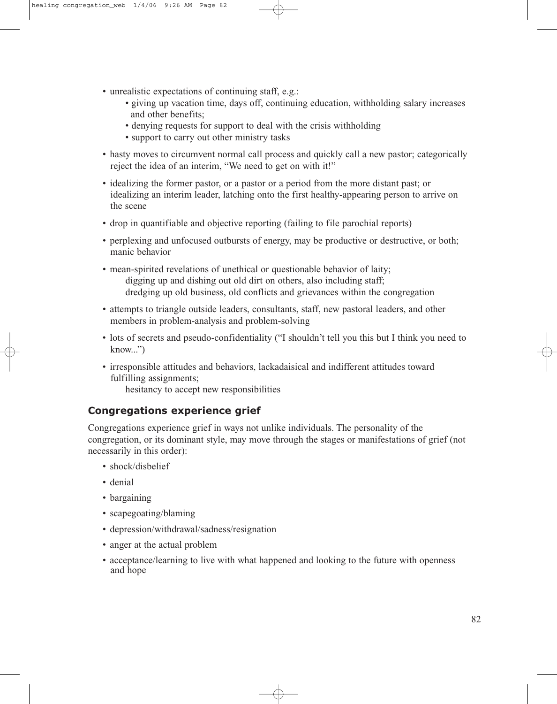- unrealistic expectations of continuing staff, e.g.:
	- giving up vacation time, days off, continuing education, withholding salary increases and other benefits;
	- denying requests for support to deal with the crisis withholding
	- support to carry out other ministry tasks
- hasty moves to circumvent normal call process and quickly call a new pastor; categorically reject the idea of an interim, "We need to get on with it!"
- idealizing the former pastor, or a pastor or a period from the more distant past; or idealizing an interim leader, latching onto the first healthy-appearing person to arrive on the scene
- drop in quantifiable and objective reporting (failing to file parochial reports)
- perplexing and unfocused outbursts of energy, may be productive or destructive, or both; manic behavior
- mean-spirited revelations of unethical or questionable behavior of laity; digging up and dishing out old dirt on others, also including staff; dredging up old business, old conflicts and grievances within the congregation
- attempts to triangle outside leaders, consultants, staff, new pastoral leaders, and other members in problem-analysis and problem-solving
- lots of secrets and pseudo-confidentiality ("I shouldn't tell you this but I think you need to  $know...")$
- irresponsible attitudes and behaviors, lackadaisical and indifferent attitudes toward fulfilling assignments;

hesitancy to accept new responsibilities

### **Congregations experience grief**

Congregations experience grief in ways not unlike individuals. The personality of the congregation, or its dominant style, may move through the stages or manifestations of grief (not necessarily in this order):

- shock/disbelief
- denial
- bargaining
- scapegoating/blaming
- depression/withdrawal/sadness/resignation
- anger at the actual problem
- acceptance/learning to live with what happened and looking to the future with openness and hope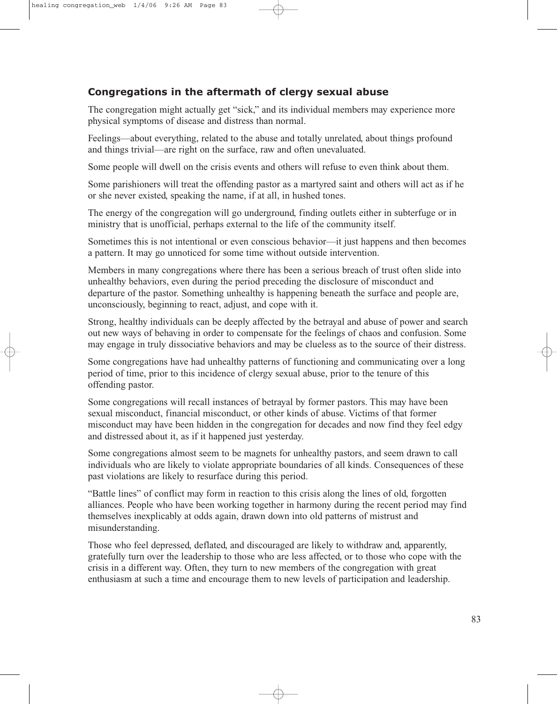## **Congregations in the aftermath of clergy sexual abuse**

The congregation might actually get "sick," and its individual members may experience more physical symptoms of disease and distress than normal.

Feelings—about everything, related to the abuse and totally unrelated, about things profound and things trivial—are right on the surface, raw and often unevaluated.

Some people will dwell on the crisis events and others will refuse to even think about them.

Some parishioners will treat the offending pastor as a martyred saint and others will act as if he or she never existed, speaking the name, if at all, in hushed tones.

The energy of the congregation will go underground, finding outlets either in subterfuge or in ministry that is unofficial, perhaps external to the life of the community itself.

Sometimes this is not intentional or even conscious behavior—it just happens and then becomes a pattern. It may go unnoticed for some time without outside intervention.

Members in many congregations where there has been a serious breach of trust often slide into unhealthy behaviors, even during the period preceding the disclosure of misconduct and departure of the pastor. Something unhealthy is happening beneath the surface and people are, unconsciously, beginning to react, adjust, and cope with it.

Strong, healthy individuals can be deeply affected by the betrayal and abuse of power and search out new ways of behaving in order to compensate for the feelings of chaos and confusion. Some may engage in truly dissociative behaviors and may be clueless as to the source of their distress.

Some congregations have had unhealthy patterns of functioning and communicating over a long period of time, prior to this incidence of clergy sexual abuse, prior to the tenure of this offending pastor.

Some congregations will recall instances of betrayal by former pastors. This may have been sexual misconduct, financial misconduct, or other kinds of abuse. Victims of that former misconduct may have been hidden in the congregation for decades and now find they feel edgy and distressed about it, as if it happened just yesterday.

Some congregations almost seem to be magnets for unhealthy pastors, and seem drawn to call individuals who are likely to violate appropriate boundaries of all kinds. Consequences of these past violations are likely to resurface during this period.

"Battle lines" of conflict may form in reaction to this crisis along the lines of old, forgotten alliances. People who have been working together in harmony during the recent period may find themselves inexplicably at odds again, drawn down into old patterns of mistrust and misunderstanding.

Those who feel depressed, deflated, and discouraged are likely to withdraw and, apparently, gratefully turn over the leadership to those who are less affected, or to those who cope with the crisis in a different way. Often, they turn to new members of the congregation with great enthusiasm at such a time and encourage them to new levels of participation and leadership.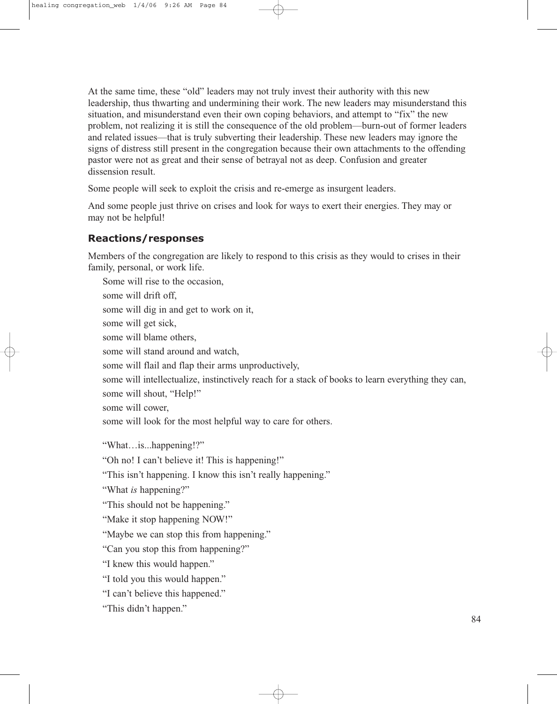At the same time, these "old" leaders may not truly invest their authority with this new leadership, thus thwarting and undermining their work. The new leaders may misunderstand this situation, and misunderstand even their own coping behaviors, and attempt to "fix" the new problem, not realizing it is still the consequence of the old problem—burn-out of former leaders and related issues—that is truly subverting their leadership. These new leaders may ignore the signs of distress still present in the congregation because their own attachments to the offending pastor were not as great and their sense of betrayal not as deep. Confusion and greater dissension result.

Some people will seek to exploit the crisis and re-emerge as insurgent leaders.

And some people just thrive on crises and look for ways to exert their energies. They may or may not be helpful!

## **Reactions/responses**

Members of the congregation are likely to respond to this crisis as they would to crises in their family, personal, or work life.

Some will rise to the occasion, some will drift off, some will dig in and get to work on it, some will get sick, some will blame others, some will stand around and watch, some will flail and flap their arms unproductively, some will intellectualize, instinctively reach for a stack of books to learn everything they can, some will shout, "Help!" some will cower, some will look for the most helpful way to care for others. "What…is...happening!?" "Oh no! I can't believe it! This is happening!" "This isn't happening. I know this isn't really happening." "What *is* happening?" "This should not be happening." "Make it stop happening NOW!" "Maybe we can stop this from happening." "Can you stop this from happening?" "I knew this would happen." "I told you this would happen." "I can't believe this happened." "This didn't happen."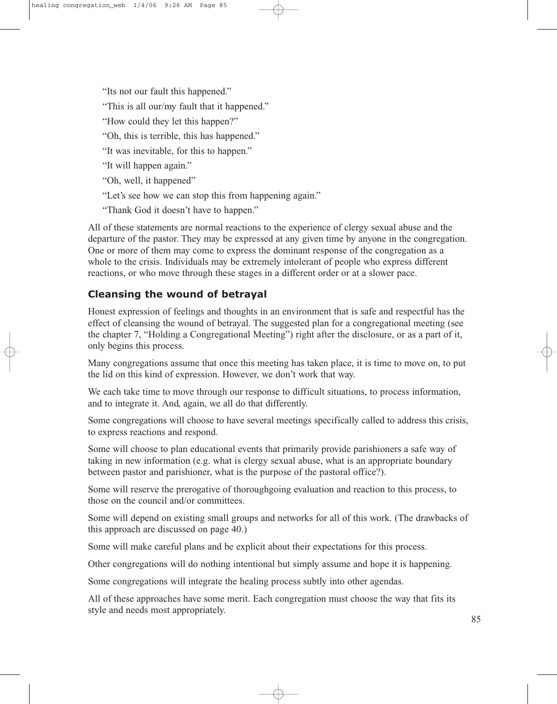"Its not our fault this happened." "This is all our/my fault that it happened." "How could they let this happen?" "Oh, this is terrible, this has happened." "It was inevitable, for this to happen." "It will happen again." "Oh, well, it happened" "Let's see how we can stop this from happening again." "Thank God it doesn't have to happen."

All of these statements are normal reactions to the experience of clergy sexual abuse and the departure of the pastor. They may be expressed at any given time by anyone in the congregation. One or more of them may come to express the dominant response of the congregation as a whole to the crisis. Individuals may be extremely intolerant of people who express different reactions, or who move through these stages in a different order or at a slower pace.

## **Cleansing the wound of betrayal**

Honest expression of feelings and thoughts in an environment that is safe and respectful has the effect of cleansing the wound of betrayal. The suggested plan for a congregational meeting (see the chapter 7, "Holding a Congregational Meeting") right after the disclosure, or as a part of it, only begins this process.

Many congregations assume that once this meeting has taken place, it is time to move on, to put the lid on this kind of expression. However, we don't work that way.

We each take time to move through our response to difficult situations, to process information, and to integrate it. And, again, we all do that differently.

Some congregations will choose to have several meetings specifically called to address this crisis, to express reactions and respond.

Some will choose to plan educational events that primarily provide parishioners a safe way of taking in new information (e.g. what is clergy sexual abuse, what is an appropriate boundary between pastor and parishioner, what is the purpose of the pastoral office?).

Some will reserve the prerogative of thoroughgoing evaluation and reaction to this process, to those on the council and/or committees.

Some will depend on existing small groups and networks for all of this work. (The drawbacks of this approach are discussed on page 40.)

Some will make careful plans and be explicit about their expectations for this process.

Other congregations will do nothing intentional but simply assume and hope it is happening.

Some congregations will integrate the healing process subtly into other agendas.

All of these approaches have some merit. Each congregation must choose the way that fits its style and needs most appropriately.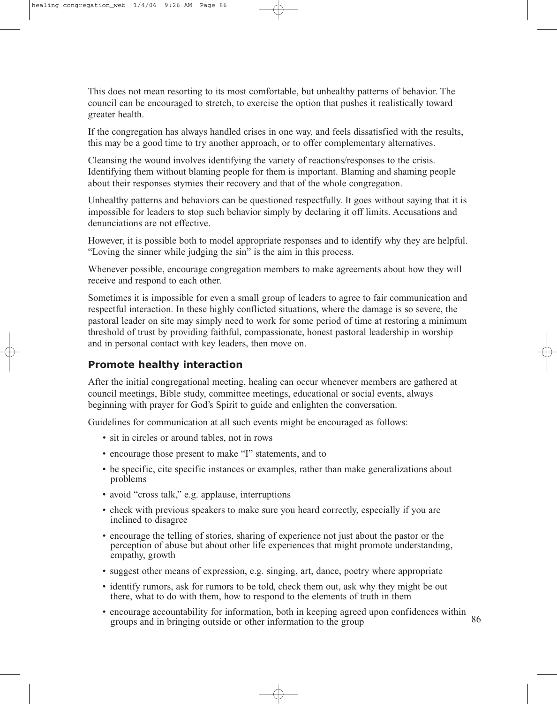This does not mean resorting to its most comfortable, but unhealthy patterns of behavior. The council can be encouraged to stretch, to exercise the option that pushes it realistically toward greater health.

If the congregation has always handled crises in one way, and feels dissatisfied with the results, this may be a good time to try another approach, or to offer complementary alternatives.

Cleansing the wound involves identifying the variety of reactions/responses to the crisis. Identifying them without blaming people for them is important. Blaming and shaming people about their responses stymies their recovery and that of the whole congregation.

Unhealthy patterns and behaviors can be questioned respectfully. It goes without saying that it is impossible for leaders to stop such behavior simply by declaring it off limits. Accusations and denunciations are not effective.

However, it is possible both to model appropriate responses and to identify why they are helpful. "Loving the sinner while judging the sin" is the aim in this process.

Whenever possible, encourage congregation members to make agreements about how they will receive and respond to each other.

Sometimes it is impossible for even a small group of leaders to agree to fair communication and respectful interaction. In these highly conflicted situations, where the damage is so severe, the pastoral leader on site may simply need to work for some period of time at restoring a minimum threshold of trust by providing faithful, compassionate, honest pastoral leadership in worship and in personal contact with key leaders, then move on.

#### **Promote healthy interaction**

After the initial congregational meeting, healing can occur whenever members are gathered at council meetings, Bible study, committee meetings, educational or social events, always beginning with prayer for God's Spirit to guide and enlighten the conversation.

Guidelines for communication at all such events might be encouraged as follows:

- sit in circles or around tables, not in rows
- encourage those present to make "I" statements, and to
- be specific, cite specific instances or examples, rather than make generalizations about problems
- avoid "cross talk," e.g. applause, interruptions
- check with previous speakers to make sure you heard correctly, especially if you are inclined to disagree
- encourage the telling of stories, sharing of experience not just about the pastor or the perception of abuse but about other life experiences that might promote understanding, empathy, growth
- suggest other means of expression, e.g. singing, art, dance, poetry where appropriate
- identify rumors, ask for rumors to be told, check them out, ask why they might be out there, what to do with them, how to respond to the elements of truth in them
- encourage accountability for information, both in keeping agreed upon confidences within groups and in bringing outside or other information to the group 86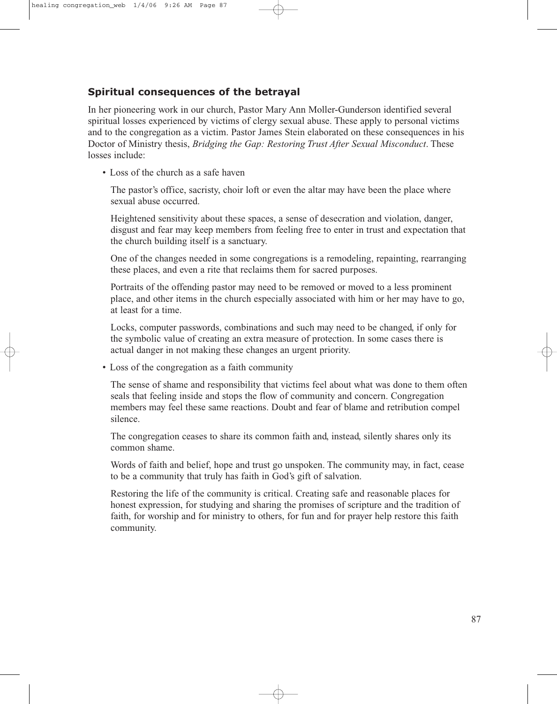### **Spiritual consequences of the betrayal**

In her pioneering work in our church, Pastor Mary Ann Moller-Gunderson identified several spiritual losses experienced by victims of clergy sexual abuse. These apply to personal victims and to the congregation as a victim. Pastor James Stein elaborated on these consequences in his Doctor of Ministry thesis, *Bridging the Gap: Restoring Trust After Sexual Misconduct*. These losses include:

• Loss of the church as a safe haven

The pastor's office, sacristy, choir loft or even the altar may have been the place where sexual abuse occurred.

Heightened sensitivity about these spaces, a sense of desecration and violation, danger, disgust and fear may keep members from feeling free to enter in trust and expectation that the church building itself is a sanctuary.

One of the changes needed in some congregations is a remodeling, repainting, rearranging these places, and even a rite that reclaims them for sacred purposes.

Portraits of the offending pastor may need to be removed or moved to a less prominent place, and other items in the church especially associated with him or her may have to go, at least for a time.

Locks, computer passwords, combinations and such may need to be changed, if only for the symbolic value of creating an extra measure of protection. In some cases there is actual danger in not making these changes an urgent priority.

• Loss of the congregation as a faith community

The sense of shame and responsibility that victims feel about what was done to them often seals that feeling inside and stops the flow of community and concern. Congregation members may feel these same reactions. Doubt and fear of blame and retribution compel silence.

The congregation ceases to share its common faith and, instead, silently shares only its common shame.

Words of faith and belief, hope and trust go unspoken. The community may, in fact, cease to be a community that truly has faith in God's gift of salvation.

Restoring the life of the community is critical. Creating safe and reasonable places for honest expression, for studying and sharing the promises of scripture and the tradition of faith, for worship and for ministry to others, for fun and for prayer help restore this faith community.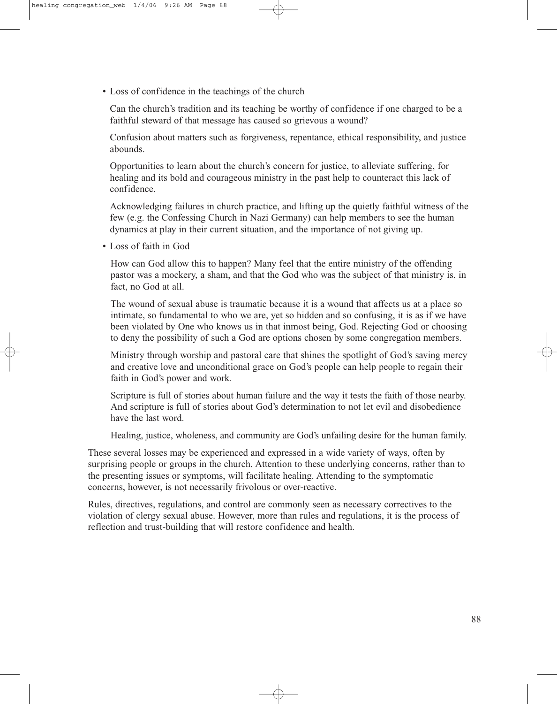• Loss of confidence in the teachings of the church

Can the church's tradition and its teaching be worthy of confidence if one charged to be a faithful steward of that message has caused so grievous a wound?

Confusion about matters such as forgiveness, repentance, ethical responsibility, and justice abounds.

Opportunities to learn about the church's concern for justice, to alleviate suffering, for healing and its bold and courageous ministry in the past help to counteract this lack of confidence.

Acknowledging failures in church practice, and lifting up the quietly faithful witness of the few (e.g. the Confessing Church in Nazi Germany) can help members to see the human dynamics at play in their current situation, and the importance of not giving up.

• Loss of faith in God

How can God allow this to happen? Many feel that the entire ministry of the offending pastor was a mockery, a sham, and that the God who was the subject of that ministry is, in fact, no God at all.

The wound of sexual abuse is traumatic because it is a wound that affects us at a place so intimate, so fundamental to who we are, yet so hidden and so confusing, it is as if we have been violated by One who knows us in that inmost being, God. Rejecting God or choosing to deny the possibility of such a God are options chosen by some congregation members.

Ministry through worship and pastoral care that shines the spotlight of God's saving mercy and creative love and unconditional grace on God's people can help people to regain their faith in God's power and work.

Scripture is full of stories about human failure and the way it tests the faith of those nearby. And scripture is full of stories about God's determination to not let evil and disobedience have the last word.

Healing, justice, wholeness, and community are God's unfailing desire for the human family.

These several losses may be experienced and expressed in a wide variety of ways, often by surprising people or groups in the church. Attention to these underlying concerns, rather than to the presenting issues or symptoms, will facilitate healing. Attending to the symptomatic concerns, however, is not necessarily frivolous or over-reactive.

Rules, directives, regulations, and control are commonly seen as necessary correctives to the violation of clergy sexual abuse. However, more than rules and regulations, it is the process of reflection and trust-building that will restore confidence and health.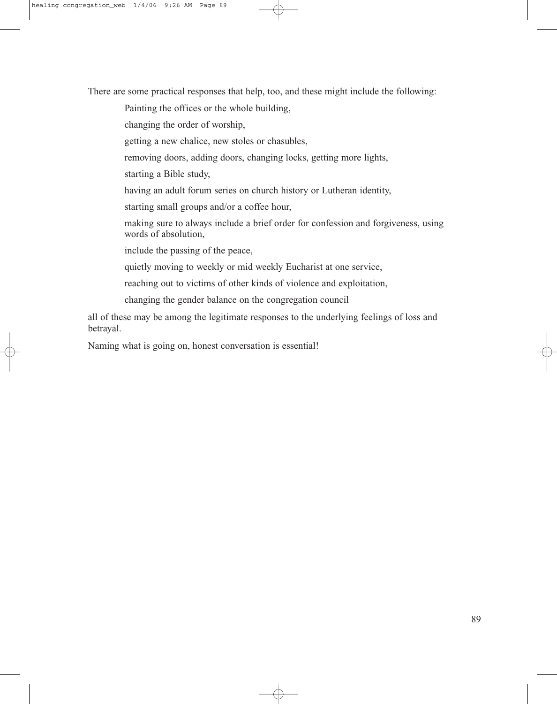There are some practical responses that help, too, and these might include the following:

Painting the offices or the whole building,

changing the order of worship,

getting a new chalice, new stoles or chasubles,

removing doors, adding doors, changing locks, getting more lights,

starting a Bible study,

having an adult forum series on church history or Lutheran identity,

starting small groups and/or a coffee hour,

making sure to always include a brief order for confession and forgiveness, using words of absolution,

include the passing of the peace,

quietly moving to weekly or mid weekly Eucharist at one service,

reaching out to victims of other kinds of violence and exploitation,

changing the gender balance on the congregation council

all of these may be among the legitimate responses to the underlying feelings of loss and betrayal.

Naming what is going on, honest conversation is essential!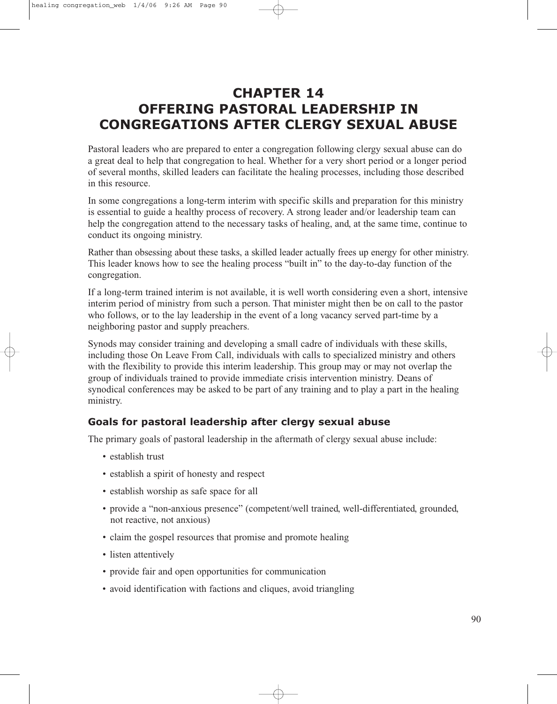# **CHAPTER 14 OFFERING PASTORAL LEADERSHIP IN CONGREGATIONS AFTER CLERGY SEXUAL ABUSE**

Pastoral leaders who are prepared to enter a congregation following clergy sexual abuse can do a great deal to help that congregation to heal. Whether for a very short period or a longer period of several months, skilled leaders can facilitate the healing processes, including those described in this resource.

In some congregations a long-term interim with specific skills and preparation for this ministry is essential to guide a healthy process of recovery. A strong leader and/or leadership team can help the congregation attend to the necessary tasks of healing, and, at the same time, continue to conduct its ongoing ministry.

Rather than obsessing about these tasks, a skilled leader actually frees up energy for other ministry. This leader knows how to see the healing process "built in" to the day-to-day function of the congregation.

If a long-term trained interim is not available, it is well worth considering even a short, intensive interim period of ministry from such a person. That minister might then be on call to the pastor who follows, or to the lay leadership in the event of a long vacancy served part-time by a neighboring pastor and supply preachers.

Synods may consider training and developing a small cadre of individuals with these skills, including those On Leave From Call, individuals with calls to specialized ministry and others with the flexibility to provide this interim leadership. This group may or may not overlap the group of individuals trained to provide immediate crisis intervention ministry. Deans of synodical conferences may be asked to be part of any training and to play a part in the healing ministry.

### **Goals for pastoral leadership after clergy sexual abuse**

The primary goals of pastoral leadership in the aftermath of clergy sexual abuse include:

- establish trust
- establish a spirit of honesty and respect
- establish worship as safe space for all
- provide a "non-anxious presence" (competent/well trained, well-differentiated, grounded, not reactive, not anxious)
- claim the gospel resources that promise and promote healing
- listen attentively
- provide fair and open opportunities for communication
- avoid identification with factions and cliques, avoid triangling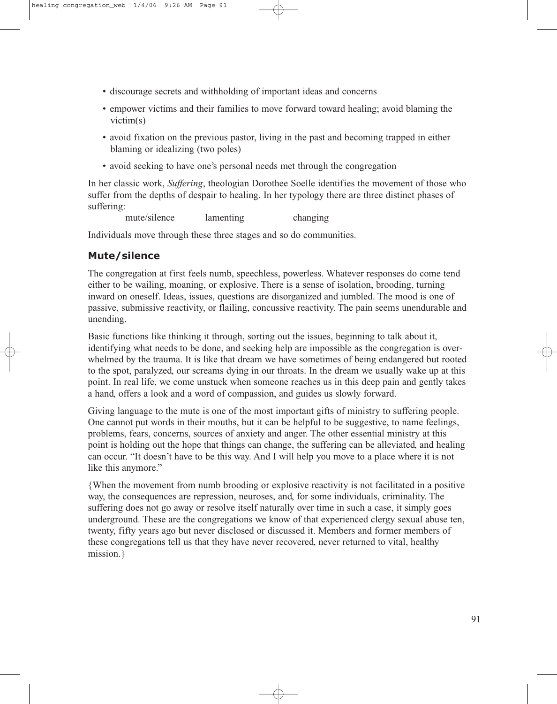- discourage secrets and withholding of important ideas and concerns
- empower victims and their families to move forward toward healing; avoid blaming the victim(s)
- avoid fixation on the previous pastor, living in the past and becoming trapped in either blaming or idealizing (two poles)
- avoid seeking to have one's personal needs met through the congregation

In her classic work, *Suffering*, theologian Dorothee Soelle identifies the movement of those who suffer from the depths of despair to healing. In her typology there are three distinct phases of suffering:

mute/silence lamenting changing

Individuals move through these three stages and so do communities.

#### **Mute/silence**

The congregation at first feels numb, speechless, powerless. Whatever responses do come tend either to be wailing, moaning, or explosive. There is a sense of isolation, brooding, turning inward on oneself. Ideas, issues, questions are disorganized and jumbled. The mood is one of passive, submissive reactivity, or flailing, concussive reactivity. The pain seems unendurable and unending.

Basic functions like thinking it through, sorting out the issues, beginning to talk about it, identifying what needs to be done, and seeking help are impossible as the congregation is overwhelmed by the trauma. It is like that dream we have sometimes of being endangered but rooted to the spot, paralyzed, our screams dying in our throats. In the dream we usually wake up at this point. In real life, we come unstuck when someone reaches us in this deep pain and gently takes a hand, offers a look and a word of compassion, and guides us slowly forward.

Giving language to the mute is one of the most important gifts of ministry to suffering people. One cannot put words in their mouths, but it can be helpful to be suggestive, to name feelings, problems, fears, concerns, sources of anxiety and anger. The other essential ministry at this point is holding out the hope that things can change, the suffering can be alleviated, and healing can occur. "It doesn't have to be this way. And I will help you move to a place where it is not like this anymore."

{When the movement from numb brooding or explosive reactivity is not facilitated in a positive way, the consequences are repression, neuroses, and, for some individuals, criminality. The suffering does not go away or resolve itself naturally over time in such a case, it simply goes underground. These are the congregations we know of that experienced clergy sexual abuse ten, twenty, fifty years ago but never disclosed or discussed it. Members and former members of these congregations tell us that they have never recovered, never returned to vital, healthy mission.}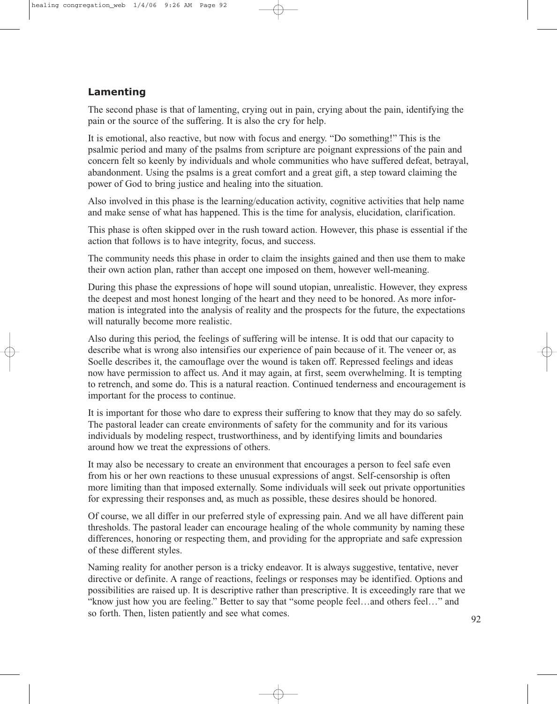## **Lamenting**

The second phase is that of lamenting, crying out in pain, crying about the pain, identifying the pain or the source of the suffering. It is also the cry for help.

It is emotional, also reactive, but now with focus and energy. "Do something!" This is the psalmic period and many of the psalms from scripture are poignant expressions of the pain and concern felt so keenly by individuals and whole communities who have suffered defeat, betrayal, abandonment. Using the psalms is a great comfort and a great gift, a step toward claiming the power of God to bring justice and healing into the situation.

Also involved in this phase is the learning/education activity, cognitive activities that help name and make sense of what has happened. This is the time for analysis, elucidation, clarification.

This phase is often skipped over in the rush toward action. However, this phase is essential if the action that follows is to have integrity, focus, and success.

The community needs this phase in order to claim the insights gained and then use them to make their own action plan, rather than accept one imposed on them, however well-meaning.

During this phase the expressions of hope will sound utopian, unrealistic. However, they express the deepest and most honest longing of the heart and they need to be honored. As more information is integrated into the analysis of reality and the prospects for the future, the expectations will naturally become more realistic.

Also during this period, the feelings of suffering will be intense. It is odd that our capacity to describe what is wrong also intensifies our experience of pain because of it. The veneer or, as Soelle describes it, the camouflage over the wound is taken off. Repressed feelings and ideas now have permission to affect us. And it may again, at first, seem overwhelming. It is tempting to retrench, and some do. This is a natural reaction. Continued tenderness and encouragement is important for the process to continue.

It is important for those who dare to express their suffering to know that they may do so safely. The pastoral leader can create environments of safety for the community and for its various individuals by modeling respect, trustworthiness, and by identifying limits and boundaries around how we treat the expressions of others.

It may also be necessary to create an environment that encourages a person to feel safe even from his or her own reactions to these unusual expressions of angst. Self-censorship is often more limiting than that imposed externally. Some individuals will seek out private opportunities for expressing their responses and, as much as possible, these desires should be honored.

Of course, we all differ in our preferred style of expressing pain. And we all have different pain thresholds. The pastoral leader can encourage healing of the whole community by naming these differences, honoring or respecting them, and providing for the appropriate and safe expression of these different styles.

Naming reality for another person is a tricky endeavor. It is always suggestive, tentative, never directive or definite. A range of reactions, feelings or responses may be identified. Options and possibilities are raised up. It is descriptive rather than prescriptive. It is exceedingly rare that we "know just how you are feeling." Better to say that "some people feel…and others feel…" and so forth. Then, listen patiently and see what comes. 92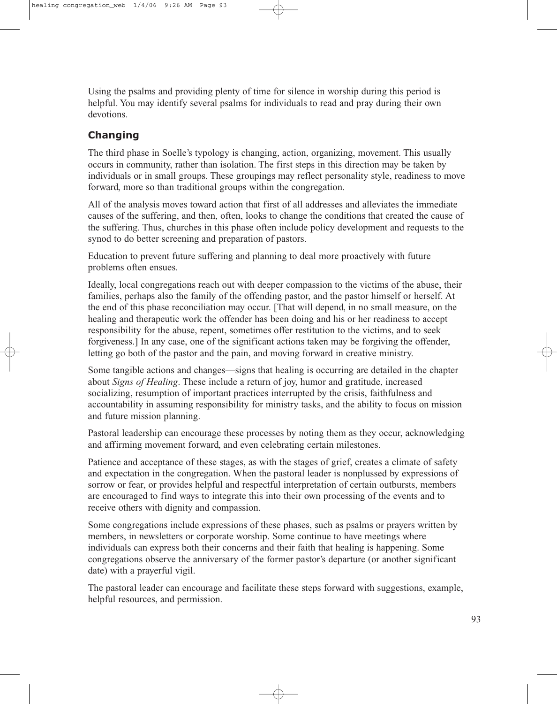Using the psalms and providing plenty of time for silence in worship during this period is helpful. You may identify several psalms for individuals to read and pray during their own devotions.

# **Changing**

The third phase in Soelle's typology is changing, action, organizing, movement. This usually occurs in community, rather than isolation. The first steps in this direction may be taken by individuals or in small groups. These groupings may reflect personality style, readiness to move forward, more so than traditional groups within the congregation.

All of the analysis moves toward action that first of all addresses and alleviates the immediate causes of the suffering, and then, often, looks to change the conditions that created the cause of the suffering. Thus, churches in this phase often include policy development and requests to the synod to do better screening and preparation of pastors.

Education to prevent future suffering and planning to deal more proactively with future problems often ensues.

Ideally, local congregations reach out with deeper compassion to the victims of the abuse, their families, perhaps also the family of the offending pastor, and the pastor himself or herself. At the end of this phase reconciliation may occur. [That will depend, in no small measure, on the healing and therapeutic work the offender has been doing and his or her readiness to accept responsibility for the abuse, repent, sometimes offer restitution to the victims, and to seek forgiveness.] In any case, one of the significant actions taken may be forgiving the offender, letting go both of the pastor and the pain, and moving forward in creative ministry.

Some tangible actions and changes—signs that healing is occurring are detailed in the chapter about *Signs of Healing*. These include a return of joy, humor and gratitude, increased socializing, resumption of important practices interrupted by the crisis, faithfulness and accountability in assuming responsibility for ministry tasks, and the ability to focus on mission and future mission planning.

Pastoral leadership can encourage these processes by noting them as they occur, acknowledging and affirming movement forward, and even celebrating certain milestones.

Patience and acceptance of these stages, as with the stages of grief, creates a climate of safety and expectation in the congregation. When the pastoral leader is nonplussed by expressions of sorrow or fear, or provides helpful and respectful interpretation of certain outbursts, members are encouraged to find ways to integrate this into their own processing of the events and to receive others with dignity and compassion.

Some congregations include expressions of these phases, such as psalms or prayers written by members, in newsletters or corporate worship. Some continue to have meetings where individuals can express both their concerns and their faith that healing is happening. Some congregations observe the anniversary of the former pastor's departure (or another significant date) with a prayerful vigil.

The pastoral leader can encourage and facilitate these steps forward with suggestions, example, helpful resources, and permission.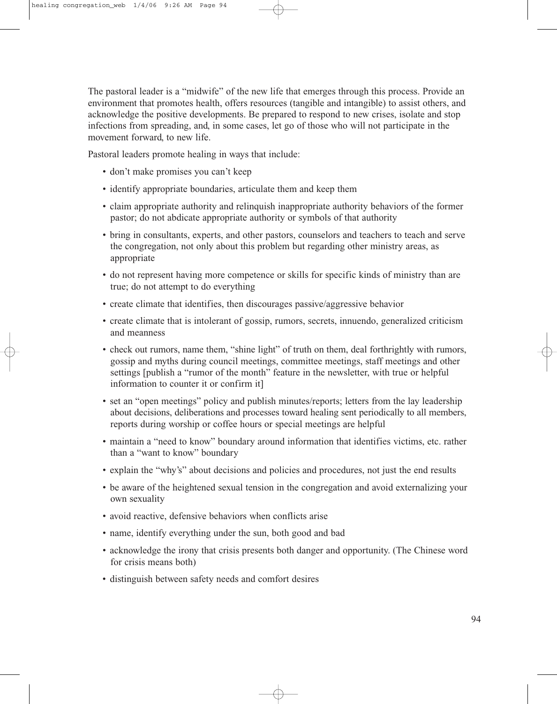The pastoral leader is a "midwife" of the new life that emerges through this process. Provide an environment that promotes health, offers resources (tangible and intangible) to assist others, and acknowledge the positive developments. Be prepared to respond to new crises, isolate and stop infections from spreading, and, in some cases, let go of those who will not participate in the movement forward, to new life.

Pastoral leaders promote healing in ways that include:

- don't make promises you can't keep
- identify appropriate boundaries, articulate them and keep them
- claim appropriate authority and relinquish inappropriate authority behaviors of the former pastor; do not abdicate appropriate authority or symbols of that authority
- bring in consultants, experts, and other pastors, counselors and teachers to teach and serve the congregation, not only about this problem but regarding other ministry areas, as appropriate
- do not represent having more competence or skills for specific kinds of ministry than are true; do not attempt to do everything
- create climate that identifies, then discourages passive/aggressive behavior
- create climate that is intolerant of gossip, rumors, secrets, innuendo, generalized criticism and meanness
- check out rumors, name them, "shine light" of truth on them, deal forthrightly with rumors, gossip and myths during council meetings, committee meetings, staff meetings and other settings [publish a "rumor of the month" feature in the newsletter, with true or helpful information to counter it or confirm it]
- set an "open meetings" policy and publish minutes/reports; letters from the lay leadership about decisions, deliberations and processes toward healing sent periodically to all members, reports during worship or coffee hours or special meetings are helpful
- maintain a "need to know" boundary around information that identifies victims, etc. rather than a "want to know" boundary
- explain the "why's" about decisions and policies and procedures, not just the end results
- be aware of the heightened sexual tension in the congregation and avoid externalizing your own sexuality
- avoid reactive, defensive behaviors when conflicts arise
- name, identify everything under the sun, both good and bad
- acknowledge the irony that crisis presents both danger and opportunity. (The Chinese word for crisis means both)
- distinguish between safety needs and comfort desires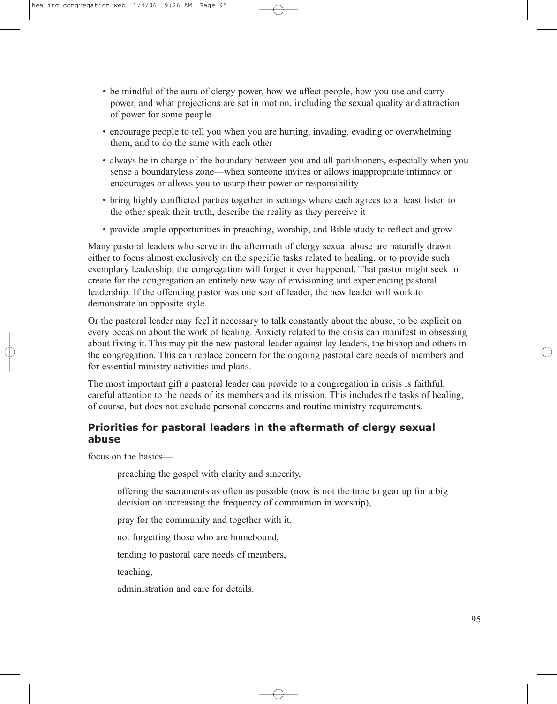- be mindful of the aura of clergy power, how we affect people, how you use and carry power, and what projections are set in motion, including the sexual quality and attraction of power for some people
- encourage people to tell you when you are hurting, invading, evading or overwhelming them, and to do the same with each other
- always be in charge of the boundary between you and all parishioners, especially when you sense a boundaryless zone—when someone invites or allows inappropriate intimacy or encourages or allows you to usurp their power or responsibility
- bring highly conflicted parties together in settings where each agrees to at least listen to the other speak their truth, describe the reality as they perceive it
- provide ample opportunities in preaching, worship, and Bible study to reflect and grow

Many pastoral leaders who serve in the aftermath of clergy sexual abuse are naturally drawn either to focus almost exclusively on the specific tasks related to healing, or to provide such exemplary leadership, the congregation will forget it ever happened. That pastor might seek to create for the congregation an entirely new way of envisioning and experiencing pastoral leadership. If the offending pastor was one sort of leader, the new leader will work to demonstrate an opposite style.

Or the pastoral leader may feel it necessary to talk constantly about the abuse, to be explicit on every occasion about the work of healing. Anxiety related to the crisis can manifest in obsessing about fixing it. This may pit the new pastoral leader against lay leaders, the bishop and others in the congregation. This can replace concern for the ongoing pastoral care needs of members and for essential ministry activities and plans.

The most important gift a pastoral leader can provide to a congregation in crisis is faithful, careful attention to the needs of its members and its mission. This includes the tasks of healing, of course, but does not exclude personal concerns and routine ministry requirements.

#### **Priorities for pastoral leaders in the aftermath of clergy sexual abuse**

focus on the basics—

preaching the gospel with clarity and sincerity,

offering the sacraments as often as possible (now is not the time to gear up for a big decision on increasing the frequency of communion in worship),

pray for the community and together with it,

not forgetting those who are homebound,

tending to pastoral care needs of members,

teaching,

administration and care for details.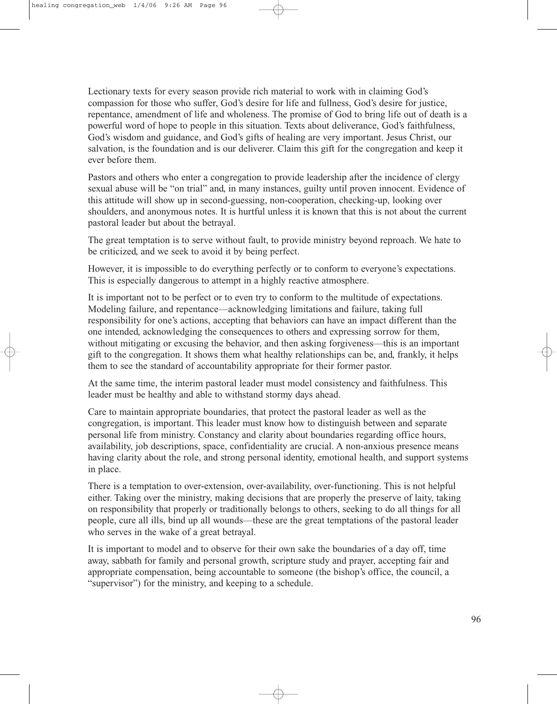Lectionary texts for every season provide rich material to work with in claiming God's compassion for those who suffer, God's desire for life and fullness, God's desire for justice, repentance, amendment of life and wholeness. The promise of God to bring life out of death is a powerful word of hope to people in this situation. Texts about deliverance, God's faithfulness, God's wisdom and guidance, and God's gifts of healing are very important. Jesus Christ, our salvation, is the foundation and is our deliverer. Claim this gift for the congregation and keep it ever before them.

Pastors and others who enter a congregation to provide leadership after the incidence of clergy sexual abuse will be "on trial" and, in many instances, guilty until proven innocent. Evidence of this attitude will show up in second-guessing, non-cooperation, checking-up, looking over shoulders, and anonymous notes. It is hurtful unless it is known that this is not about the current pastoral leader but about the betrayal.

The great temptation is to serve without fault, to provide ministry beyond reproach. We hate to be criticized, and we seek to avoid it by being perfect.

However, it is impossible to do everything perfectly or to conform to everyone's expectations. This is especially dangerous to attempt in a highly reactive atmosphere.

It is important not to be perfect or to even try to conform to the multitude of expectations. Modeling failure, and repentance—acknowledging limitations and failure, taking full responsibility for one's actions, accepting that behaviors can have an impact different than the one intended, acknowledging the consequences to others and expressing sorrow for them, without mitigating or excusing the behavior, and then asking forgiveness—this is an important gift to the congregation. It shows them what healthy relationships can be, and, frankly, it helps them to see the standard of accountability appropriate for their former pastor.

At the same time, the interim pastoral leader must model consistency and faithfulness. This leader must be healthy and able to withstand stormy days ahead.

Care to maintain appropriate boundaries, that protect the pastoral leader as well as the congregation, is important. This leader must know how to distinguish between and separate personal life from ministry. Constancy and clarity about boundaries regarding office hours, availability, job descriptions, space, confidentiality are crucial. A non-anxious presence means having clarity about the role, and strong personal identity, emotional health, and support systems in place.

There is a temptation to over-extension, over-availability, over-functioning. This is not helpful either. Taking over the ministry, making decisions that are properly the preserve of laity, taking on responsibility that properly or traditionally belongs to others, seeking to do all things for all people, cure all ills, bind up all wounds—these are the great temptations of the pastoral leader who serves in the wake of a great betrayal.

It is important to model and to observe for their own sake the boundaries of a day off, time away, sabbath for family and personal growth, scripture study and prayer, accepting fair and appropriate compensation, being accountable to someone (the bishop's office, the council, a "supervisor") for the ministry, and keeping to a schedule.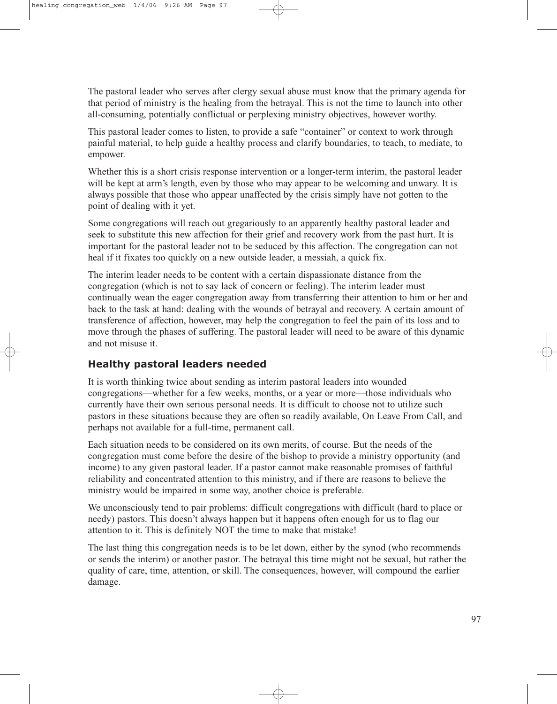The pastoral leader who serves after clergy sexual abuse must know that the primary agenda for that period of ministry is the healing from the betrayal. This is not the time to launch into other all-consuming, potentially conflictual or perplexing ministry objectives, however worthy.

This pastoral leader comes to listen, to provide a safe "container" or context to work through painful material, to help guide a healthy process and clarify boundaries, to teach, to mediate, to empower.

Whether this is a short crisis response intervention or a longer-term interim, the pastoral leader will be kept at arm's length, even by those who may appear to be welcoming and unwary. It is always possible that those who appear unaffected by the crisis simply have not gotten to the point of dealing with it yet.

Some congregations will reach out gregariously to an apparently healthy pastoral leader and seek to substitute this new affection for their grief and recovery work from the past hurt. It is important for the pastoral leader not to be seduced by this affection. The congregation can not heal if it fixates too quickly on a new outside leader, a messiah, a quick fix.

The interim leader needs to be content with a certain dispassionate distance from the congregation (which is not to say lack of concern or feeling). The interim leader must continually wean the eager congregation away from transferring their attention to him or her and back to the task at hand: dealing with the wounds of betrayal and recovery. A certain amount of transference of affection, however, may help the congregation to feel the pain of its loss and to move through the phases of suffering. The pastoral leader will need to be aware of this dynamic and not misuse it.

### **Healthy pastoral leaders needed**

It is worth thinking twice about sending as interim pastoral leaders into wounded congregations—whether for a few weeks, months, or a year or more—those individuals who currently have their own serious personal needs. It is difficult to choose not to utilize such pastors in these situations because they are often so readily available, On Leave From Call, and perhaps not available for a full-time, permanent call.

Each situation needs to be considered on its own merits, of course. But the needs of the congregation must come before the desire of the bishop to provide a ministry opportunity (and income) to any given pastoral leader. If a pastor cannot make reasonable promises of faithful reliability and concentrated attention to this ministry, and if there are reasons to believe the ministry would be impaired in some way, another choice is preferable.

We unconsciously tend to pair problems: difficult congregations with difficult (hard to place or needy) pastors. This doesn't always happen but it happens often enough for us to flag our attention to it. This is definitely NOT the time to make that mistake!

The last thing this congregation needs is to be let down, either by the synod (who recommends or sends the interim) or another pastor. The betrayal this time might not be sexual, but rather the quality of care, time, attention, or skill. The consequences, however, will compound the earlier damage.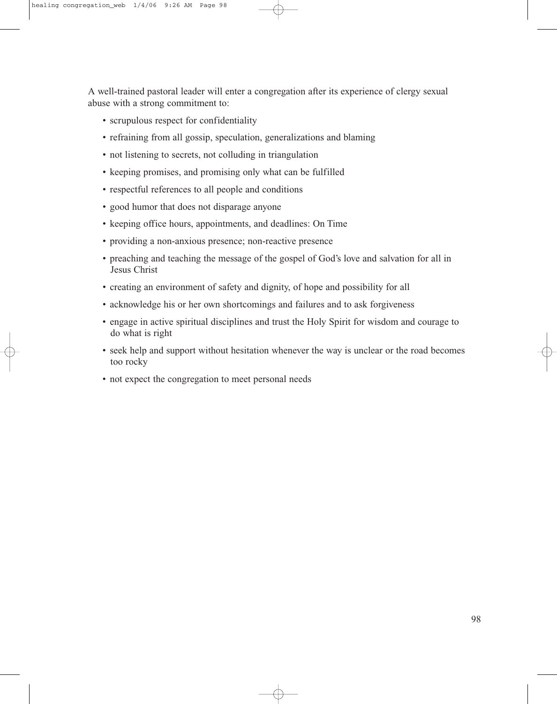A well-trained pastoral leader will enter a congregation after its experience of clergy sexual abuse with a strong commitment to:

- scrupulous respect for confidentiality
- refraining from all gossip, speculation, generalizations and blaming
- not listening to secrets, not colluding in triangulation
- keeping promises, and promising only what can be fulfilled
- respectful references to all people and conditions
- good humor that does not disparage anyone
- keeping office hours, appointments, and deadlines: On Time
- providing a non-anxious presence; non-reactive presence
- preaching and teaching the message of the gospel of God's love and salvation for all in Jesus Christ
- creating an environment of safety and dignity, of hope and possibility for all
- acknowledge his or her own shortcomings and failures and to ask forgiveness
- engage in active spiritual disciplines and trust the Holy Spirit for wisdom and courage to do what is right
- seek help and support without hesitation whenever the way is unclear or the road becomes too rocky
- not expect the congregation to meet personal needs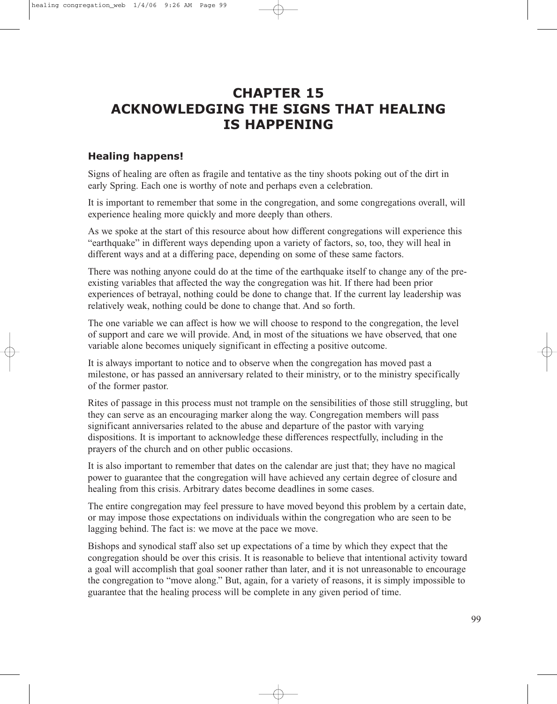# **CHAPTER 15 ACKNOWLEDGING THE SIGNS THAT HEALING IS HAPPENING**

### **Healing happens!**

Signs of healing are often as fragile and tentative as the tiny shoots poking out of the dirt in early Spring. Each one is worthy of note and perhaps even a celebration.

It is important to remember that some in the congregation, and some congregations overall, will experience healing more quickly and more deeply than others.

As we spoke at the start of this resource about how different congregations will experience this "earthquake" in different ways depending upon a variety of factors, so, too, they will heal in different ways and at a differing pace, depending on some of these same factors.

There was nothing anyone could do at the time of the earthquake itself to change any of the preexisting variables that affected the way the congregation was hit. If there had been prior experiences of betrayal, nothing could be done to change that. If the current lay leadership was relatively weak, nothing could be done to change that. And so forth.

The one variable we can affect is how we will choose to respond to the congregation, the level of support and care we will provide. And, in most of the situations we have observed, that one variable alone becomes uniquely significant in effecting a positive outcome.

It is always important to notice and to observe when the congregation has moved past a milestone, or has passed an anniversary related to their ministry, or to the ministry specifically of the former pastor.

Rites of passage in this process must not trample on the sensibilities of those still struggling, but they can serve as an encouraging marker along the way. Congregation members will pass significant anniversaries related to the abuse and departure of the pastor with varying dispositions. It is important to acknowledge these differences respectfully, including in the prayers of the church and on other public occasions.

It is also important to remember that dates on the calendar are just that; they have no magical power to guarantee that the congregation will have achieved any certain degree of closure and healing from this crisis. Arbitrary dates become deadlines in some cases.

The entire congregation may feel pressure to have moved beyond this problem by a certain date, or may impose those expectations on individuals within the congregation who are seen to be lagging behind. The fact is: we move at the pace we move.

Bishops and synodical staff also set up expectations of a time by which they expect that the congregation should be over this crisis. It is reasonable to believe that intentional activity toward a goal will accomplish that goal sooner rather than later, and it is not unreasonable to encourage the congregation to "move along." But, again, for a variety of reasons, it is simply impossible to guarantee that the healing process will be complete in any given period of time.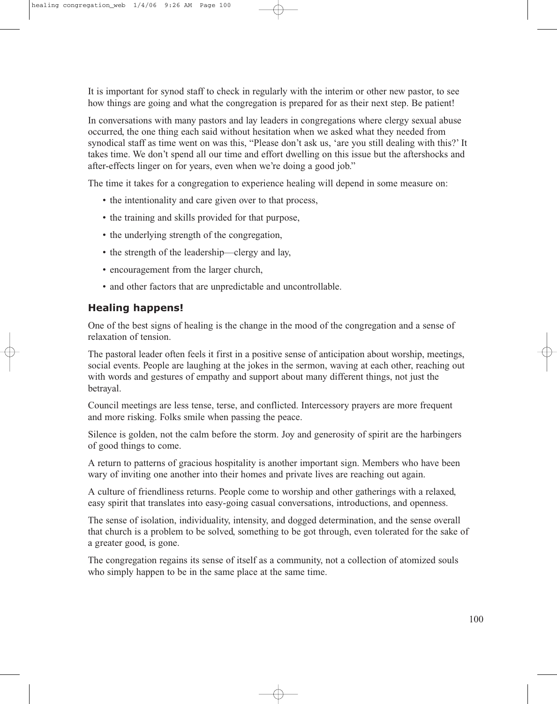It is important for synod staff to check in regularly with the interim or other new pastor, to see how things are going and what the congregation is prepared for as their next step. Be patient!

In conversations with many pastors and lay leaders in congregations where clergy sexual abuse occurred, the one thing each said without hesitation when we asked what they needed from synodical staff as time went on was this, "Please don't ask us, 'are you still dealing with this?' It takes time. We don't spend all our time and effort dwelling on this issue but the aftershocks and after-effects linger on for years, even when we're doing a good job."

The time it takes for a congregation to experience healing will depend in some measure on:

- the intentionality and care given over to that process,
- the training and skills provided for that purpose,
- the underlying strength of the congregation,
- the strength of the leadership—clergy and lay,
- encouragement from the larger church,
- and other factors that are unpredictable and uncontrollable.

#### **Healing happens!**

One of the best signs of healing is the change in the mood of the congregation and a sense of relaxation of tension.

The pastoral leader often feels it first in a positive sense of anticipation about worship, meetings, social events. People are laughing at the jokes in the sermon, waving at each other, reaching out with words and gestures of empathy and support about many different things, not just the betrayal.

Council meetings are less tense, terse, and conflicted. Intercessory prayers are more frequent and more risking. Folks smile when passing the peace.

Silence is golden, not the calm before the storm. Joy and generosity of spirit are the harbingers of good things to come.

A return to patterns of gracious hospitality is another important sign. Members who have been wary of inviting one another into their homes and private lives are reaching out again.

A culture of friendliness returns. People come to worship and other gatherings with a relaxed, easy spirit that translates into easy-going casual conversations, introductions, and openness.

The sense of isolation, individuality, intensity, and dogged determination, and the sense overall that church is a problem to be solved, something to be got through, even tolerated for the sake of a greater good, is gone.

The congregation regains its sense of itself as a community, not a collection of atomized souls who simply happen to be in the same place at the same time.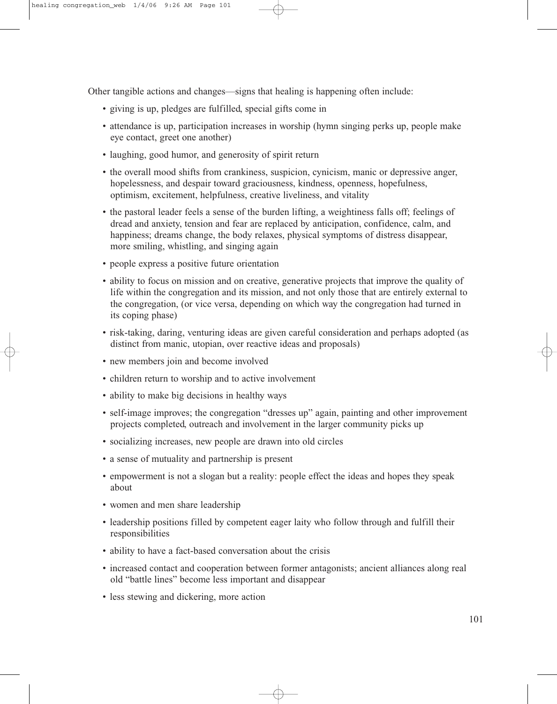Other tangible actions and changes—signs that healing is happening often include:

- giving is up, pledges are fulfilled, special gifts come in
- attendance is up, participation increases in worship (hymn singing perks up, people make eye contact, greet one another)
- laughing, good humor, and generosity of spirit return
- the overall mood shifts from crankiness, suspicion, cynicism, manic or depressive anger, hopelessness, and despair toward graciousness, kindness, openness, hopefulness, optimism, excitement, helpfulness, creative liveliness, and vitality
- the pastoral leader feels a sense of the burden lifting, a weightiness falls off; feelings of dread and anxiety, tension and fear are replaced by anticipation, confidence, calm, and happiness; dreams change, the body relaxes, physical symptoms of distress disappear, more smiling, whistling, and singing again
- people express a positive future orientation
- ability to focus on mission and on creative, generative projects that improve the quality of life within the congregation and its mission, and not only those that are entirely external to the congregation, (or vice versa, depending on which way the congregation had turned in its coping phase)
- risk-taking, daring, venturing ideas are given careful consideration and perhaps adopted (as distinct from manic, utopian, over reactive ideas and proposals)
- new members join and become involved
- children return to worship and to active involvement
- ability to make big decisions in healthy ways
- self-image improves; the congregation "dresses up" again, painting and other improvement projects completed, outreach and involvement in the larger community picks up
- socializing increases, new people are drawn into old circles
- a sense of mutuality and partnership is present
- empowerment is not a slogan but a reality: people effect the ideas and hopes they speak about
- women and men share leadership
- leadership positions filled by competent eager laity who follow through and fulfill their responsibilities
- ability to have a fact-based conversation about the crisis
- increased contact and cooperation between former antagonists; ancient alliances along real old "battle lines" become less important and disappear
- less stewing and dickering, more action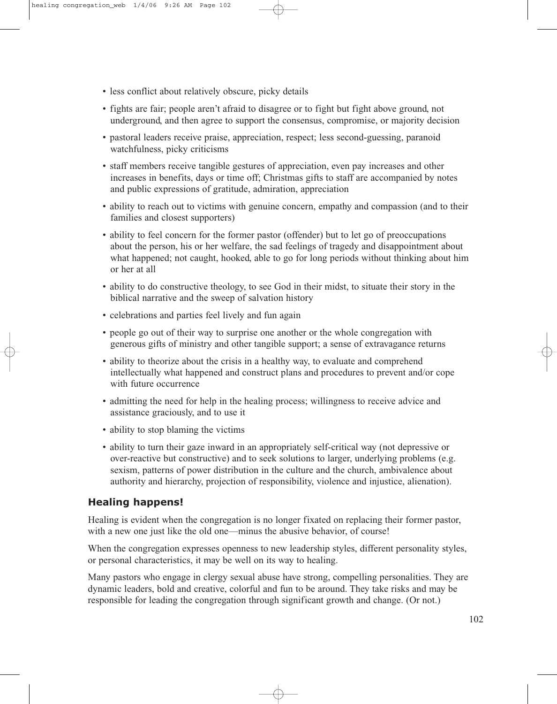- less conflict about relatively obscure, picky details
- fights are fair; people aren't afraid to disagree or to fight but fight above ground, not underground, and then agree to support the consensus, compromise, or majority decision
- pastoral leaders receive praise, appreciation, respect; less second-guessing, paranoid watchfulness, picky criticisms
- staff members receive tangible gestures of appreciation, even pay increases and other increases in benefits, days or time off; Christmas gifts to staff are accompanied by notes and public expressions of gratitude, admiration, appreciation
- ability to reach out to victims with genuine concern, empathy and compassion (and to their families and closest supporters)
- ability to feel concern for the former pastor (offender) but to let go of preoccupations about the person, his or her welfare, the sad feelings of tragedy and disappointment about what happened; not caught, hooked, able to go for long periods without thinking about him or her at all
- ability to do constructive theology, to see God in their midst, to situate their story in the biblical narrative and the sweep of salvation history
- celebrations and parties feel lively and fun again
- people go out of their way to surprise one another or the whole congregation with generous gifts of ministry and other tangible support; a sense of extravagance returns
- ability to theorize about the crisis in a healthy way, to evaluate and comprehend intellectually what happened and construct plans and procedures to prevent and/or cope with future occurrence
- admitting the need for help in the healing process; willingness to receive advice and assistance graciously, and to use it
- ability to stop blaming the victims
- ability to turn their gaze inward in an appropriately self-critical way (not depressive or over-reactive but constructive) and to seek solutions to larger, underlying problems (e.g. sexism, patterns of power distribution in the culture and the church, ambivalence about authority and hierarchy, projection of responsibility, violence and injustice, alienation).

### **Healing happens!**

Healing is evident when the congregation is no longer fixated on replacing their former pastor, with a new one just like the old one—minus the abusive behavior, of course!

When the congregation expresses openness to new leadership styles, different personality styles, or personal characteristics, it may be well on its way to healing.

Many pastors who engage in clergy sexual abuse have strong, compelling personalities. They are dynamic leaders, bold and creative, colorful and fun to be around. They take risks and may be responsible for leading the congregation through significant growth and change. (Or not.)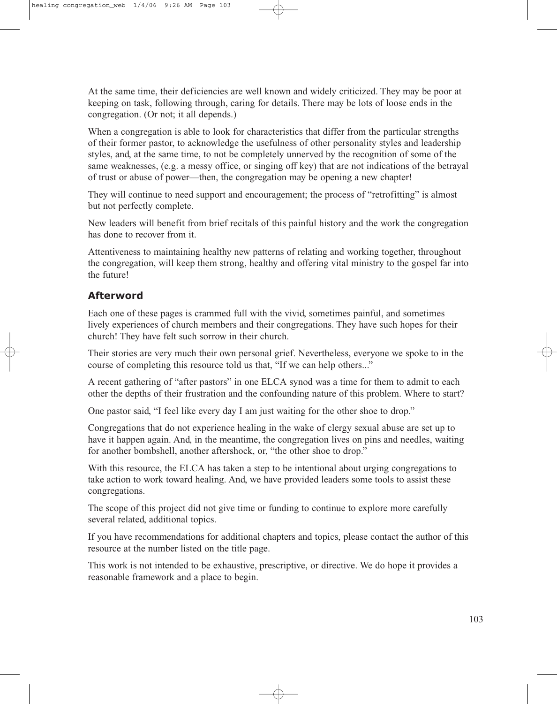At the same time, their deficiencies are well known and widely criticized. They may be poor at keeping on task, following through, caring for details. There may be lots of loose ends in the congregation. (Or not; it all depends.)

When a congregation is able to look for characteristics that differ from the particular strengths of their former pastor, to acknowledge the usefulness of other personality styles and leadership styles, and, at the same time, to not be completely unnerved by the recognition of some of the same weaknesses, (e.g. a messy office, or singing off key) that are not indications of the betrayal of trust or abuse of power—then, the congregation may be opening a new chapter!

They will continue to need support and encouragement; the process of "retrofitting" is almost but not perfectly complete.

New leaders will benefit from brief recitals of this painful history and the work the congregation has done to recover from it.

Attentiveness to maintaining healthy new patterns of relating and working together, throughout the congregation, will keep them strong, healthy and offering vital ministry to the gospel far into the future!

### **Afterword**

Each one of these pages is crammed full with the vivid, sometimes painful, and sometimes lively experiences of church members and their congregations. They have such hopes for their church! They have felt such sorrow in their church.

Their stories are very much their own personal grief. Nevertheless, everyone we spoke to in the course of completing this resource told us that, "If we can help others..."

A recent gathering of "after pastors" in one ELCA synod was a time for them to admit to each other the depths of their frustration and the confounding nature of this problem. Where to start?

One pastor said, "I feel like every day I am just waiting for the other shoe to drop."

Congregations that do not experience healing in the wake of clergy sexual abuse are set up to have it happen again. And, in the meantime, the congregation lives on pins and needles, waiting for another bombshell, another aftershock, or, "the other shoe to drop."

With this resource, the ELCA has taken a step to be intentional about urging congregations to take action to work toward healing. And, we have provided leaders some tools to assist these congregations.

The scope of this project did not give time or funding to continue to explore more carefully several related, additional topics.

If you have recommendations for additional chapters and topics, please contact the author of this resource at the number listed on the title page.

This work is not intended to be exhaustive, prescriptive, or directive. We do hope it provides a reasonable framework and a place to begin.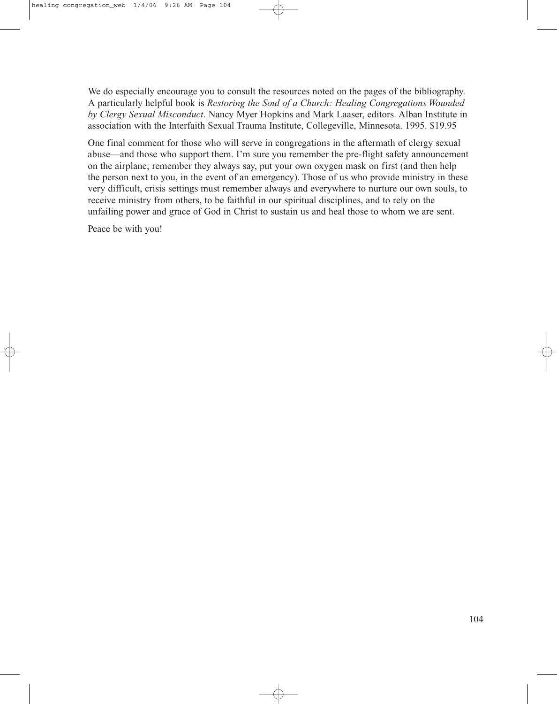We do especially encourage you to consult the resources noted on the pages of the bibliography. A particularly helpful book is *Restoring the Soul of a Church: Healing Congregations Wounded by Clergy Sexual Misconduct*. Nancy Myer Hopkins and Mark Laaser, editors. Alban Institute in association with the Interfaith Sexual Trauma Institute, Collegeville, Minnesota. 1995. \$19.95

One final comment for those who will serve in congregations in the aftermath of clergy sexual abuse—and those who support them. I'm sure you remember the pre-flight safety announcement on the airplane; remember they always say, put your own oxygen mask on first (and then help the person next to you, in the event of an emergency). Those of us who provide ministry in these very difficult, crisis settings must remember always and everywhere to nurture our own souls, to receive ministry from others, to be faithful in our spiritual disciplines, and to rely on the unfailing power and grace of God in Christ to sustain us and heal those to whom we are sent.

Peace be with you!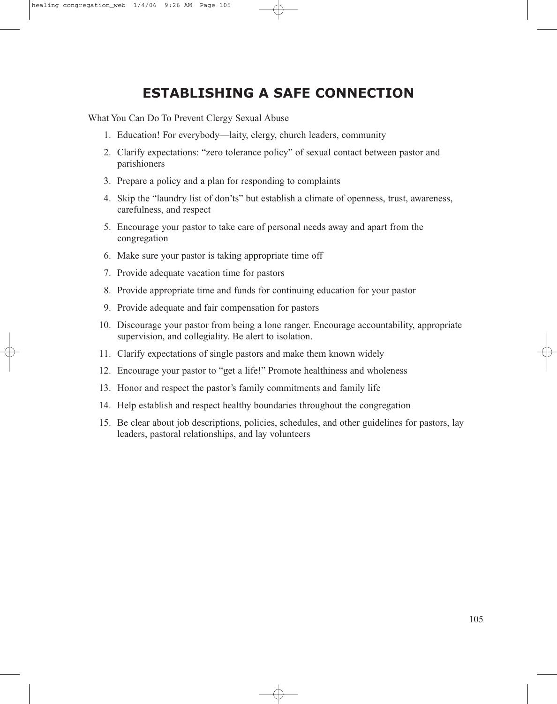# **ESTABLISHING A SAFE CONNECTION**

What You Can Do To Prevent Clergy Sexual Abuse

- 1. Education! For everybody—laity, clergy, church leaders, community
- 2. Clarify expectations: "zero tolerance policy" of sexual contact between pastor and parishioners
- 3. Prepare a policy and a plan for responding to complaints
- 4. Skip the "laundry list of don'ts" but establish a climate of openness, trust, awareness, carefulness, and respect
- 5. Encourage your pastor to take care of personal needs away and apart from the congregation
- 6. Make sure your pastor is taking appropriate time off
- 7. Provide adequate vacation time for pastors
- 8. Provide appropriate time and funds for continuing education for your pastor
- 9. Provide adequate and fair compensation for pastors
- 10. Discourage your pastor from being a lone ranger. Encourage accountability, appropriate supervision, and collegiality. Be alert to isolation.
- 11. Clarify expectations of single pastors and make them known widely
- 12. Encourage your pastor to "get a life!" Promote healthiness and wholeness
- 13. Honor and respect the pastor's family commitments and family life
- 14. Help establish and respect healthy boundaries throughout the congregation
- 15. Be clear about job descriptions, policies, schedules, and other guidelines for pastors, lay leaders, pastoral relationships, and lay volunteers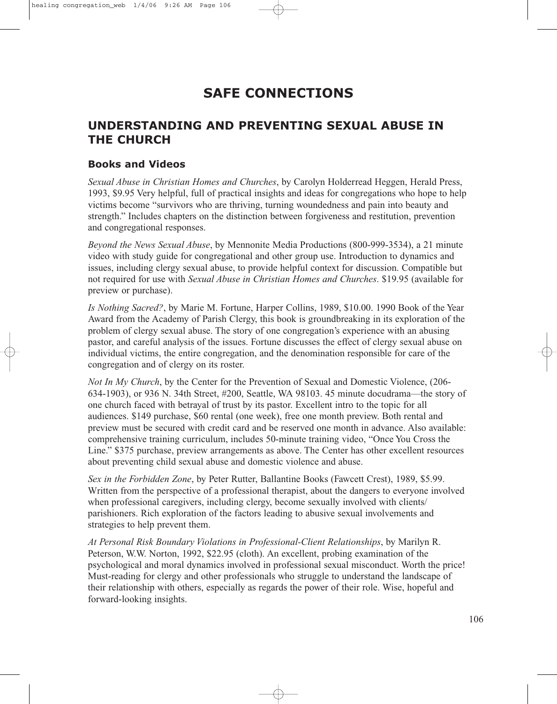# **SAFE CONNECTIONS**

# **UNDERSTANDING AND PREVENTING SEXUAL ABUSE IN THE CHURCH**

#### **Books and Videos**

*Sexual Abuse in Christian Homes and Churches*, by Carolyn Holderread Heggen, Herald Press, 1993, \$9.95 Very helpful, full of practical insights and ideas for congregations who hope to help victims become "survivors who are thriving, turning woundedness and pain into beauty and strength." Includes chapters on the distinction between forgiveness and restitution, prevention and congregational responses.

*Beyond the News Sexual Abuse*, by Mennonite Media Productions (800-999-3534), a 21 minute video with study guide for congregational and other group use. Introduction to dynamics and issues, including clergy sexual abuse, to provide helpful context for discussion. Compatible but not required for use with *Sexual Abuse in Christian Homes and Churches*. \$19.95 (available for preview or purchase).

*Is Nothing Sacred?*, by Marie M. Fortune, Harper Collins, 1989, \$10.00. 1990 Book of the Year Award from the Academy of Parish Clergy, this book is groundbreaking in its exploration of the problem of clergy sexual abuse. The story of one congregation's experience with an abusing pastor, and careful analysis of the issues. Fortune discusses the effect of clergy sexual abuse on individual victims, the entire congregation, and the denomination responsible for care of the congregation and of clergy on its roster.

*Not In My Church*, by the Center for the Prevention of Sexual and Domestic Violence, (206- 634-1903), or 936 N. 34th Street, #200, Seattle, WA 98103. 45 minute docudrama—the story of one church faced with betrayal of trust by its pastor. Excellent intro to the topic for all audiences. \$149 purchase, \$60 rental (one week), free one month preview. Both rental and preview must be secured with credit card and be reserved one month in advance. Also available: comprehensive training curriculum, includes 50-minute training video, "Once You Cross the Line." \$375 purchase, preview arrangements as above. The Center has other excellent resources about preventing child sexual abuse and domestic violence and abuse.

*Sex in the Forbidden Zone*, by Peter Rutter, Ballantine Books (Fawcett Crest), 1989, \$5.99. Written from the perspective of a professional therapist, about the dangers to everyone involved when professional caregivers, including clergy, become sexually involved with clients/ parishioners. Rich exploration of the factors leading to abusive sexual involvements and strategies to help prevent them.

*At Personal Risk Boundary Violations in Professional-Client Relationships*, by Marilyn R. Peterson, W.W. Norton, 1992, \$22.95 (cloth). An excellent, probing examination of the psychological and moral dynamics involved in professional sexual misconduct. Worth the price! Must-reading for clergy and other professionals who struggle to understand the landscape of their relationship with others, especially as regards the power of their role. Wise, hopeful and forward-looking insights.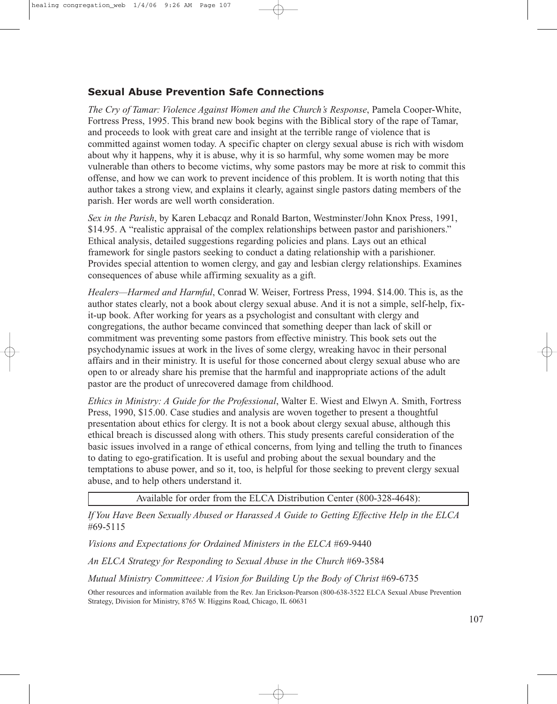## **Sexual Abuse Prevention Safe Connections**

*The Cry of Tamar: Violence Against Women and the Church's Response*, Pamela Cooper-White, Fortress Press, 1995. This brand new book begins with the Biblical story of the rape of Tamar, and proceeds to look with great care and insight at the terrible range of violence that is committed against women today. A specific chapter on clergy sexual abuse is rich with wisdom about why it happens, why it is abuse, why it is so harmful, why some women may be more vulnerable than others to become victims, why some pastors may be more at risk to commit this offense, and how we can work to prevent incidence of this problem. It is worth noting that this author takes a strong view, and explains it clearly, against single pastors dating members of the parish. Her words are well worth consideration.

*Sex in the Parish*, by Karen Lebacqz and Ronald Barton, Westminster/John Knox Press, 1991, \$14.95. A "realistic appraisal of the complex relationships between pastor and parishioners." Ethical analysis, detailed suggestions regarding policies and plans. Lays out an ethical framework for single pastors seeking to conduct a dating relationship with a parishioner. Provides special attention to women clergy, and gay and lesbian clergy relationships. Examines consequences of abuse while affirming sexuality as a gift.

*Healers—Harmed and Harmful*, Conrad W. Weiser, Fortress Press, 1994. \$14.00. This is, as the author states clearly, not a book about clergy sexual abuse. And it is not a simple, self-help, fixit-up book. After working for years as a psychologist and consultant with clergy and congregations, the author became convinced that something deeper than lack of skill or commitment was preventing some pastors from effective ministry. This book sets out the psychodynamic issues at work in the lives of some clergy, wreaking havoc in their personal affairs and in their ministry. It is useful for those concerned about clergy sexual abuse who are open to or already share his premise that the harmful and inappropriate actions of the adult pastor are the product of unrecovered damage from childhood.

*Ethics in Ministry: A Guide for the Professional*, Walter E. Wiest and Elwyn A. Smith, Fortress Press, 1990, \$15.00. Case studies and analysis are woven together to present a thoughtful presentation about ethics for clergy. It is not a book about clergy sexual abuse, although this ethical breach is discussed along with others. This study presents careful consideration of the basic issues involved in a range of ethical concerns, from lying and telling the truth to finances to dating to ego-gratification. It is useful and probing about the sexual boundary and the temptations to abuse power, and so it, too, is helpful for those seeking to prevent clergy sexual abuse, and to help others understand it.

Available for order from the ELCA Distribution Center (800-328-4648):

*If You Have Been Sexually Abused or Harassed A Guide to Getting Effective Help in the ELCA* #69-5115

*Visions and Expectations for Ordained Ministers in the ELCA* #69-9440

*An ELCA Strategy for Responding to Sexual Abuse in the Church* #69-3584

*Mutual Ministry Committeee: A Vision for Building Up the Body of Christ* #69-6735

Other resources and information available from the Rev. Jan Erickson-Pearson (800-638-3522 ELCA Sexual Abuse Prevention Strategy, Division for Ministry, 8765 W. Higgins Road, Chicago, IL 60631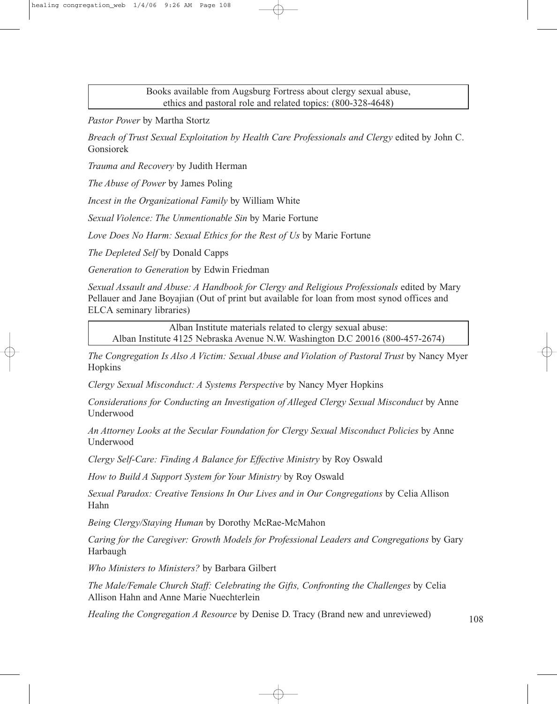Books available from Augsburg Fortress about clergy sexual abuse, ethics and pastoral role and related topics: (800-328-4648)

*Pastor Power* by Martha Stortz

*Breach of Trust Sexual Exploitation by Health Care Professionals and Clergy* edited by John C. Gonsiorek

*Trauma and Recovery* by Judith Herman

*The Abuse of Power* by James Poling

*Incest in the Organizational Family* by William White

*Sexual Violence: The Unmentionable Sin* by Marie Fortune

*Love Does No Harm: Sexual Ethics for the Rest of Us* by Marie Fortune

*The Depleted Self* by Donald Capps

*Generation to Generation* by Edwin Friedman

*Sexual Assault and Abuse: A Handbook for Clergy and Religious Professionals* edited by Mary Pellauer and Jane Boyajian (Out of print but available for loan from most synod offices and ELCA seminary libraries)

Alban Institute materials related to clergy sexual abuse: Alban Institute 4125 Nebraska Avenue N.W. Washington D.C 20016 (800-457-2674)

*The Congregation Is Also A Victim: Sexual Abuse and Violation of Pastoral Trust* by Nancy Myer Hopkins

*Clergy Sexual Misconduct: A Systems Perspective* by Nancy Myer Hopkins

*Considerations for Conducting an Investigation of Alleged Clergy Sexual Misconduct* by Anne Underwood

*An Attorney Looks at the Secular Foundation for Clergy Sexual Misconduct Policies* by Anne Underwood

*Clergy Self-Care: Finding A Balance for Effective Ministry* by Roy Oswald

*How to Build A Support System for Your Ministry* by Roy Oswald

*Sexual Paradox: Creative Tensions In Our Lives and in Our Congregations* by Celia Allison Hahn

*Being Clergy/Staying Human* by Dorothy McRae-McMahon

*Caring for the Caregiver: Growth Models for Professional Leaders and Congregations* by Gary Harbaugh

*Who Ministers to Ministers?* by Barbara Gilbert

*The Male/Female Church Staff: Celebrating the Gifts, Confronting the Challenges* by Celia Allison Hahn and Anne Marie Nuechterlein

*Healing the Congregation A Resource* by Denise D. Tracy (Brand new and unreviewed) 108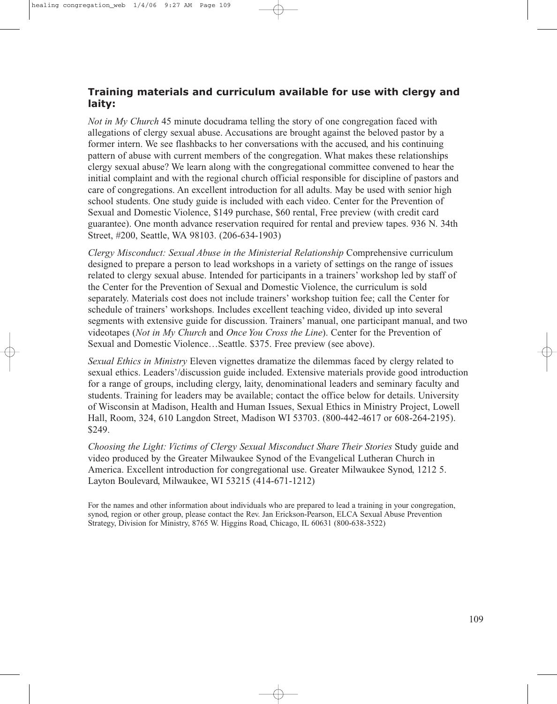### **Training materials and curriculum available for use with clergy and laity:**

*Not in My Church* 45 minute docudrama telling the story of one congregation faced with allegations of clergy sexual abuse. Accusations are brought against the beloved pastor by a former intern. We see flashbacks to her conversations with the accused, and his continuing pattern of abuse with current members of the congregation. What makes these relationships clergy sexual abuse? We learn along with the congregational committee convened to hear the initial complaint and with the regional church official responsible for discipline of pastors and care of congregations. An excellent introduction for all adults. May be used with senior high school students. One study guide is included with each video. Center for the Prevention of Sexual and Domestic Violence, \$149 purchase, \$60 rental, Free preview (with credit card guarantee). One month advance reservation required for rental and preview tapes. 936 N. 34th Street, #200, Seattle, WA 98103. (206-634-1903)

*Clergy Misconduct: Sexual Abuse in the Ministerial Relationship* Comprehensive curriculum designed to prepare a person to lead workshops in a variety of settings on the range of issues related to clergy sexual abuse. Intended for participants in a trainers' workshop led by staff of the Center for the Prevention of Sexual and Domestic Violence, the curriculum is sold separately. Materials cost does not include trainers' workshop tuition fee; call the Center for schedule of trainers' workshops. Includes excellent teaching video, divided up into several segments with extensive guide for discussion. Trainers' manual, one participant manual, and two videotapes (*Not in My Church* and *Once You Cross the Line*). Center for the Prevention of Sexual and Domestic Violence…Seattle. \$375. Free preview (see above).

*Sexual Ethics in Ministry* Eleven vignettes dramatize the dilemmas faced by clergy related to sexual ethics. Leaders'/discussion guide included. Extensive materials provide good introduction for a range of groups, including clergy, laity, denominational leaders and seminary faculty and students. Training for leaders may be available; contact the office below for details. University of Wisconsin at Madison, Health and Human Issues, Sexual Ethics in Ministry Project, Lowell Hall, Room, 324, 610 Langdon Street, Madison WI 53703. (800-442-4617 or 608-264-2195). \$249.

*Choosing the Light: Victims of Clergy Sexual Misconduct Share Their Stories* Study guide and video produced by the Greater Milwaukee Synod of the Evangelical Lutheran Church in America. Excellent introduction for congregational use. Greater Milwaukee Synod, 1212 5. Layton Boulevard, Milwaukee, WI 53215 (414-671-1212)

For the names and other information about individuals who are prepared to lead a training in your congregation, synod, region or other group, please contact the Rev. Jan Erickson-Pearson, ELCA Sexual Abuse Prevention Strategy, Division for Ministry, 8765 W. Higgins Road, Chicago, IL 60631 (800-638-3522)